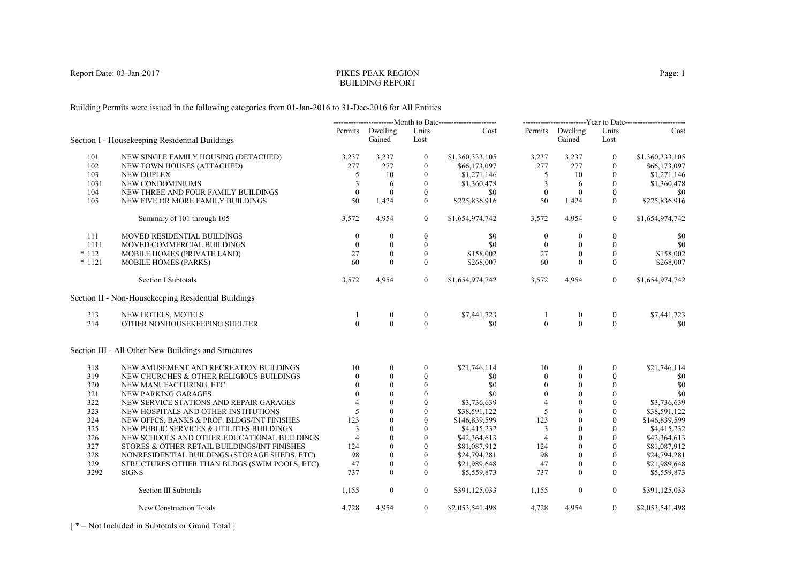# PIKES PEAK REGIONBUILDING REPORT

Building Permits were issued in the following categories from 01-Jan-2016 to 31-Dec-2016 for All Entities

| Section I - Housekeeping Residential Buildings       |                                                                                                                                                                                                     | Gained                                 | Units<br>Lost                                                 | Cost                                                                                         |                                                                                                                                         | Gained                                             | Units<br>Lost                                                  | Cost                                                                                                                                      |
|------------------------------------------------------|-----------------------------------------------------------------------------------------------------------------------------------------------------------------------------------------------------|----------------------------------------|---------------------------------------------------------------|----------------------------------------------------------------------------------------------|-----------------------------------------------------------------------------------------------------------------------------------------|----------------------------------------------------|----------------------------------------------------------------|-------------------------------------------------------------------------------------------------------------------------------------------|
|                                                      |                                                                                                                                                                                                     |                                        |                                                               |                                                                                              |                                                                                                                                         |                                                    |                                                                | \$1,360,333,105                                                                                                                           |
|                                                      |                                                                                                                                                                                                     |                                        |                                                               |                                                                                              |                                                                                                                                         |                                                    |                                                                | \$66,173,097                                                                                                                              |
|                                                      |                                                                                                                                                                                                     |                                        |                                                               |                                                                                              |                                                                                                                                         |                                                    |                                                                | \$1,271,146                                                                                                                               |
|                                                      |                                                                                                                                                                                                     |                                        |                                                               |                                                                                              |                                                                                                                                         |                                                    |                                                                | \$1,360,478                                                                                                                               |
|                                                      |                                                                                                                                                                                                     |                                        |                                                               |                                                                                              |                                                                                                                                         |                                                    |                                                                | \$0                                                                                                                                       |
| NEW FIVE OR MORE FAMILY BUILDINGS                    | 50                                                                                                                                                                                                  | 1,424                                  | $\theta$                                                      | \$225,836,916                                                                                | 50                                                                                                                                      | 1,424                                              | $\theta$                                                       | \$225,836,916                                                                                                                             |
| Summary of 101 through 105                           | 3,572                                                                                                                                                                                               | 4,954                                  | $\boldsymbol{0}$                                              | \$1,654,974,742                                                                              | 3,572                                                                                                                                   | 4,954                                              | $\mathbf{0}$                                                   | \$1,654,974,742                                                                                                                           |
| MOVED RESIDENTIAL BUILDINGS                          | $\theta$                                                                                                                                                                                            | $\mathbf{0}$                           | $\boldsymbol{0}$                                              | \$0                                                                                          | $\boldsymbol{0}$                                                                                                                        | $\mathbf{0}$                                       | $\boldsymbol{0}$                                               | \$0                                                                                                                                       |
| MOVED COMMERCIAL BUILDINGS                           | $\theta$                                                                                                                                                                                            | $\theta$                               | $\overline{0}$                                                | \$0                                                                                          | $\theta$                                                                                                                                | $\overline{0}$                                     | $\mathbf{0}$                                                   | \$0                                                                                                                                       |
| MOBILE HOMES (PRIVATE LAND)                          | 27                                                                                                                                                                                                  | $\mathbf{0}$                           | $\mathbf{0}$                                                  | \$158,002                                                                                    | 27                                                                                                                                      | $\mathbf{0}$                                       | $\overline{0}$                                                 | \$158,002                                                                                                                                 |
| <b>MOBILE HOMES (PARKS)</b>                          | 60                                                                                                                                                                                                  | $\theta$                               | $\mathbf{0}$                                                  | \$268,007                                                                                    | 60                                                                                                                                      | $\theta$                                           | $\overline{0}$                                                 | \$268,007                                                                                                                                 |
| <b>Section I Subtotals</b>                           | 3,572                                                                                                                                                                                               | 4,954                                  | $\overline{0}$                                                | \$1,654,974,742                                                                              | 3,572                                                                                                                                   | 4,954                                              | $\overline{0}$                                                 | \$1,654,974,742                                                                                                                           |
| Section II - Non-Housekeeping Residential Buildings  |                                                                                                                                                                                                     |                                        |                                                               |                                                                                              |                                                                                                                                         |                                                    |                                                                |                                                                                                                                           |
| NEW HOTELS, MOTELS                                   |                                                                                                                                                                                                     | $\boldsymbol{0}$                       | $\boldsymbol{0}$                                              | \$7,441,723                                                                                  | -1                                                                                                                                      | $\boldsymbol{0}$                                   | $\mathbf{0}$                                                   | \$7,441,723                                                                                                                               |
| OTHER NONHOUSEKEEPING SHELTER                        | $\Omega$                                                                                                                                                                                            | $\theta$                               |                                                               | \$0                                                                                          |                                                                                                                                         | $\theta$                                           | $\Omega$                                                       | -80                                                                                                                                       |
| Section III - All Other New Buildings and Structures |                                                                                                                                                                                                     |                                        |                                                               |                                                                                              |                                                                                                                                         |                                                    |                                                                |                                                                                                                                           |
| NEW AMUSEMENT AND RECREATION BUILDINGS               | 10                                                                                                                                                                                                  | $\overline{0}$                         | $\overline{0}$                                                | \$21,746,114                                                                                 | 10                                                                                                                                      | $\overline{0}$                                     | $\mathbf{0}$                                                   | \$21,746,114                                                                                                                              |
| NEW CHURCHES & OTHER RELIGIOUS BUILDINGS             | $\Omega$                                                                                                                                                                                            | $\theta$                               | $\mathbf{0}$                                                  | \$0                                                                                          | $\mathbf{0}$                                                                                                                            | $\theta$                                           | $\theta$                                                       | \$0                                                                                                                                       |
| NEW MANUFACTURING, ETC                               |                                                                                                                                                                                                     | $\theta$                               | $\boldsymbol{0}$                                              | \$0                                                                                          | $\mathbf{0}$                                                                                                                            | $\mathbf{0}$                                       | $\mathbf{0}$                                                   | \$0                                                                                                                                       |
| NEW PARKING GARAGES                                  |                                                                                                                                                                                                     | $\theta$                               | $\overline{0}$                                                | \$0                                                                                          | $\theta$                                                                                                                                | $\theta$                                           | $\theta$                                                       | \$0                                                                                                                                       |
| NEW SERVICE STATIONS AND REPAIR GARAGES              |                                                                                                                                                                                                     | $\theta$                               | $\mathbf{0}$                                                  | \$3,736,639                                                                                  | $\overline{4}$                                                                                                                          | $\Omega$                                           | $\Omega$                                                       | \$3,736,639                                                                                                                               |
| NEW HOSPITALS AND OTHER INSTITUTIONS                 | 5                                                                                                                                                                                                   | $\theta$                               | $\mathbf{0}$                                                  | \$38,591,122                                                                                 | 5                                                                                                                                       | $\mathbf{0}$                                       | $\mathbf{0}$                                                   | \$38,591,122                                                                                                                              |
| NEW OFFCS, BANKS & PROF. BLDGS/INT FINISHES          | 123                                                                                                                                                                                                 | $\theta$                               | $\theta$                                                      | \$146,839,599                                                                                | 123                                                                                                                                     | $\theta$                                           | $\Omega$                                                       | \$146,839,599                                                                                                                             |
| NEW PUBLIC SERVICES & UTILITIES BUILDINGS            | 3                                                                                                                                                                                                   | $\theta$                               | $\theta$                                                      | \$4,415,232                                                                                  | 3                                                                                                                                       | $\theta$                                           | $\theta$                                                       | \$4,415,232                                                                                                                               |
| NEW SCHOOLS AND OTHER EDUCATIONAL BUILDINGS          | $\overline{4}$                                                                                                                                                                                      | $\theta$                               | $\theta$                                                      | \$42,364,613                                                                                 | $\overline{4}$                                                                                                                          | $\theta$                                           | $\theta$                                                       | \$42,364,613                                                                                                                              |
| STORES & OTHER RETAIL BUILDINGS/INT FINISHES         | 124                                                                                                                                                                                                 | $\theta$                               | $\mathbf{0}$                                                  | \$81,087,912                                                                                 | 124                                                                                                                                     | $\theta$                                           | $\Omega$                                                       | \$81,087,912                                                                                                                              |
|                                                      | 98                                                                                                                                                                                                  | $\mathbf{0}$                           | $\mathbf{0}$                                                  | \$24,794,281                                                                                 | 98                                                                                                                                      | $\mathbf{0}$                                       | $\mathbf{0}$                                                   | \$24,794,281                                                                                                                              |
| STRUCTURES OTHER THAN BLDGS (SWIM POOLS, ETC)        | 47                                                                                                                                                                                                  | $\mathbf{0}$                           | $\mathbf{0}$                                                  | \$21,989,648                                                                                 | 47                                                                                                                                      | $\mathbf{0}$                                       | $\mathbf{0}$                                                   | \$21,989,648                                                                                                                              |
| <b>SIGNS</b>                                         | 737                                                                                                                                                                                                 | $\Omega$                               | $\theta$                                                      | \$5,559,873                                                                                  | 737                                                                                                                                     | $\Omega$                                           | $\Omega$                                                       | \$5,559,873                                                                                                                               |
| Section III Subtotals                                | 1,155                                                                                                                                                                                               | $\boldsymbol{0}$                       | $\boldsymbol{0}$                                              | \$391,125,033                                                                                | 1,155                                                                                                                                   | $\boldsymbol{0}$                                   | $\mathbf{0}$                                                   | \$391,125,033                                                                                                                             |
| New Construction Totals                              | 4,728                                                                                                                                                                                               | 4,954                                  | $\overline{0}$                                                | \$2,053,541,498                                                                              | 4,728                                                                                                                                   | 4,954                                              | $\overline{0}$                                                 | \$2,053,541,498                                                                                                                           |
|                                                      | NEW SINGLE FAMILY HOUSING (DETACHED)<br>NEW TOWN HOUSES (ATTACHED)<br><b>NEW DUPLEX</b><br>NEW CONDOMINIUMS<br>NEW THREE AND FOUR FAMILY BUILDINGS<br>NONRESIDENTIAL BUILDINGS (STORAGE SHEDS, ETC) | 3,237<br>277<br>5<br>3<br>$\mathbf{0}$ | Permits Dwelling<br>3,237<br>277<br>10<br>6<br>$\overline{0}$ | $\boldsymbol{0}$<br>$\mathbf{0}$<br>$\mathbf{0}$<br>$\mathbf{0}$<br>$\mathbf{0}$<br>$\theta$ | --------------------------Month to Date------------------------<br>\$1,360,333,105<br>\$66,173,097<br>\$1,271,146<br>\$1,360,478<br>\$0 | 3,237<br>277<br>5<br>3<br>$\mathbf{0}$<br>$\theta$ | Permits Dwelling<br>3,237<br>277<br>10<br>-6<br>$\overline{0}$ | -------------------------Year to Date------------------------<br>$\boldsymbol{0}$<br>$\theta$<br>$\theta$<br>$\mathbf{0}$<br>$\mathbf{0}$ |

[ \* = Not Included in Subtotals or Grand Total ]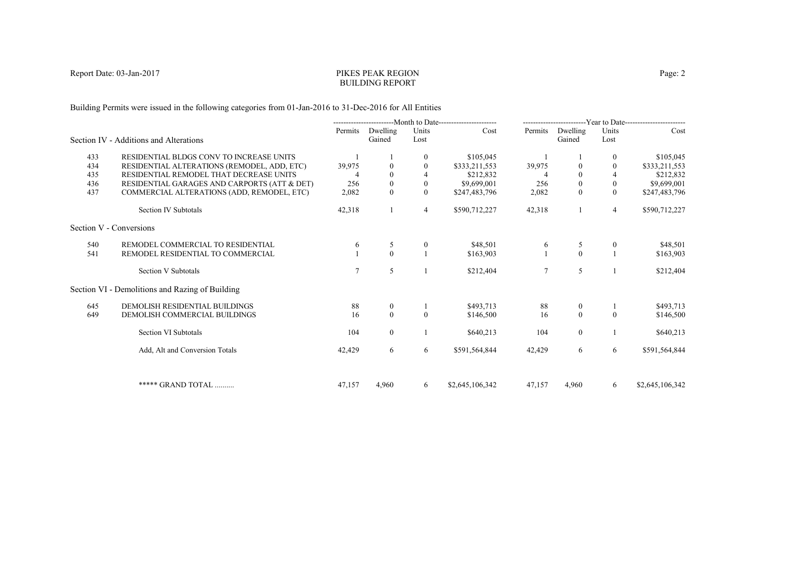# PIKES PEAK REGIONBUILDING REPORT

Building Permits were issued in the following categories from 01-Jan-2016 to 31-Dec-2016 for All Entities

|     |                                                 |         |                    |               | --------------------------Month to Date----------------------- |                |                    |                | -------------------------Year to Date------------------------ |
|-----|-------------------------------------------------|---------|--------------------|---------------|----------------------------------------------------------------|----------------|--------------------|----------------|---------------------------------------------------------------|
|     | Section IV - Additions and Alterations          | Permits | Dwelling<br>Gained | Units<br>Lost | Cost                                                           | Permits        | Dwelling<br>Gained | Units<br>Lost  | Cost                                                          |
| 433 | RESIDENTIAL BLDGS CONV TO INCREASE UNITS        |         |                    | $\mathbf{0}$  | \$105,045                                                      |                |                    | $\overline{0}$ | \$105,045                                                     |
| 434 | RESIDENTIAL ALTERATIONS (REMODEL, ADD, ETC)     | 39,975  | $\theta$           |               | \$333,211,553                                                  | 39,975         |                    |                | \$333,211,553                                                 |
| 435 | RESIDENTIAL REMODEL THAT DECREASE UNITS         |         | $\Omega$           |               | \$212,832                                                      |                | $\Omega$           | $\overline{4}$ | \$212,832                                                     |
| 436 | RESIDENTIAL GARAGES AND CARPORTS (ATT & DET)    | 256     | $\mathbf{0}$       | $\theta$      | \$9,699,001                                                    | 256            | $\mathbf{0}$       | $\overline{0}$ | \$9,699,001                                                   |
| 437 | COMMERCIAL ALTERATIONS (ADD, REMODEL, ETC)      | 2,082   | $\Omega$           | $\theta$      | \$247,483,796                                                  | 2,082          | $\theta$           | $\theta$       | \$247,483,796                                                 |
|     | Section IV Subtotals                            | 42,318  |                    | 4             | \$590,712,227                                                  | 42,318         |                    | $\overline{4}$ | \$590,712,227                                                 |
|     | Section V - Conversions                         |         |                    |               |                                                                |                |                    |                |                                                               |
| 540 | REMODEL COMMERCIAL TO RESIDENTIAL               | 6       | 5                  | $\mathbf{0}$  | \$48,501                                                       | 6              | 5                  | $\bf{0}$       | \$48,501                                                      |
| 541 | REMODEL RESIDENTIAL TO COMMERCIAL               |         | $\Omega$           |               | \$163,903                                                      |                | $\theta$           |                | \$163,903                                                     |
|     | Section V Subtotals                             |         | 5                  |               | \$212,404                                                      | $\overline{7}$ | 5                  |                | \$212,404                                                     |
|     | Section VI - Demolitions and Razing of Building |         |                    |               |                                                                |                |                    |                |                                                               |
| 645 | <b>DEMOLISH RESIDENTIAL BUILDINGS</b>           | 88      | $\mathbf{0}$       |               | \$493,713                                                      | 88             | $\bf{0}$           |                | \$493,713                                                     |
| 649 | DEMOLISH COMMERCIAL BUILDINGS                   | 16      | $\theta$           | $\theta$      | \$146,500                                                      | 16             | $\theta$           | $\theta$       | \$146,500                                                     |
|     | Section VI Subtotals                            | 104     | $\overline{0}$     |               | \$640,213                                                      | 104            | $\overline{0}$     |                | \$640,213                                                     |
|     | Add, Alt and Conversion Totals                  | 42,429  | 6                  | 6             | \$591,564,844                                                  | 42,429         | 6                  | 6              | \$591,564,844                                                 |
|     | ***** GRAND TOTAL                               | 47,157  | 4.960              | 6             | \$2,645,106,342                                                | 47,157         | 4.960              | 6              | \$2,645,106,342                                               |
|     |                                                 |         |                    |               |                                                                |                |                    |                |                                                               |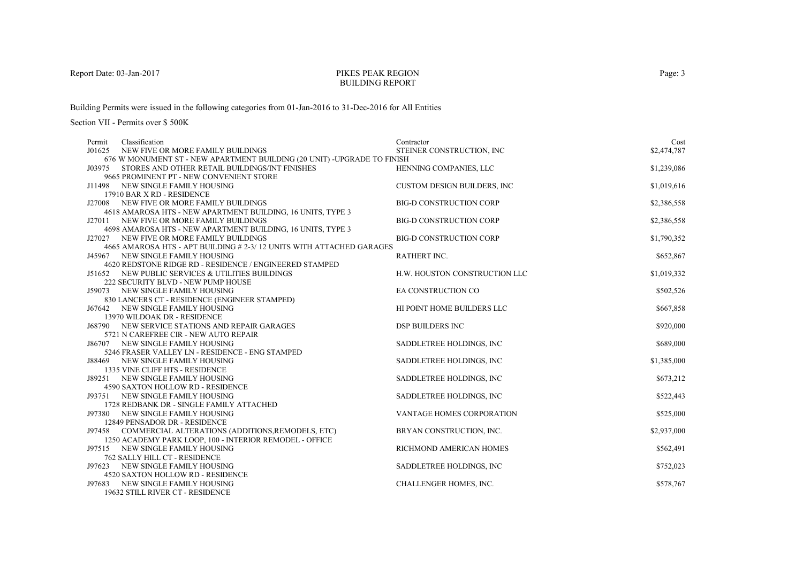### PIKES PEAK REGIONBUILDING REPORT

Building Permits were issued in the following categories from 01-Jan-2016 to 31-Dec-2016 for All Entities

| Classification<br>Permit                                                                       | Contractor                         | Cost        |
|------------------------------------------------------------------------------------------------|------------------------------------|-------------|
| J01625<br>NEW FIVE OR MORE FAMILY BUILDINGS                                                    | STEINER CONSTRUCTION, INC          | \$2,474,787 |
| 676 W MONUMENT ST - NEW APARTMENT BUILDING (20 UNIT) - UPGRADE TO FINISH                       |                                    |             |
| STORES AND OTHER RETAIL BUILDINGS/INT FINISHES<br>J03975                                       | HENNING COMPANIES, LLC             | \$1,239,086 |
| 9665 PROMINENT PT - NEW CONVENIENT STORE                                                       |                                    |             |
| J11498 NEW SINGLE FAMILY HOUSING                                                               | <b>CUSTOM DESIGN BUILDERS, INC</b> | \$1,019,616 |
| 17910 BAR X RD - RESIDENCE                                                                     |                                    |             |
| J27008 NEW FIVE OR MORE FAMILY BUILDINGS                                                       | <b>BIG-D CONSTRUCTION CORP</b>     | \$2,386,558 |
| 4618 AMAROSA HTS - NEW APARTMENT BUILDING, 16 UNITS, TYPE 3                                    |                                    |             |
| J27011 NEW FIVE OR MORE FAMILY BUILDINGS                                                       | <b>BIG-D CONSTRUCTION CORP</b>     | \$2,386,558 |
| 4698 AMAROSA HTS - NEW APARTMENT BUILDING, 16 UNITS, TYPE 3                                    |                                    |             |
| J27027 NEW FIVE OR MORE FAMILY BUILDINGS                                                       | <b>BIG-D CONSTRUCTION CORP</b>     | \$1,790,352 |
| 4665 AMAROSA HTS - APT BUILDING # 2-3/12 UNITS WITH ATTACHED GARAGES                           |                                    |             |
| J45967 NEW SINGLE FAMILY HOUSING                                                               | RATHERT INC.                       | \$652,867   |
| 4620 REDSTONE RIDGE RD - RESIDENCE / ENGINEERED STAMPED                                        |                                    |             |
| J51652 NEW PUBLIC SERVICES & UTILITIES BUILDINGS                                               | H.W. HOUSTON CONSTRUCTION LLC      | \$1,019,332 |
| 222 SECURITY BLVD - NEW PUMP HOUSE                                                             |                                    |             |
| J59073 NEW SINGLE FAMILY HOUSING                                                               | EA CONSTRUCTION CO                 | \$502,526   |
| 830 LANCERS CT - RESIDENCE (ENGINEER STAMPED)                                                  |                                    |             |
| J67642 NEW SINGLE FAMILY HOUSING                                                               | HI POINT HOME BUILDERS LLC         | \$667,858   |
| 13970 WILDOAK DR - RESIDENCE                                                                   | <b>DSP BUILDERS INC</b>            |             |
| <b>J68790 NEW SERVICE STATIONS AND REPAIR GARAGES</b><br>5721 N CAREFREE CIR - NEW AUTO REPAIR |                                    | \$920,000   |
| J86707 NEW SINGLE FAMILY HOUSING                                                               |                                    | \$689,000   |
| 5246 FRASER VALLEY LN - RESIDENCE - ENG STAMPED                                                | SADDLETREE HOLDINGS, INC           |             |
| J88469 NEW SINGLE FAMILY HOUSING                                                               | SADDLETREE HOLDINGS, INC           | \$1,385,000 |
| 1335 VINE CLIFF HTS - RESIDENCE                                                                |                                    |             |
| J89251 NEW SINGLE FAMILY HOUSING                                                               | SADDLETREE HOLDINGS, INC           | \$673,212   |
| 4590 SAXTON HOLLOW RD - RESIDENCE                                                              |                                    |             |
| J93751 NEW SINGLE FAMILY HOUSING                                                               | SADDLETREE HOLDINGS, INC.          | \$522,443   |
| 1728 REDBANK DR - SINGLE FAMILY ATTACHED                                                       |                                    |             |
| J97380 NEW SINGLE FAMILY HOUSING                                                               | VANTAGE HOMES CORPORATION          | \$525,000   |
| 12849 PENSADOR DR - RESIDENCE                                                                  |                                    |             |
| J97458<br>COMMERCIAL ALTERATIONS (ADDITIONS, REMODELS, ETC)                                    | BRYAN CONSTRUCTION, INC.           | \$2,937,000 |
| 1250 ACADEMY PARK LOOP, 100 - INTERIOR REMODEL - OFFICE                                        |                                    |             |
| J97515 NEW SINGLE FAMILY HOUSING                                                               | RICHMOND AMERICAN HOMES            | \$562,491   |
| 762 SALLY HILL CT - RESIDENCE                                                                  |                                    |             |
| J97623 NEW SINGLE FAMILY HOUSING                                                               | SADDLETREE HOLDINGS, INC.          | \$752,023   |
| 4520 SAXTON HOLLOW RD - RESIDENCE                                                              |                                    |             |
| J97683 NEW SINGLE FAMILY HOUSING                                                               | CHALLENGER HOMES, INC.             | \$578,767   |
| 19632 STILL RIVER CT - RESIDENCE                                                               |                                    |             |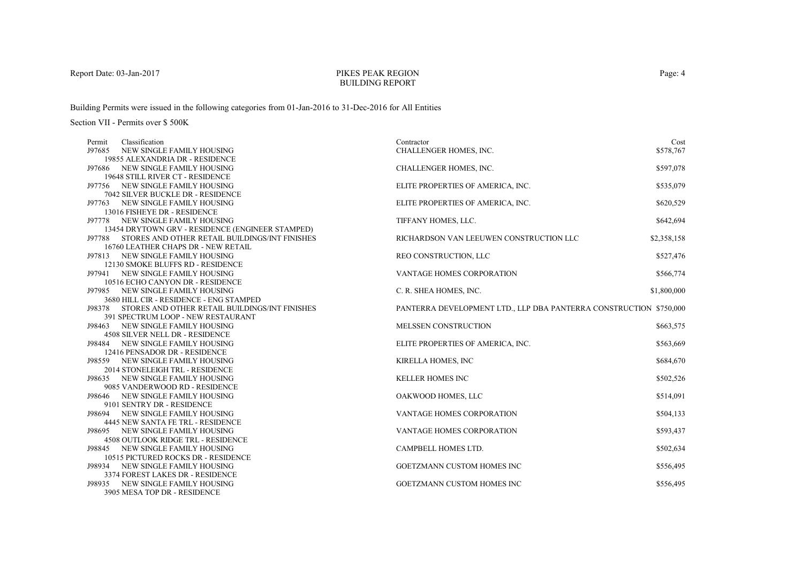## PIKES PEAK REGIONBUILDING REPORT

Building Permits were issued in the following categories from 01-Jan-2016 to 31-Dec-2016 for All Entities

| Classification<br>Permit                              | Contractor                                                         | Cost        |
|-------------------------------------------------------|--------------------------------------------------------------------|-------------|
| J97685<br>NEW SINGLE FAMILY HOUSING                   | CHALLENGER HOMES, INC.                                             | \$578,767   |
| 19855 ALEXANDRIA DR - RESIDENCE                       |                                                                    |             |
| J97686 NEW SINGLE FAMILY HOUSING                      | CHALLENGER HOMES, INC.                                             | \$597,078   |
| 19648 STILL RIVER CT - RESIDENCE                      |                                                                    |             |
| J97756 NEW SINGLE FAMILY HOUSING                      | ELITE PROPERTIES OF AMERICA, INC.                                  | \$535,079   |
| 7042 SILVER BUCKLE DR - RESIDENCE                     |                                                                    |             |
| J97763 NEW SINGLE FAMILY HOUSING                      | ELITE PROPERTIES OF AMERICA, INC.                                  | \$620,529   |
| 13016 FISHEYE DR - RESIDENCE                          |                                                                    |             |
| J97778 NEW SINGLE FAMILY HOUSING                      | TIFFANY HOMES, LLC.                                                | \$642,694   |
| 13454 DRYTOWN GRV - RESIDENCE (ENGINEER STAMPED)      |                                                                    |             |
| J97788 STORES AND OTHER RETAIL BUILDINGS/INT FINISHES | RICHARDSON VAN LEEUWEN CONSTRUCTION LLC                            | \$2,358,158 |
| 16760 LEATHER CHAPS DR - NEW RETAIL                   |                                                                    |             |
| J97813 NEW SINGLE FAMILY HOUSING                      | REO CONSTRUCTION, LLC                                              | \$527,476   |
| 12130 SMOKE BLUFFS RD - RESIDENCE                     |                                                                    |             |
| J97941 NEW SINGLE FAMILY HOUSING                      | VANTAGE HOMES CORPORATION                                          | \$566,774   |
| 10516 ECHO CANYON DR - RESIDENCE                      |                                                                    |             |
| J97985 NEW SINGLE FAMILY HOUSING                      | C. R. SHEA HOMES, INC.                                             | \$1,800,000 |
| 3680 HILL CIR - RESIDENCE - ENG STAMPED               |                                                                    |             |
| J98378 STORES AND OTHER RETAIL BUILDINGS/INT FINISHES | PANTERRA DEVELOPMENT LTD., LLP DBA PANTERRA CONSTRUCTION \$750,000 |             |
| 391 SPECTRUM LOOP - NEW RESTAURANT                    |                                                                    |             |
| NEW SINGLE FAMILY HOUSING<br>J98463                   | <b>MELSSEN CONSTRUCTION</b>                                        | \$663,575   |
| 4508 SILVER NELL DR - RESIDENCE                       |                                                                    |             |
| J98484 NEW SINGLE FAMILY HOUSING                      | ELITE PROPERTIES OF AMERICA, INC.                                  | \$563,669   |
| 12416 PENSADOR DR - RESIDENCE                         |                                                                    |             |
| <b>J98559 NEW SINGLE FAMILY HOUSING</b>               | KIRELLA HOMES, INC                                                 | \$684,670   |
| 2014 STONELEIGH TRL - RESIDENCE                       |                                                                    |             |
| J98635 NEW SINGLE FAMILY HOUSING                      | <b>KELLER HOMES INC</b>                                            | \$502,526   |
| 9085 VANDERWOOD RD - RESIDENCE                        |                                                                    |             |
| J98646 NEW SINGLE FAMILY HOUSING                      | OAKWOOD HOMES, LLC                                                 | \$514,091   |
| 9101 SENTRY DR - RESIDENCE                            |                                                                    |             |
| J98694 NEW SINGLE FAMILY HOUSING                      | VANTAGE HOMES CORPORATION                                          | \$504,133   |
| 4445 NEW SANTA FE TRL - RESIDENCE                     |                                                                    |             |
| NEW SINGLE FAMILY HOUSING<br>J98695                   | <b>VANTAGE HOMES CORPORATION</b>                                   | \$593,437   |
| <b>4508 OUTLOOK RIDGE TRL - RESIDENCE</b>             |                                                                    |             |
| J98845 NEW SINGLE FAMILY HOUSING                      | CAMPBELL HOMES LTD.                                                | \$502,634   |
| 10515 PICTURED ROCKS DR - RESIDENCE                   |                                                                    |             |
| J98934 NEW SINGLE FAMILY HOUSING                      | <b>GOETZMANN CUSTOM HOMES INC</b>                                  | \$556,495   |
| 3374 FOREST LAKES DR - RESIDENCE                      |                                                                    |             |
| J98935 NEW SINGLE FAMILY HOUSING                      | <b>GOETZMANN CUSTOM HOMES INC</b>                                  | \$556,495   |
| 3905 MESA TOP DR - RESIDENCE                          |                                                                    |             |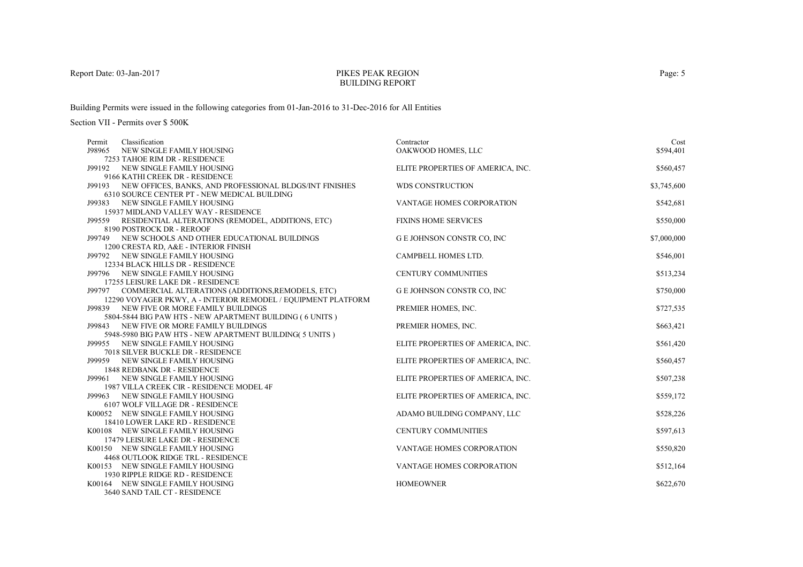## PIKES PEAK REGIONBUILDING REPORT

Building Permits were issued in the following categories from 01-Jan-2016 to 31-Dec-2016 for All Entities

| Classification<br>Permit                                                                                  | Contractor                        | Cost        |
|-----------------------------------------------------------------------------------------------------------|-----------------------------------|-------------|
| J98965<br>NEW SINGLE FAMILY HOUSING                                                                       | OAKWOOD HOMES, LLC                | \$594,401   |
| 7253 TAHOE RIM DR - RESIDENCE                                                                             |                                   |             |
| J99192 NEW SINGLE FAMILY HOUSING                                                                          | ELITE PROPERTIES OF AMERICA, INC. | \$560,457   |
| 9166 KATHI CREEK DR - RESIDENCE                                                                           |                                   |             |
| J99193 NEW OFFICES, BANKS, AND PROFESSIONAL BLDGS/INT FINISHES                                            | <b>WDS CONSTRUCTION</b>           | \$3,745,600 |
| 6310 SOURCE CENTER PT - NEW MEDICAL BUILDING                                                              |                                   |             |
| J99383 NEW SINGLE FAMILY HOUSING                                                                          | VANTAGE HOMES CORPORATION         | \$542,681   |
| 15937 MIDLAND VALLEY WAY - RESIDENCE                                                                      |                                   |             |
| J99559 RESIDENTIAL ALTERATIONS (REMODEL, ADDITIONS, ETC)                                                  | <b>FIXINS HOME SERVICES</b>       | \$550,000   |
| 8190 POSTROCK DR - REROOF                                                                                 |                                   |             |
| J99749 NEW SCHOOLS AND OTHER EDUCATIONAL BUILDINGS                                                        | <b>GE JOHNSON CONSTR CO, INC</b>  | \$7,000,000 |
| 1200 CRESTA RD, A&E - INTERIOR FINISH                                                                     |                                   |             |
| J99792 NEW SINGLE FAMILY HOUSING                                                                          | CAMPBELL HOMES LTD.               | \$546,001   |
| 12334 BLACK HILLS DR - RESIDENCE                                                                          |                                   |             |
| J99796 NEW SINGLE FAMILY HOUSING                                                                          | <b>CENTURY COMMUNITIES</b>        | \$513,234   |
| 17255 LEISURE LAKE DR - RESIDENCE                                                                         |                                   |             |
| J99797 COMMERCIAL ALTERATIONS (ADDITIONS, REMODELS, ETC)                                                  | <b>GE JOHNSON CONSTR CO, INC</b>  | \$750,000   |
| 12290 VOYAGER PKWY, A - INTERIOR REMODEL / EQUIPMENT PLATFORM<br>J99839 NEW FIVE OR MORE FAMILY BUILDINGS | PREMIER HOMES, INC.               | \$727,535   |
| 5804-5844 BIG PAW HTS - NEW APARTMENT BUILDING (6 UNITS)                                                  |                                   |             |
| J99843 NEW FIVE OR MORE FAMILY BUILDINGS                                                                  | PREMIER HOMES, INC.               | \$663,421   |
| 5948-5980 BIG PAW HTS - NEW APARTMENT BUILDING(5 UNITS)                                                   |                                   |             |
| J99955 NEW SINGLE FAMILY HOUSING                                                                          | ELITE PROPERTIES OF AMERICA, INC. | \$561,420   |
| 7018 SILVER BUCKLE DR - RESIDENCE                                                                         |                                   |             |
| J99959 NEW SINGLE FAMILY HOUSING                                                                          | ELITE PROPERTIES OF AMERICA, INC. | \$560,457   |
| 1848 REDBANK DR - RESIDENCE                                                                               |                                   |             |
| J99961 NEW SINGLE FAMILY HOUSING                                                                          | ELITE PROPERTIES OF AMERICA, INC. | \$507,238   |
| 1987 VILLA CREEK CIR - RESIDENCE MODEL 4F                                                                 |                                   |             |
| J99963 NEW SINGLE FAMILY HOUSING                                                                          | ELITE PROPERTIES OF AMERICA, INC. | \$559,172   |
| 6107 WOLF VILLAGE DR - RESIDENCE                                                                          |                                   |             |
| K00052 NEW SINGLE FAMILY HOUSING                                                                          | ADAMO BUILDING COMPANY, LLC       | \$528,226   |
| 18410 LOWER LAKE RD - RESIDENCE                                                                           |                                   |             |
| K00108 NEW SINGLE FAMILY HOUSING                                                                          | <b>CENTURY COMMUNITIES</b>        | \$597,613   |
| 17479 LEISURE LAKE DR - RESIDENCE                                                                         |                                   |             |
| K00150 NEW SINGLE FAMILY HOUSING                                                                          | VANTAGE HOMES CORPORATION         | \$550,820   |
| 4468 OUTLOOK RIDGE TRL - RESIDENCE                                                                        |                                   |             |
| K00153 NEW SINGLE FAMILY HOUSING                                                                          | VANTAGE HOMES CORPORATION         | \$512,164   |
| 1930 RIPPLE RIDGE RD - RESIDENCE                                                                          |                                   |             |
| K00164 NEW SINGLE FAMILY HOUSING                                                                          | <b>HOMEOWNER</b>                  | \$622,670   |
| 3640 SAND TAIL CT - RESIDENCE                                                                             |                                   |             |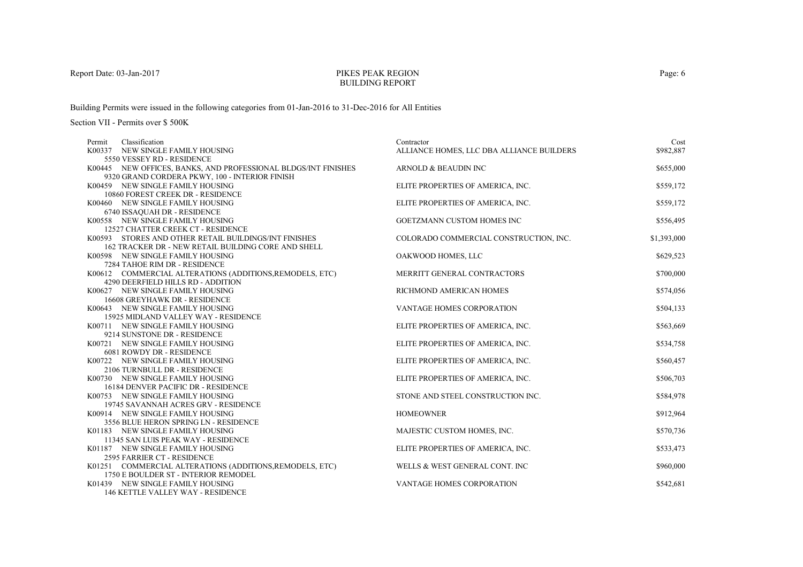## PIKES PEAK REGIONBUILDING REPORT

Building Permits were issued in the following categories from 01-Jan-2016 to 31-Dec-2016 for All Entities

| Classification<br>Permit<br>K00337 NEW SINGLE FAMILY HOUSING             | Contractor<br>ALLIANCE HOMES, LLC DBA ALLIANCE BUILDERS | Cost<br>\$982,887 |
|--------------------------------------------------------------------------|---------------------------------------------------------|-------------------|
| 5550 VESSEY RD - RESIDENCE                                               |                                                         |                   |
| K00445 NEW OFFICES, BANKS, AND PROFESSIONAL BLDGS/INT FINISHES           | ARNOLD & BEAUDIN INC                                    | \$655,000         |
| 9320 GRAND CORDERA PKWY, 100 - INTERIOR FINISH                           |                                                         |                   |
| K00459 NEW SINGLE FAMILY HOUSING                                         | ELITE PROPERTIES OF AMERICA, INC.                       | \$559,172         |
| 10860 FOREST CREEK DR - RESIDENCE                                        |                                                         |                   |
| K00460 NEW SINGLE FAMILY HOUSING                                         | ELITE PROPERTIES OF AMERICA, INC.                       | \$559,172         |
| 6740 ISSAQUAH DR - RESIDENCE                                             |                                                         |                   |
| K00558 NEW SINGLE FAMILY HOUSING                                         | <b>GOETZMANN CUSTOM HOMES INC</b>                       | \$556,495         |
| 12527 CHATTER CREEK CT - RESIDENCE                                       |                                                         |                   |
| K00593 STORES AND OTHER RETAIL BUILDINGS/INT FINISHES                    | COLORADO COMMERCIAL CONSTRUCTION, INC.                  | \$1,393,000       |
| 162 TRACKER DR - NEW RETAIL BUILDING CORE AND SHELL                      |                                                         |                   |
| K00598 NEW SINGLE FAMILY HOUSING                                         | OAKWOOD HOMES, LLC                                      | \$629,523         |
| 7284 TAHOE RIM DR - RESIDENCE                                            |                                                         |                   |
| K00612 COMMERCIAL ALTERATIONS (ADDITIONS, REMODELS, ETC)                 | MERRITT GENERAL CONTRACTORS                             | \$700,000         |
| 4290 DEERFIELD HILLS RD - ADDITION                                       |                                                         |                   |
| K00627 NEW SINGLE FAMILY HOUSING                                         | RICHMOND AMERICAN HOMES                                 | \$574,056         |
| 16608 GREYHAWK DR - RESIDENCE                                            |                                                         |                   |
| K00643 NEW SINGLE FAMILY HOUSING                                         | VANTAGE HOMES CORPORATION                               | \$504,133         |
| 15925 MIDLAND VALLEY WAY - RESIDENCE<br>K00711 NEW SINGLE FAMILY HOUSING | ELITE PROPERTIES OF AMERICA, INC.                       | \$563,669         |
| 9214 SUNSTONE DR - RESIDENCE                                             |                                                         |                   |
| K00721 NEW SINGLE FAMILY HOUSING                                         | ELITE PROPERTIES OF AMERICA, INC.                       | \$534,758         |
| 6081 ROWDY DR - RESIDENCE                                                |                                                         |                   |
| K00722 NEW SINGLE FAMILY HOUSING                                         | ELITE PROPERTIES OF AMERICA, INC.                       | \$560,457         |
| 2106 TURNBULL DR - RESIDENCE                                             |                                                         |                   |
| K00730 NEW SINGLE FAMILY HOUSING                                         | ELITE PROPERTIES OF AMERICA, INC.                       | \$506,703         |
| 16184 DENVER PACIFIC DR - RESIDENCE                                      |                                                         |                   |
| K00753 NEW SINGLE FAMILY HOUSING                                         | STONE AND STEEL CONSTRUCTION INC.                       | \$584,978         |
| 19745 SAVANNAH ACRES GRV - RESIDENCE                                     |                                                         |                   |
| K00914 NEW SINGLE FAMILY HOUSING                                         | <b>HOMEOWNER</b>                                        | \$912,964         |
| 3556 BLUE HERON SPRING LN - RESIDENCE                                    |                                                         |                   |
| K01183 NEW SINGLE FAMILY HOUSING                                         | MAJESTIC CUSTOM HOMES, INC.                             | \$570,736         |
| 11345 SAN LUIS PEAK WAY - RESIDENCE                                      |                                                         |                   |
| K01187 NEW SINGLE FAMILY HOUSING                                         | ELITE PROPERTIES OF AMERICA, INC.                       | \$533,473         |
| 2595 FARRIER CT - RESIDENCE                                              |                                                         |                   |
| K01251 COMMERCIAL ALTERATIONS (ADDITIONS, REMODELS, ETC)                 | WELLS & WEST GENERAL CONT. INC                          | \$960,000         |
| 1750 E BOULDER ST - INTERIOR REMODEL                                     |                                                         |                   |
| K01439 NEW SINGLE FAMILY HOUSING                                         | <b>VANTAGE HOMES CORPORATION</b>                        | \$542,681         |
| 146 KETTLE VALLEY WAY - RESIDENCE                                        |                                                         |                   |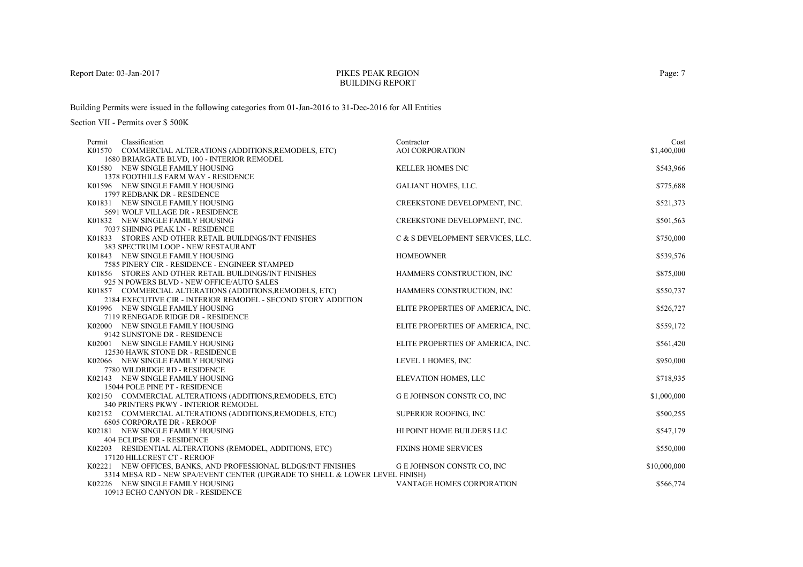### PIKES PEAK REGIONBUILDING REPORT

Building Permits were issued in the following categories from 01-Jan-2016 to 31-Dec-2016 for All Entities

| Classification<br>Permit                                                                      | Contractor                        | Cost         |
|-----------------------------------------------------------------------------------------------|-----------------------------------|--------------|
| K01570 COMMERCIAL ALTERATIONS (ADDITIONS, REMODELS, ETC)                                      | <b>AOI CORPORATION</b>            | \$1,400,000  |
| 1680 BRIARGATE BLVD, 100 - INTERIOR REMODEL                                                   |                                   |              |
| K01580 NEW SINGLE FAMILY HOUSING                                                              | <b>KELLER HOMES INC</b>           | \$543,966    |
| <b>1378 FOOTHILLS FARM WAY - RESIDENCE</b>                                                    |                                   |              |
| K01596 NEW SINGLE FAMILY HOUSING<br>1797 REDBANK DR - RESIDENCE                               | <b>GALIANT HOMES, LLC.</b>        | \$775,688    |
| K01831 NEW SINGLE FAMILY HOUSING                                                              | CREEKSTONE DEVELOPMENT, INC.      | \$521,373    |
| 5691 WOLF VILLAGE DR - RESIDENCE                                                              |                                   |              |
| K01832 NEW SINGLE FAMILY HOUSING                                                              | CREEKSTONE DEVELOPMENT, INC.      | \$501,563    |
| 7037 SHINING PEAK LN - RESIDENCE                                                              |                                   |              |
| K01833 STORES AND OTHER RETAIL BUILDINGS/INT FINISHES                                         | C & S DEVELOPMENT SERVICES, LLC.  | \$750,000    |
| 383 SPECTRUM LOOP - NEW RESTAURANT                                                            |                                   |              |
| K01843 NEW SINGLE FAMILY HOUSING                                                              | <b>HOMEOWNER</b>                  | \$539,576    |
| 7585 PINERY CIR - RESIDENCE - ENGINEER STAMPED                                                |                                   |              |
| K01856 STORES AND OTHER RETAIL BUILDINGS/INT FINISHES                                         | HAMMERS CONSTRUCTION, INC         | \$875,000    |
| 925 N POWERS BLVD - NEW OFFICE/AUTO SALES                                                     |                                   |              |
| K01857 COMMERCIAL ALTERATIONS (ADDITIONS, REMODELS, ETC)                                      | HAMMERS CONSTRUCTION, INC         | \$550,737    |
| 2184 EXECUTIVE CIR - INTERIOR REMODEL - SECOND STORY ADDITION                                 |                                   |              |
| K01996 NEW SINGLE FAMILY HOUSING                                                              | ELITE PROPERTIES OF AMERICA, INC. | \$526,727    |
| 7119 RENEGADE RIDGE DR - RESIDENCE<br>K02000 NEW SINGLE FAMILY HOUSING                        |                                   | \$559,172    |
| 9142 SUNSTONE DR - RESIDENCE                                                                  | ELITE PROPERTIES OF AMERICA, INC. |              |
| K02001 NEW SINGLE FAMILY HOUSING                                                              | ELITE PROPERTIES OF AMERICA, INC. | \$561,420    |
| 12530 HAWK STONE DR - RESIDENCE                                                               |                                   |              |
| K02066 NEW SINGLE FAMILY HOUSING                                                              | LEVEL 1 HOMES, INC                | \$950,000    |
| 7780 WILDRIDGE RD - RESIDENCE                                                                 |                                   |              |
| K02143 NEW SINGLE FAMILY HOUSING                                                              | <b>ELEVATION HOMES, LLC</b>       | \$718,935    |
| 15044 POLE PINE PT - RESIDENCE                                                                |                                   |              |
| K02150 COMMERCIAL ALTERATIONS (ADDITIONS, REMODELS, ETC)                                      | <b>GE JOHNSON CONSTR CO, INC</b>  | \$1,000,000  |
| 340 PRINTERS PKWY - INTERIOR REMODEL                                                          |                                   |              |
| K02152 COMMERCIAL ALTERATIONS (ADDITIONS, REMODELS, ETC)                                      | SUPERIOR ROOFING, INC             | \$500,255    |
| <b>6805 CORPORATE DR - REROOF</b>                                                             |                                   |              |
| K02181 NEW SINGLE FAMILY HOUSING                                                              | HI POINT HOME BUILDERS LLC        | \$547,179    |
| 404 ECLIPSE DR - RESIDENCE                                                                    |                                   |              |
| K02203 RESIDENTIAL ALTERATIONS (REMODEL, ADDITIONS, ETC)                                      | <b>FIXINS HOME SERVICES</b>       | \$550,000    |
| 17120 HILLCREST CT - REROOF<br>K02221 NEW OFFICES, BANKS, AND PROFESSIONAL BLDGS/INT FINISHES | <b>GE JOHNSON CONSTR CO, INC</b>  | \$10,000,000 |
| 3314 MESA RD - NEW SPA/EVENT CENTER (UPGRADE TO SHELL & LOWER LEVEL FINISH)                   |                                   |              |
| K02226 NEW SINGLE FAMILY HOUSING                                                              | VANTAGE HOMES CORPORATION         | \$566,774    |
| 10913 ECHO CANYON DR - RESIDENCE                                                              |                                   |              |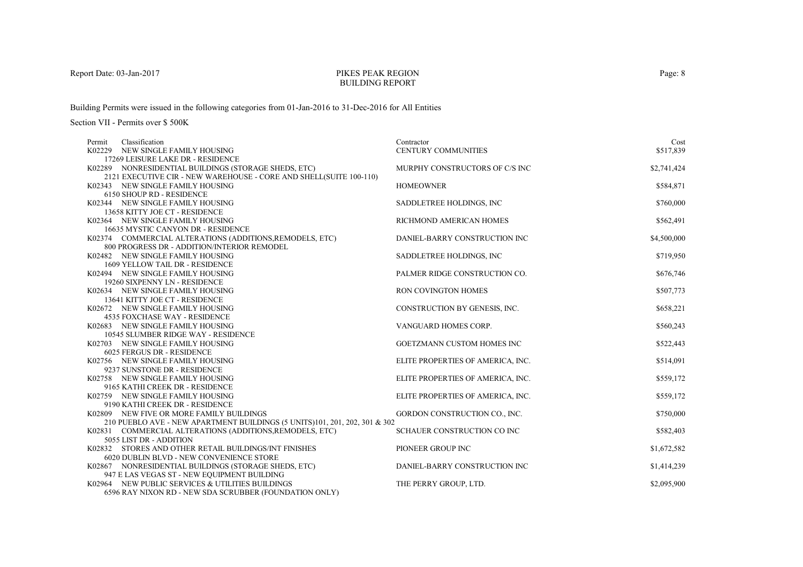## PIKES PEAK REGIONBUILDING REPORT

Building Permits were issued in the following categories from 01-Jan-2016 to 31-Dec-2016 for All Entities

| Classification<br>Permit                                                   | Contractor                        | Cost        |
|----------------------------------------------------------------------------|-----------------------------------|-------------|
| K02229 NEW SINGLE FAMILY HOUSING                                           | <b>CENTURY COMMUNITIES</b>        | \$517,839   |
| 17269 LEISURE LAKE DR - RESIDENCE                                          |                                   |             |
| K02289 NONRESIDENTIAL BUILDINGS (STORAGE SHEDS, ETC)                       | MURPHY CONSTRUCTORS OF C/S INC    | \$2,741,424 |
| 2121 EXECUTIVE CIR - NEW WAREHOUSE - CORE AND SHELL(SUITE 100-110)         |                                   |             |
| K02343 NEW SINGLE FAMILY HOUSING                                           | <b>HOMEOWNER</b>                  | \$584,871   |
| 6150 SHOUP RD - RESIDENCE<br>K02344 NEW SINGLE FAMILY HOUSING              |                                   | \$760,000   |
| 13658 KITTY JOE CT - RESIDENCE                                             | SADDLETREE HOLDINGS, INC          |             |
| K02364 NEW SINGLE FAMILY HOUSING                                           | RICHMOND AMERICAN HOMES           | \$562,491   |
| 16635 MYSTIC CANYON DR - RESIDENCE                                         |                                   |             |
| K02374 COMMERCIAL ALTERATIONS (ADDITIONS, REMODELS, ETC)                   | DANIEL-BARRY CONSTRUCTION INC     | \$4,500,000 |
| 800 PROGRESS DR - ADDITION/INTERIOR REMODEL                                |                                   |             |
| K02482 NEW SINGLE FAMILY HOUSING                                           | SADDLETREE HOLDINGS, INC          | \$719,950   |
| 1609 YELLOW TAIL DR - RESIDENCE                                            |                                   |             |
| K02494 NEW SINGLE FAMILY HOUSING                                           | PALMER RIDGE CONSTRUCTION CO.     | \$676,746   |
| 19260 SIXPENNY LN - RESIDENCE                                              |                                   |             |
| K02634 NEW SINGLE FAMILY HOUSING                                           | <b>RON COVINGTON HOMES</b>        | \$507,773   |
| 13641 KITTY JOE CT - RESIDENCE                                             |                                   |             |
| K02672 NEW SINGLE FAMILY HOUSING                                           | CONSTRUCTION BY GENESIS, INC.     | \$658,221   |
| <b>4535 FOXCHASE WAY - RESIDENCE</b>                                       |                                   |             |
| K02683 NEW SINGLE FAMILY HOUSING                                           | VANGUARD HOMES CORP.              | \$560,243   |
| 10545 SLUMBER RIDGE WAY - RESIDENCE                                        |                                   |             |
| K02703 NEW SINGLE FAMILY HOUSING                                           | <b>GOETZMANN CUSTOM HOMES INC</b> | \$522,443   |
| 6025 FERGUS DR - RESIDENCE                                                 |                                   |             |
| K02756 NEW SINGLE FAMILY HOUSING                                           | ELITE PROPERTIES OF AMERICA, INC. | \$514,091   |
| 9237 SUNSTONE DR - RESIDENCE                                               |                                   |             |
| K02758 NEW SINGLE FAMILY HOUSING                                           | ELITE PROPERTIES OF AMERICA, INC. | \$559,172   |
| 9165 KATHI CREEK DR - RESIDENCE                                            |                                   |             |
| K02759 NEW SINGLE FAMILY HOUSING                                           | ELITE PROPERTIES OF AMERICA, INC. | \$559,172   |
| 9190 KATHI CREEK DR - RESIDENCE                                            |                                   |             |
| K02809 NEW FIVE OR MORE FAMILY BUILDINGS                                   | GORDON CONSTRUCTION CO., INC.     | \$750,000   |
| 210 PUEBLO AVE - NEW APARTMENT BUILDINGS (5 UNITS)101, 201, 202, 301 & 302 |                                   |             |
| K02831 COMMERCIAL ALTERATIONS (ADDITIONS, REMODELS, ETC)                   | SCHAUER CONSTRUCTION CO INC       | \$582,403   |
| 5055 LIST DR - ADDITION                                                    |                                   |             |
| K02832 STORES AND OTHER RETAIL BUILDINGS/INT FINISHES                      | PIONEER GROUP INC                 | \$1,672,582 |
| <b>6020 DUBLIN BLVD - NEW CONVENIENCE STORE</b>                            |                                   |             |
| K02867 NONRESIDENTIAL BUILDINGS (STORAGE SHEDS, ETC)                       | DANIEL-BARRY CONSTRUCTION INC     | \$1,414,239 |
| 947 E LAS VEGAS ST - NEW EQUIPMENT BUILDING                                |                                   |             |
| K02964 NEW PUBLIC SERVICES & UTILITIES BUILDINGS                           | THE PERRY GROUP, LTD.             | \$2,095,900 |
| 6596 RAY NIXON RD - NEW SDA SCRUBBER (FOUNDATION ONLY)                     |                                   |             |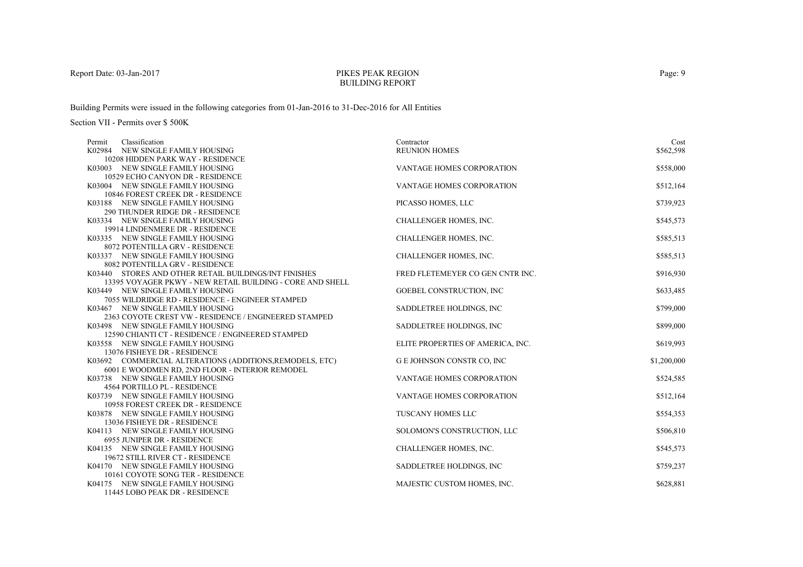## PIKES PEAK REGIONBUILDING REPORT

Building Permits were issued in the following categories from 01-Jan-2016 to 31-Dec-2016 for All Entities

| Classification<br>Permit                                               | Contractor                        | Cost        |
|------------------------------------------------------------------------|-----------------------------------|-------------|
| K02984 NEW SINGLE FAMILY HOUSING                                       | <b>REUNION HOMES</b>              | \$562,598   |
| 10208 HIDDEN PARK WAY - RESIDENCE                                      |                                   |             |
| K03003 NEW SINGLE FAMILY HOUSING                                       | <b>VANTAGE HOMES CORPORATION</b>  | \$558,000   |
| 10529 ECHO CANYON DR - RESIDENCE                                       |                                   |             |
| K03004 NEW SINGLE FAMILY HOUSING                                       | VANTAGE HOMES CORPORATION         | \$512,164   |
| 10846 FOREST CREEK DR - RESIDENCE<br>K03188 NEW SINGLE FAMILY HOUSING  | PICASSO HOMES, LLC                | \$739,923   |
| 290 THUNDER RIDGE DR - RESIDENCE                                       |                                   |             |
| K03334 NEW SINGLE FAMILY HOUSING                                       | CHALLENGER HOMES, INC.            | \$545,573   |
| 19914 LINDENMERE DR - RESIDENCE                                        |                                   |             |
| K03335 NEW SINGLE FAMILY HOUSING                                       | CHALLENGER HOMES, INC.            | \$585,513   |
| 8072 POTENTILLA GRV - RESIDENCE                                        |                                   |             |
| K03337 NEW SINGLE FAMILY HOUSING                                       | CHALLENGER HOMES, INC.            | \$585,513   |
| 8082 POTENTILLA GRV - RESIDENCE                                        |                                   |             |
| K03440 STORES AND OTHER RETAIL BUILDINGS/INT FINISHES                  | FRED FLETEMEYER CO GEN CNTR INC.  | \$916,930   |
| 13395 VOYAGER PKWY - NEW RETAIL BUILDING - CORE AND SHELL              |                                   |             |
| K03449 NEW SINGLE FAMILY HOUSING                                       | GOEBEL CONSTRUCTION, INC          | \$633,485   |
| 7055 WILDRIDGE RD - RESIDENCE - ENGINEER STAMPED                       |                                   |             |
| K03467 NEW SINGLE FAMILY HOUSING                                       | SADDLETREE HOLDINGS, INC          | \$799,000   |
| 2363 COYOTE CREST VW - RESIDENCE / ENGINEERED STAMPED                  |                                   |             |
| K03498 NEW SINGLE FAMILY HOUSING                                       | SADDLETREE HOLDINGS, INC.         | \$899,000   |
| 12590 CHIANTI CT - RESIDENCE / ENGINEERED STAMPED                      |                                   |             |
| K03558 NEW SINGLE FAMILY HOUSING                                       | ELITE PROPERTIES OF AMERICA, INC. | \$619,993   |
| 13076 FISHEYE DR - RESIDENCE                                           |                                   |             |
| K03692 COMMERCIAL ALTERATIONS (ADDITIONS, REMODELS, ETC)               | G E JOHNSON CONSTR CO, INC        | \$1,200,000 |
| 6001 E WOODMEN RD, 2ND FLOOR - INTERIOR REMODEL                        |                                   |             |
| K03738 NEW SINGLE FAMILY HOUSING                                       | VANTAGE HOMES CORPORATION         | \$524,585   |
| 4564 PORTILLO PL - RESIDENCE                                           |                                   |             |
| K03739 NEW SINGLE FAMILY HOUSING                                       | VANTAGE HOMES CORPORATION         | \$512,164   |
| 10958 FOREST CREEK DR - RESIDENCE                                      |                                   |             |
| K03878 NEW SINGLE FAMILY HOUSING                                       | TUSCANY HOMES LLC                 | \$554,353   |
| 13036 FISHEYE DR - RESIDENCE                                           |                                   |             |
| K04113 NEW SINGLE FAMILY HOUSING                                       | SOLOMON'S CONSTRUCTION, LLC       | \$506,810   |
| <b>6955 JUNIPER DR - RESIDENCE</b><br>K04135 NEW SINGLE FAMILY HOUSING | CHALLENGER HOMES, INC.            | \$545,573   |
| 19672 STILL RIVER CT - RESIDENCE                                       |                                   |             |
| K04170 NEW SINGLE FAMILY HOUSING                                       | SADDLETREE HOLDINGS, INC          | \$759,237   |
| 10161 COYOTE SONG TER - RESIDENCE                                      |                                   |             |
| K04175 NEW SINGLE FAMILY HOUSING                                       | MAJESTIC CUSTOM HOMES, INC.       | \$628,881   |
| 11445 LOBO PEAK DR - RESIDENCE                                         |                                   |             |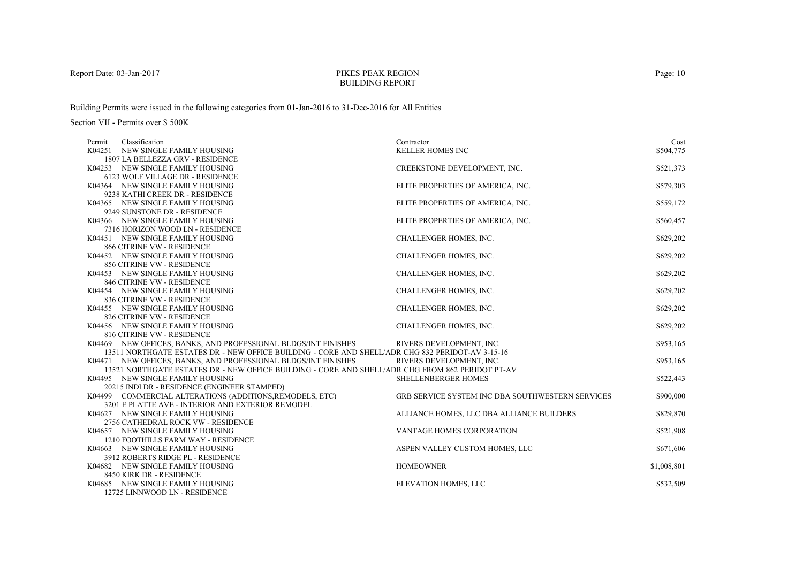## PIKES PEAK REGIONBUILDING REPORT

Building Permits were issued in the following categories from 01-Jan-2016 to 31-Dec-2016 for All Entities

| Classification<br>Permit                                                                         | Contractor                                              | Cost        |
|--------------------------------------------------------------------------------------------------|---------------------------------------------------------|-------------|
| K04251 NEW SINGLE FAMILY HOUSING                                                                 | <b>KELLER HOMES INC</b>                                 | \$504,775   |
| 1807 LA BELLEZZA GRV - RESIDENCE                                                                 |                                                         |             |
| K04253 NEW SINGLE FAMILY HOUSING                                                                 | CREEKSTONE DEVELOPMENT, INC.                            | \$521,373   |
| 6123 WOLF VILLAGE DR - RESIDENCE                                                                 |                                                         |             |
| K04364 NEW SINGLE FAMILY HOUSING                                                                 | ELITE PROPERTIES OF AMERICA, INC.                       | \$579,303   |
| 9238 KATHI CREEK DR - RESIDENCE                                                                  |                                                         |             |
| K04365 NEW SINGLE FAMILY HOUSING                                                                 | ELITE PROPERTIES OF AMERICA, INC.                       | \$559,172   |
| 9249 SUNSTONE DR - RESIDENCE                                                                     |                                                         |             |
| K04366 NEW SINGLE FAMILY HOUSING                                                                 | ELITE PROPERTIES OF AMERICA, INC.                       | \$560,457   |
| 7316 HORIZON WOOD LN - RESIDENCE                                                                 |                                                         |             |
| K04451 NEW SINGLE FAMILY HOUSING                                                                 | CHALLENGER HOMES, INC.                                  | \$629,202   |
| 866 CITRINE VW - RESIDENCE                                                                       |                                                         |             |
| K04452 NEW SINGLE FAMILY HOUSING                                                                 | CHALLENGER HOMES, INC.                                  | \$629,202   |
| 856 CITRINE VW - RESIDENCE                                                                       |                                                         |             |
| K04453 NEW SINGLE FAMILY HOUSING                                                                 | CHALLENGER HOMES, INC.                                  | \$629,202   |
| 846 CITRINE VW - RESIDENCE                                                                       |                                                         |             |
| K04454 NEW SINGLE FAMILY HOUSING                                                                 | CHALLENGER HOMES, INC.                                  | \$629,202   |
| 836 CITRINE VW - RESIDENCE                                                                       |                                                         |             |
| K04455 NEW SINGLE FAMILY HOUSING                                                                 | CHALLENGER HOMES, INC.                                  | \$629,202   |
| 826 CITRINE VW - RESIDENCE                                                                       |                                                         |             |
| K04456 NEW SINGLE FAMILY HOUSING                                                                 | CHALLENGER HOMES, INC.                                  | \$629,202   |
| 816 CITRINE VW - RESIDENCE                                                                       |                                                         |             |
| K04469 NEW OFFICES, BANKS, AND PROFESSIONAL BLDGS/INT FINISHES                                   | RIVERS DEVELOPMENT, INC.                                | \$953,165   |
| 13511 NORTHGATE ESTATES DR - NEW OFFICE BUILDING - CORE AND SHELL/ADR CHG 832 PERIDOT-AV 3-15-16 |                                                         |             |
| K04471 NEW OFFICES, BANKS, AND PROFESSIONAL BLDGS/INT FINISHES                                   | RIVERS DEVELOPMENT. INC.                                | \$953,165   |
| 13521 NORTHGATE ESTATES DR - NEW OFFICE BUILDING - CORE AND SHELL/ADR CHG FROM 862 PERIDOT PT-AV |                                                         |             |
| K04495 NEW SINGLE FAMILY HOUSING                                                                 | SHELLENBERGER HOMES                                     | \$522,443   |
| 20215 INDI DR - RESIDENCE (ENGINEER STAMPED)                                                     |                                                         |             |
| K04499 COMMERCIAL ALTERATIONS (ADDITIONS, REMODELS, ETC)                                         | <b>GRB SERVICE SYSTEM INC DBA SOUTHWESTERN SERVICES</b> | \$900,000   |
| 3201 E PLATTE AVE - INTERIOR AND EXTERIOR REMODEL                                                |                                                         |             |
| K04627 NEW SINGLE FAMILY HOUSING<br>2756 CATHEDRAL ROCK VW - RESIDENCE                           | ALLIANCE HOMES, LLC DBA ALLIANCE BUILDERS               | \$829,870   |
| K04657 NEW SINGLE FAMILY HOUSING                                                                 | VANTAGE HOMES CORPORATION                               | \$521,908   |
| 1210 FOOTHILLS FARM WAY - RESIDENCE                                                              |                                                         |             |
| K04663 NEW SINGLE FAMILY HOUSING                                                                 | ASPEN VALLEY CUSTOM HOMES, LLC                          | \$671,606   |
| 3912 ROBERTS RIDGE PL - RESIDENCE                                                                |                                                         |             |
| K04682 NEW SINGLE FAMILY HOUSING                                                                 | <b>HOMEOWNER</b>                                        | \$1,008,801 |
| 8450 KIRK DR - RESIDENCE                                                                         |                                                         |             |
| K04685 NEW SINGLE FAMILY HOUSING                                                                 | ELEVATION HOMES, LLC                                    | \$532,509   |
| 12725 LINNWOOD LN - RESIDENCE                                                                    |                                                         |             |
|                                                                                                  |                                                         |             |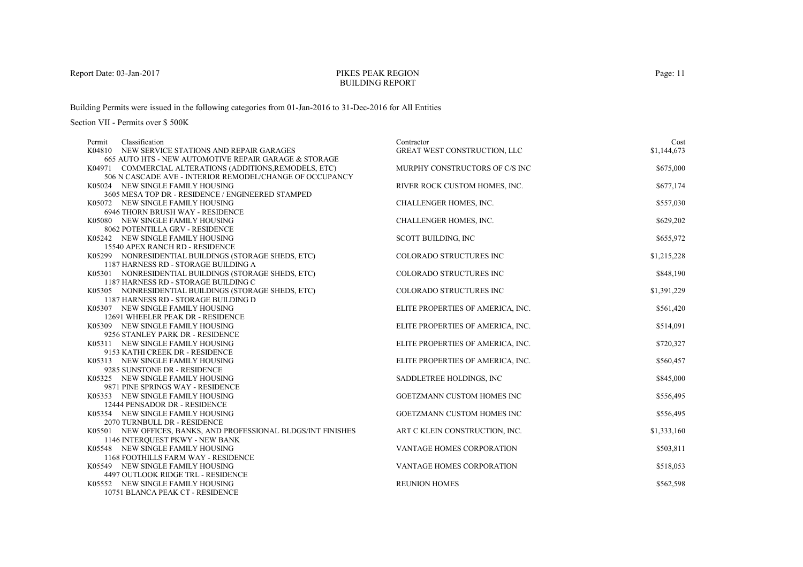## PIKES PEAK REGIONBUILDING REPORT

Building Permits were issued in the following categories from 01-Jan-2016 to 31-Dec-2016 for All Entities

| Classification<br>Permit                                                                     | Contractor                          | Cost        |
|----------------------------------------------------------------------------------------------|-------------------------------------|-------------|
| K04810 NEW SERVICE STATIONS AND REPAIR GARAGES                                               | <b>GREAT WEST CONSTRUCTION, LLC</b> | \$1,144,673 |
| 665 AUTO HTS - NEW AUTOMOTIVE REPAIR GARAGE & STORAGE                                        |                                     |             |
| K04971 COMMERCIAL ALTERATIONS (ADDITIONS, REMODELS, ETC)                                     | MURPHY CONSTRUCTORS OF C/S INC      | \$675,000   |
| 506 N CASCADE AVE - INTERIOR REMODEL/CHANGE OF OCCUPANCY                                     |                                     |             |
| K05024 NEW SINGLE FAMILY HOUSING                                                             | RIVER ROCK CUSTOM HOMES, INC.       | \$677,174   |
| 3605 MESA TOP DR - RESIDENCE / ENGINEERED STAMPED                                            |                                     |             |
| K05072 NEW SINGLE FAMILY HOUSING                                                             | CHALLENGER HOMES, INC.              | \$557,030   |
| 6946 THORN BRUSH WAY - RESIDENCE                                                             |                                     |             |
| K05080 NEW SINGLE FAMILY HOUSING                                                             | CHALLENGER HOMES, INC.              | \$629,202   |
| 8062 POTENTILLA GRV - RESIDENCE                                                              |                                     |             |
| K05242 NEW SINGLE FAMILY HOUSING                                                             | SCOTT BUILDING, INC                 | \$655,972   |
| 15540 APEX RANCH RD - RESIDENCE                                                              |                                     |             |
| K05299 NONRESIDENTIAL BUILDINGS (STORAGE SHEDS, ETC)                                         | COLORADO STRUCTURES INC             | \$1,215,228 |
| 1187 HARNESS RD - STORAGE BUILDING A<br>K05301 NONRESIDENTIAL BUILDINGS (STORAGE SHEDS, ETC) | COLORADO STRUCTURES INC             | \$848,190   |
| 1187 HARNESS RD - STORAGE BUILDING C                                                         |                                     |             |
| K05305 NONRESIDENTIAL BUILDINGS (STORAGE SHEDS, ETC)                                         | <b>COLORADO STRUCTURES INC</b>      | \$1,391,229 |
| 1187 HARNESS RD - STORAGE BUILDING D                                                         |                                     |             |
| K05307 NEW SINGLE FAMILY HOUSING                                                             | ELITE PROPERTIES OF AMERICA, INC.   | \$561,420   |
| 12691 WHEELER PEAK DR - RESIDENCE                                                            |                                     |             |
| K05309 NEW SINGLE FAMILY HOUSING                                                             | ELITE PROPERTIES OF AMERICA, INC.   | \$514,091   |
| 9256 STANLEY PARK DR - RESIDENCE                                                             |                                     |             |
| K05311 NEW SINGLE FAMILY HOUSING                                                             | ELITE PROPERTIES OF AMERICA, INC.   | \$720,327   |
| 9153 KATHI CREEK DR - RESIDENCE                                                              |                                     |             |
| K05313 NEW SINGLE FAMILY HOUSING                                                             | ELITE PROPERTIES OF AMERICA, INC.   | \$560,457   |
| 9285 SUNSTONE DR - RESIDENCE                                                                 |                                     |             |
| K05325 NEW SINGLE FAMILY HOUSING                                                             | SADDLETREE HOLDINGS, INC            | \$845,000   |
| 9871 PINE SPRINGS WAY - RESIDENCE                                                            |                                     |             |
| K05353 NEW SINGLE FAMILY HOUSING                                                             | <b>GOETZMANN CUSTOM HOMES INC</b>   | \$556,495   |
| 12444 PENSADOR DR - RESIDENCE                                                                |                                     |             |
| K05354 NEW SINGLE FAMILY HOUSING                                                             | <b>GOETZMANN CUSTOM HOMES INC</b>   | \$556,495   |
| 2070 TURNBULL DR - RESIDENCE                                                                 |                                     |             |
| K05501 NEW OFFICES, BANKS, AND PROFESSIONAL BLDGS/INT FINISHES                               | ART C KLEIN CONSTRUCTION, INC.      | \$1,333,160 |
| 1146 INTEROUEST PKWY - NEW BANK                                                              |                                     |             |
| K05548 NEW SINGLE FAMILY HOUSING                                                             | VANTAGE HOMES CORPORATION           | \$503,811   |
| 1168 FOOTHILLS FARM WAY - RESIDENCE                                                          |                                     |             |
| K05549 NEW SINGLE FAMILY HOUSING                                                             | VANTAGE HOMES CORPORATION           | \$518,053   |
| 4497 OUTLOOK RIDGE TRL - RESIDENCE                                                           |                                     |             |
| K05552 NEW SINGLE FAMILY HOUSING                                                             | <b>REUNION HOMES</b>                | \$562,598   |
| 10751 BLANCA PEAK CT - RESIDENCE                                                             |                                     |             |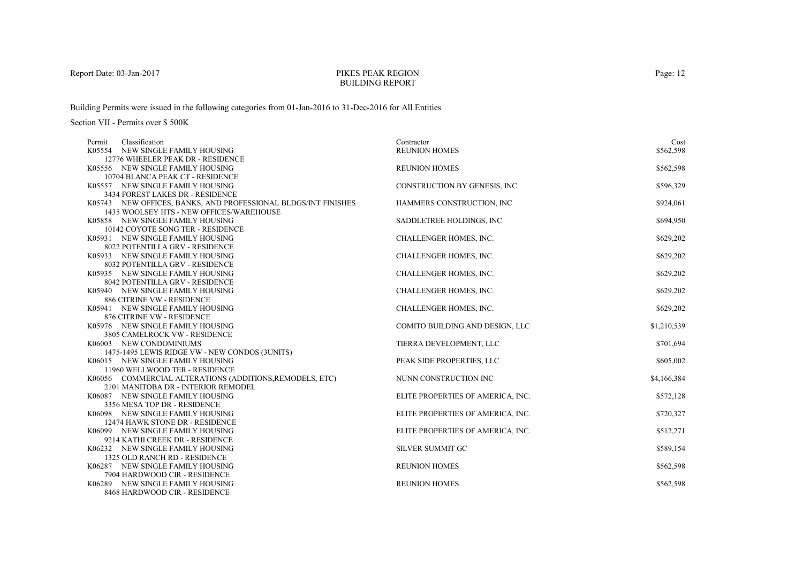## PIKES PEAK REGIONBUILDING REPORT

Building Permits were issued in the following categories from 01-Jan-2016 to 31-Dec-2016 for All Entities

| Classification<br>Permit                                           | Contractor                        | Cost        |
|--------------------------------------------------------------------|-----------------------------------|-------------|
| K05554 NEW SINGLE FAMILY HOUSING                                   | <b>REUNION HOMES</b>              | \$562,598   |
| 12776 WHEELER PEAK DR - RESIDENCE                                  |                                   |             |
| K05556 NEW SINGLE FAMILY HOUSING                                   | <b>REUNION HOMES</b>              | \$562,598   |
| 10704 BLANCA PEAK CT - RESIDENCE                                   |                                   |             |
| K05557 NEW SINGLE FAMILY HOUSING                                   | CONSTRUCTION BY GENESIS, INC.     | \$596,329   |
| 3434 FOREST LAKES DR - RESIDENCE                                   |                                   |             |
| K05743 NEW OFFICES, BANKS, AND PROFESSIONAL BLDGS/INT FINISHES     | HAMMERS CONSTRUCTION, INC         | \$924,061   |
| 1435 WOOLSEY HTS - NEW OFFICES/WAREHOUSE                           |                                   |             |
| K05858 NEW SINGLE FAMILY HOUSING                                   | SADDLETREE HOLDINGS, INC.         | \$694,950   |
| 10142 COYOTE SONG TER - RESIDENCE                                  |                                   |             |
| K05931 NEW SINGLE FAMILY HOUSING                                   | CHALLENGER HOMES, INC.            | \$629,202   |
| 8022 POTENTILLA GRV - RESIDENCE                                    |                                   |             |
| K05933 NEW SINGLE FAMILY HOUSING                                   | CHALLENGER HOMES, INC.            | \$629,202   |
| 8032 POTENTILLA GRV - RESIDENCE                                    |                                   |             |
| K05935 NEW SINGLE FAMILY HOUSING                                   | CHALLENGER HOMES, INC.            | \$629,202   |
| 8042 POTENTILLA GRV - RESIDENCE                                    |                                   |             |
| K05940 NEW SINGLE FAMILY HOUSING                                   | <b>CHALLENGER HOMES, INC.</b>     | \$629,202   |
| 886 CITRINE VW - RESIDENCE                                         |                                   |             |
| K05941 NEW SINGLE FAMILY HOUSING                                   | CHALLENGER HOMES, INC.            | \$629,202   |
| 876 CITRINE VW - RESIDENCE                                         |                                   |             |
| K05976 NEW SINGLE FAMILY HOUSING                                   | COMITO BUILDING AND DESIGN, LLC   | \$1,210,539 |
| 3805 CAMELROCK VW - RESIDENCE                                      |                                   |             |
| K06003 NEW CONDOMINIUMS                                            | TIERRA DEVELOPMENT, LLC           | \$701,694   |
| 1475-1495 LEWIS RIDGE VW - NEW CONDOS (3UNITS)                     | PEAK SIDE PROPERTIES, LLC         |             |
| K06015 NEW SINGLE FAMILY HOUSING<br>11960 WELLWOOD TER - RESIDENCE |                                   | \$605,002   |
| K06056 COMMERCIAL ALTERATIONS (ADDITIONS, REMODELS, ETC)           | NUNN CONSTRUCTION INC             | \$4,166,384 |
| 2101 MANITOBA DR - INTERIOR REMODEL                                |                                   |             |
| K06087 NEW SINGLE FAMILY HOUSING                                   | ELITE PROPERTIES OF AMERICA, INC. | \$572,128   |
| 3356 MESA TOP DR - RESIDENCE                                       |                                   |             |
| K06098 NEW SINGLE FAMILY HOUSING                                   | ELITE PROPERTIES OF AMERICA, INC. | \$720,327   |
| 12474 HAWK STONE DR - RESIDENCE                                    |                                   |             |
| K06099 NEW SINGLE FAMILY HOUSING                                   | ELITE PROPERTIES OF AMERICA, INC. | \$512,271   |
| 9214 KATHI CREEK DR - RESIDENCE                                    |                                   |             |
| K06232 NEW SINGLE FAMILY HOUSING                                   | <b>SILVER SUMMIT GC</b>           | \$589,154   |
| 1325 OLD RANCH RD - RESIDENCE                                      |                                   |             |
| K06287 NEW SINGLE FAMILY HOUSING                                   | <b>REUNION HOMES</b>              | \$562,598   |
| 7904 HARDWOOD CIR - RESIDENCE                                      |                                   |             |
| K06289 NEW SINGLE FAMILY HOUSING                                   | <b>REUNION HOMES</b>              | \$562,598   |
| 8468 HARDWOOD CIR - RESIDENCE                                      |                                   |             |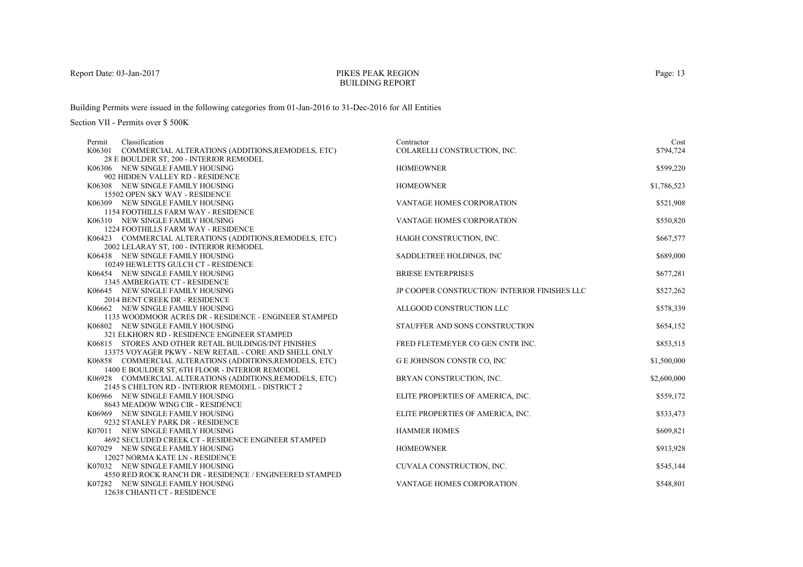## PIKES PEAK REGIONBUILDING REPORT

Building Permits were issued in the following categories from 01-Jan-2016 to 31-Dec-2016 for All Entities

| Classification<br>Permit                                 | Contractor                                   | Cost        |
|----------------------------------------------------------|----------------------------------------------|-------------|
| K06301 COMMERCIAL ALTERATIONS (ADDITIONS, REMODELS, ETC) | COLARELLI CONSTRUCTION, INC.                 | \$794,724   |
| 28 E BOULDER ST, 200 - INTERIOR REMODEL                  |                                              |             |
| K06306 NEW SINGLE FAMILY HOUSING                         | <b>HOMEOWNER</b>                             | \$599,220   |
| 902 HIDDEN VALLEY RD - RESIDENCE                         |                                              |             |
| K06308 NEW SINGLE FAMILY HOUSING                         | <b>HOMEOWNER</b>                             | \$1,786,523 |
| 15502 OPEN SKY WAY - RESIDENCE                           |                                              |             |
| K06309 NEW SINGLE FAMILY HOUSING                         | VANTAGE HOMES CORPORATION                    | \$521,908   |
| <b>1154 FOOTHILLS FARM WAY - RESIDENCE</b>               |                                              |             |
| K06310 NEW SINGLE FAMILY HOUSING                         | <b>VANTAGE HOMES CORPORATION</b>             | \$550,820   |
| <b>1224 FOOTHILLS FARM WAY - RESIDENCE</b>               |                                              |             |
| K06423 COMMERCIAL ALTERATIONS (ADDITIONS, REMODELS, ETC) | HAIGH CONSTRUCTION, INC.                     | \$667,577   |
| 2002 LELARAY ST, 100 - INTERIOR REMODEL                  |                                              |             |
| K06438 NEW SINGLE FAMILY HOUSING                         | SADDLETREE HOLDINGS, INC                     | \$689,000   |
| 10249 HEWLETTS GULCH CT - RESIDENCE                      |                                              |             |
| K06454 NEW SINGLE FAMILY HOUSING                         | <b>BRIESE ENTERPRISES</b>                    | \$677,281   |
| 1345 AMBERGATE CT - RESIDENCE                            |                                              |             |
| K06645 NEW SINGLE FAMILY HOUSING                         | JP COOPER CONSTRUCTION/INTERIOR FINISHES LLC | \$527,262   |
| 2014 BENT CREEK DR - RESIDENCE                           |                                              |             |
| K06662 NEW SINGLE FAMILY HOUSING                         | ALLGOOD CONSTRUCTION LLC                     | \$578,339   |
| 1135 WOODMOOR ACRES DR - RESIDENCE - ENGINEER STAMPED    |                                              |             |
| K06802 NEW SINGLE FAMILY HOUSING                         | STAUFFER AND SONS CONSTRUCTION               | \$654,152   |
| 321 ELKHORN RD - RESIDENCE ENGINEER STAMPED              |                                              |             |
| K06815 STORES AND OTHER RETAIL BUILDINGS/INT FINISHES    | FRED FLETEMEYER CO GEN CNTR INC.             | \$853,515   |
| 13375 VOYAGER PKWY - NEW RETAIL - CORE AND SHELL ONLY    |                                              |             |
| K06858 COMMERCIAL ALTERATIONS (ADDITIONS, REMODELS, ETC) | <b>G E JOHNSON CONSTR CO, INC</b>            | \$1,500,000 |
| 1400 E BOULDER ST, 6TH FLOOR - INTERIOR REMODEL          |                                              |             |
| K06928 COMMERCIAL ALTERATIONS (ADDITIONS, REMODELS, ETC) | BRYAN CONSTRUCTION, INC.                     | \$2,600,000 |
| 2145 S CHELTON RD - INTERIOR REMODEL - DISTRICT 2        |                                              |             |
| K06966 NEW SINGLE FAMILY HOUSING                         | ELITE PROPERTIES OF AMERICA, INC.            | \$559,172   |
| 8643 MEADOW WING CIR - RESIDENCE                         |                                              |             |
| K06969 NEW SINGLE FAMILY HOUSING                         | ELITE PROPERTIES OF AMERICA, INC.            | \$533,473   |
| 9232 STANLEY PARK DR - RESIDENCE                         |                                              |             |
| K07011 NEW SINGLE FAMILY HOUSING                         | <b>HAMMER HOMES</b>                          | \$609,821   |
| 4692 SECLUDED CREEK CT - RESIDENCE ENGINEER STAMPED      |                                              |             |
| K07029 NEW SINGLE FAMILY HOUSING                         | <b>HOMEOWNER</b>                             | \$913,928   |
| 12027 NORMA KATE LN - RESIDENCE                          |                                              |             |
| K07032 NEW SINGLE FAMILY HOUSING                         | CUVALA CONSTRUCTION, INC.                    | \$545,144   |
| 4550 RED ROCK RANCH DR - RESIDENCE / ENGINEERED STAMPED  |                                              |             |
| K07282 NEW SINGLE FAMILY HOUSING                         | <b>VANTAGE HOMES CORPORATION</b>             | \$548,801   |
| 12638 CHIANTI CT - RESIDENCE                             |                                              |             |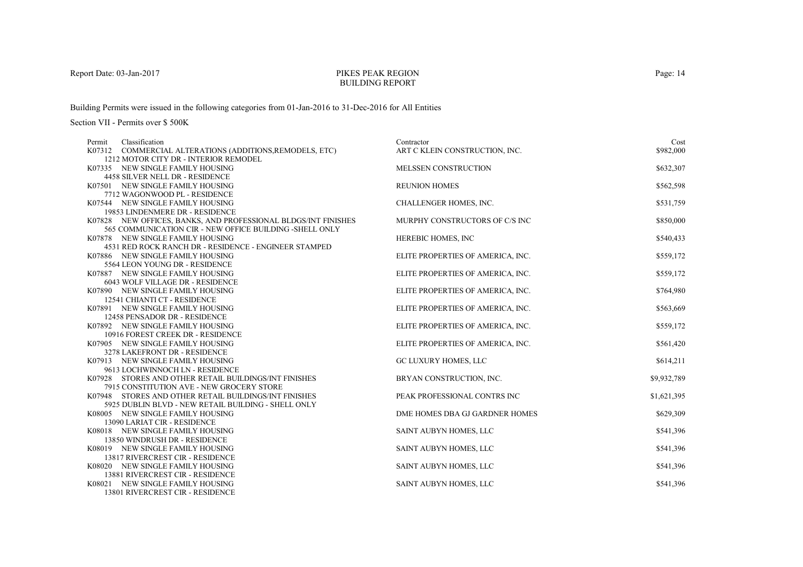## PIKES PEAK REGIONBUILDING REPORT

Building Permits were issued in the following categories from 01-Jan-2016 to 31-Dec-2016 for All Entities

| Classification<br>Permit                                              | Contractor                        | Cost        |
|-----------------------------------------------------------------------|-----------------------------------|-------------|
| K07312 COMMERCIAL ALTERATIONS (ADDITIONS, REMODELS, ETC)              | ART C KLEIN CONSTRUCTION, INC.    | \$982,000   |
| 1212 MOTOR CITY DR - INTERIOR REMODEL                                 |                                   |             |
| K07335 NEW SINGLE FAMILY HOUSING                                      | <b>MELSSEN CONSTRUCTION</b>       | \$632,307   |
| 4458 SILVER NELL DR - RESIDENCE                                       |                                   |             |
| K07501 NEW SINGLE FAMILY HOUSING                                      | <b>REUNION HOMES</b>              | \$562,598   |
| 7712 WAGONWOOD PL - RESIDENCE                                         |                                   |             |
| K07544 NEW SINGLE FAMILY HOUSING                                      | CHALLENGER HOMES, INC.            | \$531,759   |
| 19853 LINDENMERE DR - RESIDENCE                                       |                                   |             |
| K07828 NEW OFFICES, BANKS, AND PROFESSIONAL BLDGS/INT FINISHES        | MURPHY CONSTRUCTORS OF C/S INC    | \$850,000   |
| 565 COMMUNICATION CIR - NEW OFFICE BUILDING - SHELL ONLY              |                                   |             |
| K07878 NEW SINGLE FAMILY HOUSING                                      | HEREBIC HOMES, INC                | \$540,433   |
| 4531 RED ROCK RANCH DR - RESIDENCE - ENGINEER STAMPED                 |                                   |             |
| K07886 NEW SINGLE FAMILY HOUSING                                      | ELITE PROPERTIES OF AMERICA, INC. | \$559,172   |
| 5564 LEON YOUNG DR - RESIDENCE                                        |                                   |             |
| K07887 NEW SINGLE FAMILY HOUSING                                      | ELITE PROPERTIES OF AMERICA, INC. | \$559,172   |
| 6043 WOLF VILLAGE DR - RESIDENCE                                      |                                   |             |
| K07890 NEW SINGLE FAMILY HOUSING                                      | ELITE PROPERTIES OF AMERICA, INC. | \$764,980   |
| 12541 CHIANTI CT - RESIDENCE                                          |                                   |             |
| K07891 NEW SINGLE FAMILY HOUSING                                      | ELITE PROPERTIES OF AMERICA, INC. | \$563,669   |
| 12458 PENSADOR DR - RESIDENCE                                         |                                   |             |
| K07892 NEW SINGLE FAMILY HOUSING<br>10916 FOREST CREEK DR - RESIDENCE | ELITE PROPERTIES OF AMERICA, INC. | \$559,172   |
| K07905 NEW SINGLE FAMILY HOUSING                                      |                                   | \$561,420   |
| 3278 LAKEFRONT DR - RESIDENCE                                         | ELITE PROPERTIES OF AMERICA, INC. |             |
| K07913 NEW SINGLE FAMILY HOUSING                                      | GC LUXURY HOMES, LLC              | \$614,211   |
| 9613 LOCHWINNOCH LN - RESIDENCE                                       |                                   |             |
| K07928 STORES AND OTHER RETAIL BUILDINGS/INT FINISHES                 | BRYAN CONSTRUCTION, INC.          | \$9,932,789 |
| 7915 CONSTITUTION AVE - NEW GROCERY STORE                             |                                   |             |
| K07948 STORES AND OTHER RETAIL BUILDINGS/INT FINISHES                 | PEAK PROFESSIONAL CONTRS INC      | \$1,621,395 |
| 5925 DUBLIN BLVD - NEW RETAIL BUILDING - SHELL ONLY                   |                                   |             |
| K08005 NEW SINGLE FAMILY HOUSING                                      | DME HOMES DBA GJ GARDNER HOMES    | \$629,309   |
| 13090 LARIAT CIR - RESIDENCE                                          |                                   |             |
| K08018 NEW SINGLE FAMILY HOUSING                                      | SAINT AUBYN HOMES, LLC            | \$541,396   |
| 13850 WINDRUSH DR - RESIDENCE                                         |                                   |             |
| K08019 NEW SINGLE FAMILY HOUSING                                      | SAINT AUBYN HOMES, LLC            | \$541,396   |
| 13817 RIVERCREST CIR - RESIDENCE                                      |                                   |             |
| K08020 NEW SINGLE FAMILY HOUSING                                      | SAINT AUBYN HOMES, LLC            | \$541,396   |
| 13881 RIVERCREST CIR - RESIDENCE                                      |                                   |             |
| K08021 NEW SINGLE FAMILY HOUSING                                      | SAINT AUBYN HOMES, LLC            | \$541,396   |
| 13801 RIVERCREST CIR - RESIDENCE                                      |                                   |             |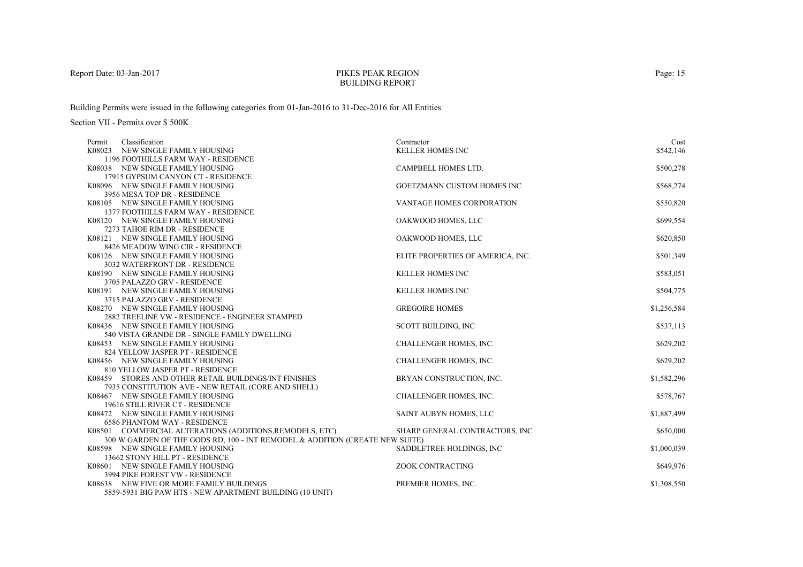## PIKES PEAK REGIONBUILDING REPORT

Building Permits were issued in the following categories from 01-Jan-2016 to 31-Dec-2016 for All Entities

| Classification<br>Permit                                                     | Contractor                        | Cost        |
|------------------------------------------------------------------------------|-----------------------------------|-------------|
| K08023 NEW SINGLE FAMILY HOUSING                                             | <b>KELLER HOMES INC</b>           | \$542,146   |
| 1196 FOOTHILLS FARM WAY - RESIDENCE                                          |                                   |             |
| K08038 NEW SINGLE FAMILY HOUSING                                             | CAMPBELL HOMES LTD.               | \$500,278   |
| 17915 GYPSUM CANYON CT - RESIDENCE                                           |                                   |             |
| K08096 NEW SINGLE FAMILY HOUSING                                             | <b>GOETZMANN CUSTOM HOMES INC</b> | \$568,274   |
| 3956 MESA TOP DR - RESIDENCE                                                 |                                   |             |
| K08105 NEW SINGLE FAMILY HOUSING                                             | <b>VANTAGE HOMES CORPORATION</b>  | \$550,820   |
| <b>1377 FOOTHILLS FARM WAY - RESIDENCE</b>                                   |                                   |             |
| K08120 NEW SINGLE FAMILY HOUSING                                             | OAKWOOD HOMES, LLC                | \$699,554   |
| 7273 TAHOE RIM DR - RESIDENCE                                                |                                   |             |
| K08121 NEW SINGLE FAMILY HOUSING                                             | OAKWOOD HOMES, LLC                | \$620,850   |
| 8426 MEADOW WING CIR - RESIDENCE                                             |                                   |             |
| K08126 NEW SINGLE FAMILY HOUSING                                             | ELITE PROPERTIES OF AMERICA, INC. | \$501,349   |
| 3032 WATERFRONT DR - RESIDENCE                                               |                                   |             |
| K08190 NEW SINGLE FAMILY HOUSING                                             | <b>KELLER HOMES INC</b>           | \$583,051   |
| 3705 PALAZZO GRV - RESIDENCE                                                 |                                   |             |
| K08191 NEW SINGLE FAMILY HOUSING                                             | <b>KELLER HOMES INC</b>           | \$504,775   |
| 3715 PALAZZO GRV - RESIDENCE                                                 |                                   |             |
| K08270 NEW SINGLE FAMILY HOUSING                                             | <b>GREGOIRE HOMES</b>             | \$1,256,584 |
| 2882 TREELINE VW - RESIDENCE - ENGINEER STAMPED                              |                                   |             |
| K08436 NEW SINGLE FAMILY HOUSING                                             | SCOTT BUILDING, INC               | \$537,113   |
| 540 VISTA GRANDE DR - SINGLE FAMILY DWELLING                                 |                                   |             |
| K08453 NEW SINGLE FAMILY HOUSING<br>824 YELLOW JASPER PT - RESIDENCE         | CHALLENGER HOMES, INC.            | \$629,202   |
| K08456 NEW SINGLE FAMILY HOUSING                                             |                                   |             |
| 810 YELLOW JASPER PT - RESIDENCE                                             | CHALLENGER HOMES, INC.            | \$629,202   |
| K08459 STORES AND OTHER RETAIL BUILDINGS/INT FINISHES                        | BRYAN CONSTRUCTION, INC.          | \$1,582,296 |
| 7935 CONSTITUTION AVE - NEW RETAIL (CORE AND SHELL)                          |                                   |             |
| K08467 NEW SINGLE FAMILY HOUSING                                             | CHALLENGER HOMES, INC.            | \$578,767   |
| 19616 STILL RIVER CT - RESIDENCE                                             |                                   |             |
| K08472 NEW SINGLE FAMILY HOUSING                                             | SAINT AUBYN HOMES, LLC            | \$1,887,499 |
| <b>6586 PHANTOM WAY - RESIDENCE</b>                                          |                                   |             |
| K08501 COMMERCIAL ALTERATIONS (ADDITIONS, REMODELS, ETC)                     | SHARP GENERAL CONTRACTORS, INC.   | \$650,000   |
| 300 W GARDEN OF THE GODS RD, 100 - INT REMODEL & ADDITION (CREATE NEW SUITE) |                                   |             |
| K08598 NEW SINGLE FAMILY HOUSING                                             | SADDLETREE HOLDINGS, INC          | \$1,000,039 |
| 13662 STONY HILL PT - RESIDENCE                                              |                                   |             |
| K08601 NEW SINGLE FAMILY HOUSING                                             | ZOOK CONTRACTING                  | \$649,976   |
| 3994 PIKE FOREST VW - RESIDENCE                                              |                                   |             |
| K08638 NEW FIVE OR MORE FAMILY BUILDINGS                                     | PREMIER HOMES, INC.               | \$1,308,550 |
| 5859-5931 BIG PAW HTS - NEW APARTMENT BUILDING (10 UNIT)                     |                                   |             |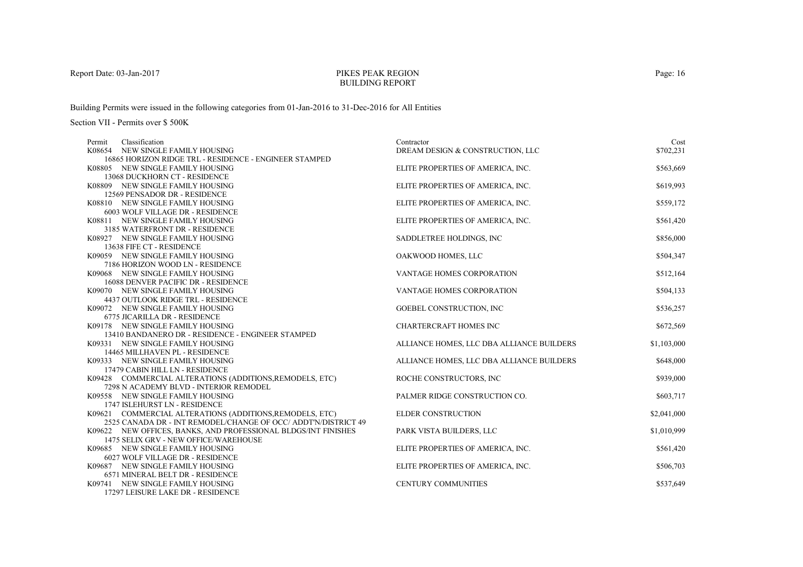## PIKES PEAK REGIONBUILDING REPORT

Building Permits were issued in the following categories from 01-Jan-2016 to 31-Dec-2016 for All Entities

| Contractor                        | Cost                                                                                                                                                                                                                                                                                                                                                                                                                                                                                                                                                                                         |
|-----------------------------------|----------------------------------------------------------------------------------------------------------------------------------------------------------------------------------------------------------------------------------------------------------------------------------------------------------------------------------------------------------------------------------------------------------------------------------------------------------------------------------------------------------------------------------------------------------------------------------------------|
| DREAM DESIGN & CONSTRUCTION, LLC  | \$702,231                                                                                                                                                                                                                                                                                                                                                                                                                                                                                                                                                                                    |
|                                   |                                                                                                                                                                                                                                                                                                                                                                                                                                                                                                                                                                                              |
| ELITE PROPERTIES OF AMERICA, INC. | \$563,669                                                                                                                                                                                                                                                                                                                                                                                                                                                                                                                                                                                    |
|                                   |                                                                                                                                                                                                                                                                                                                                                                                                                                                                                                                                                                                              |
| ELITE PROPERTIES OF AMERICA, INC. | \$619,993                                                                                                                                                                                                                                                                                                                                                                                                                                                                                                                                                                                    |
|                                   |                                                                                                                                                                                                                                                                                                                                                                                                                                                                                                                                                                                              |
|                                   | \$559,172                                                                                                                                                                                                                                                                                                                                                                                                                                                                                                                                                                                    |
|                                   |                                                                                                                                                                                                                                                                                                                                                                                                                                                                                                                                                                                              |
|                                   | \$561,420                                                                                                                                                                                                                                                                                                                                                                                                                                                                                                                                                                                    |
|                                   |                                                                                                                                                                                                                                                                                                                                                                                                                                                                                                                                                                                              |
|                                   | \$856,000                                                                                                                                                                                                                                                                                                                                                                                                                                                                                                                                                                                    |
|                                   |                                                                                                                                                                                                                                                                                                                                                                                                                                                                                                                                                                                              |
|                                   | \$504,347                                                                                                                                                                                                                                                                                                                                                                                                                                                                                                                                                                                    |
|                                   |                                                                                                                                                                                                                                                                                                                                                                                                                                                                                                                                                                                              |
|                                   | \$512,164                                                                                                                                                                                                                                                                                                                                                                                                                                                                                                                                                                                    |
|                                   |                                                                                                                                                                                                                                                                                                                                                                                                                                                                                                                                                                                              |
|                                   | \$504,133                                                                                                                                                                                                                                                                                                                                                                                                                                                                                                                                                                                    |
|                                   |                                                                                                                                                                                                                                                                                                                                                                                                                                                                                                                                                                                              |
|                                   | \$536,257                                                                                                                                                                                                                                                                                                                                                                                                                                                                                                                                                                                    |
|                                   |                                                                                                                                                                                                                                                                                                                                                                                                                                                                                                                                                                                              |
|                                   | \$672,569                                                                                                                                                                                                                                                                                                                                                                                                                                                                                                                                                                                    |
|                                   |                                                                                                                                                                                                                                                                                                                                                                                                                                                                                                                                                                                              |
|                                   | \$1,103,000                                                                                                                                                                                                                                                                                                                                                                                                                                                                                                                                                                                  |
|                                   |                                                                                                                                                                                                                                                                                                                                                                                                                                                                                                                                                                                              |
|                                   | \$648,000                                                                                                                                                                                                                                                                                                                                                                                                                                                                                                                                                                                    |
|                                   |                                                                                                                                                                                                                                                                                                                                                                                                                                                                                                                                                                                              |
|                                   | \$939,000                                                                                                                                                                                                                                                                                                                                                                                                                                                                                                                                                                                    |
|                                   | \$603,717                                                                                                                                                                                                                                                                                                                                                                                                                                                                                                                                                                                    |
|                                   |                                                                                                                                                                                                                                                                                                                                                                                                                                                                                                                                                                                              |
|                                   | \$2,041,000                                                                                                                                                                                                                                                                                                                                                                                                                                                                                                                                                                                  |
|                                   |                                                                                                                                                                                                                                                                                                                                                                                                                                                                                                                                                                                              |
|                                   | \$1,010,999                                                                                                                                                                                                                                                                                                                                                                                                                                                                                                                                                                                  |
|                                   |                                                                                                                                                                                                                                                                                                                                                                                                                                                                                                                                                                                              |
|                                   | \$561,420                                                                                                                                                                                                                                                                                                                                                                                                                                                                                                                                                                                    |
|                                   |                                                                                                                                                                                                                                                                                                                                                                                                                                                                                                                                                                                              |
|                                   | \$506,703                                                                                                                                                                                                                                                                                                                                                                                                                                                                                                                                                                                    |
|                                   |                                                                                                                                                                                                                                                                                                                                                                                                                                                                                                                                                                                              |
|                                   | \$537,649                                                                                                                                                                                                                                                                                                                                                                                                                                                                                                                                                                                    |
|                                   |                                                                                                                                                                                                                                                                                                                                                                                                                                                                                                                                                                                              |
|                                   | ELITE PROPERTIES OF AMERICA, INC.<br>ELITE PROPERTIES OF AMERICA, INC.<br>SADDLETREE HOLDINGS, INC.<br>OAKWOOD HOMES, LLC<br><b>VANTAGE HOMES CORPORATION</b><br><b>VANTAGE HOMES CORPORATION</b><br><b>GOEBEL CONSTRUCTION, INC</b><br><b>CHARTERCRAFT HOMES INC</b><br>ALLIANCE HOMES, LLC DBA ALLIANCE BUILDERS<br>ALLIANCE HOMES, LLC DBA ALLIANCE BUILDERS<br>ROCHE CONSTRUCTORS, INC<br>PALMER RIDGE CONSTRUCTION CO.<br><b>ELDER CONSTRUCTION</b><br>PARK VISTA BUILDERS, LLC<br>ELITE PROPERTIES OF AMERICA, INC.<br>ELITE PROPERTIES OF AMERICA, INC.<br><b>CENTURY COMMUNITIES</b> |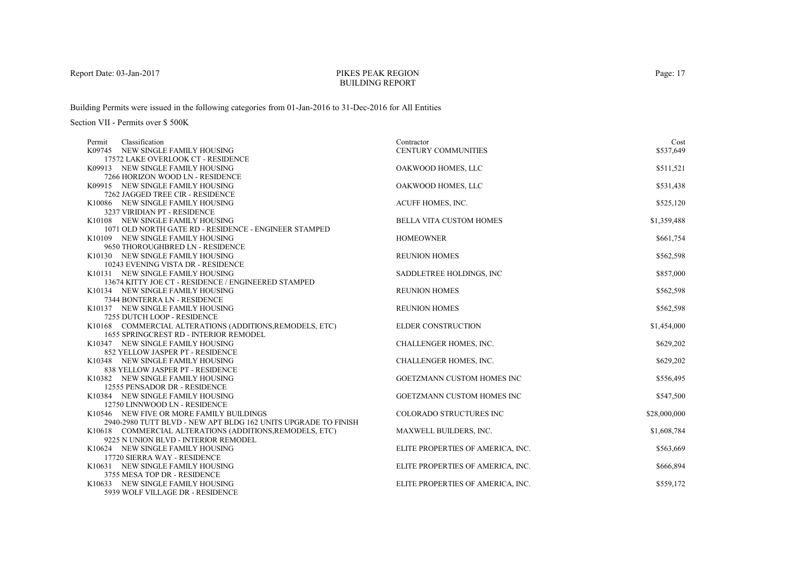### PIKES PEAK REGIONBUILDING REPORT

Building Permits were issued in the following categories from 01-Jan-2016 to 31-Dec-2016 for All Entities

| Classification<br>Permit                                                                                  | Contractor                        | Cost         |
|-----------------------------------------------------------------------------------------------------------|-----------------------------------|--------------|
| K09745 NEW SINGLE FAMILY HOUSING                                                                          | CENTURY COMMUNITIES               | \$537,649    |
| 17572 LAKE OVERLOOK CT - RESIDENCE<br>K09913 NEW SINGLE FAMILY HOUSING                                    | OAKWOOD HOMES, LLC                | \$511,521    |
| 7266 HORIZON WOOD LN - RESIDENCE                                                                          |                                   |              |
| K09915 NEW SINGLE FAMILY HOUSING                                                                          | OAKWOOD HOMES, LLC                | \$531,438    |
| 7262 JAGGED TREE CIR - RESIDENCE                                                                          |                                   |              |
| K10086 NEW SINGLE FAMILY HOUSING                                                                          | ACUFF HOMES, INC.                 | \$525,120    |
| 3237 VIRIDIAN PT - RESIDENCE                                                                              |                                   |              |
| K10108 NEW SINGLE FAMILY HOUSING                                                                          | <b>BELLA VITA CUSTOM HOMES</b>    | \$1,359,488  |
| 1071 OLD NORTH GATE RD - RESIDENCE - ENGINEER STAMPED                                                     |                                   |              |
| K10109 NEW SINGLE FAMILY HOUSING                                                                          | <b>HOMEOWNER</b>                  | \$661,754    |
| 9650 THOROUGHBRED LN - RESIDENCE                                                                          |                                   |              |
| K10130 NEW SINGLE FAMILY HOUSING                                                                          | <b>REUNION HOMES</b>              | \$562,598    |
| 10243 EVENING VISTA DR - RESIDENCE                                                                        |                                   |              |
| K10131 NEW SINGLE FAMILY HOUSING                                                                          | SADDLETREE HOLDINGS, INC          | \$857,000    |
| 13674 KITTY JOE CT - RESIDENCE / ENGINEERED STAMPED                                                       |                                   |              |
| K10134 NEW SINGLE FAMILY HOUSING                                                                          | <b>REUNION HOMES</b>              | \$562,598    |
| 7344 BONTERRA LN - RESIDENCE                                                                              |                                   |              |
| K10137 NEW SINGLE FAMILY HOUSING                                                                          | <b>REUNION HOMES</b>              | \$562,598    |
| 7255 DUTCH LOOP - RESIDENCE                                                                               |                                   |              |
| K10168 COMMERCIAL ALTERATIONS (ADDITIONS, REMODELS, ETC)<br><b>1655 SPRINGCREST RD - INTERIOR REMODEL</b> | <b>ELDER CONSTRUCTION</b>         | \$1,454,000  |
| K10347 NEW SINGLE FAMILY HOUSING                                                                          | CHALLENGER HOMES, INC.            | \$629,202    |
| 852 YELLOW JASPER PT - RESIDENCE                                                                          |                                   |              |
| K10348 NEW SINGLE FAMILY HOUSING                                                                          | CHALLENGER HOMES, INC.            | \$629,202    |
| 838 YELLOW JASPER PT - RESIDENCE                                                                          |                                   |              |
| K10382 NEW SINGLE FAMILY HOUSING                                                                          | <b>GOETZMANN CUSTOM HOMES INC</b> | \$556,495    |
| 12555 PENSADOR DR - RESIDENCE                                                                             |                                   |              |
| K10384 NEW SINGLE FAMILY HOUSING                                                                          | <b>GOETZMANN CUSTOM HOMES INC</b> | \$547,500    |
| 12750 LINNWOOD LN - RESIDENCE                                                                             |                                   |              |
| K10546 NEW FIVE OR MORE FAMILY BUILDINGS                                                                  | COLORADO STRUCTURES INC           | \$28,000,000 |
| 2940-2980 TUTT BLVD - NEW APT BLDG 162 UNITS UPGRADE TO FINISH                                            |                                   |              |
| K10618 COMMERCIAL ALTERATIONS (ADDITIONS, REMODELS, ETC)                                                  | MAXWELL BUILDERS, INC.            | \$1,608,784  |
| 9225 N UNION BLVD - INTERIOR REMODEL                                                                      |                                   |              |
| K10624 NEW SINGLE FAMILY HOUSING                                                                          | ELITE PROPERTIES OF AMERICA, INC. | \$563,669    |
| 17720 SIERRA WAY - RESIDENCE                                                                              |                                   |              |
| K10631 NEW SINGLE FAMILY HOUSING                                                                          | ELITE PROPERTIES OF AMERICA, INC. | \$666,894    |
| 3755 MESA TOP DR - RESIDENCE                                                                              |                                   |              |
| K10633 NEW SINGLE FAMILY HOUSING                                                                          | ELITE PROPERTIES OF AMERICA, INC. | \$559,172    |
| 5939 WOLF VILLAGE DR - RESIDENCE                                                                          |                                   |              |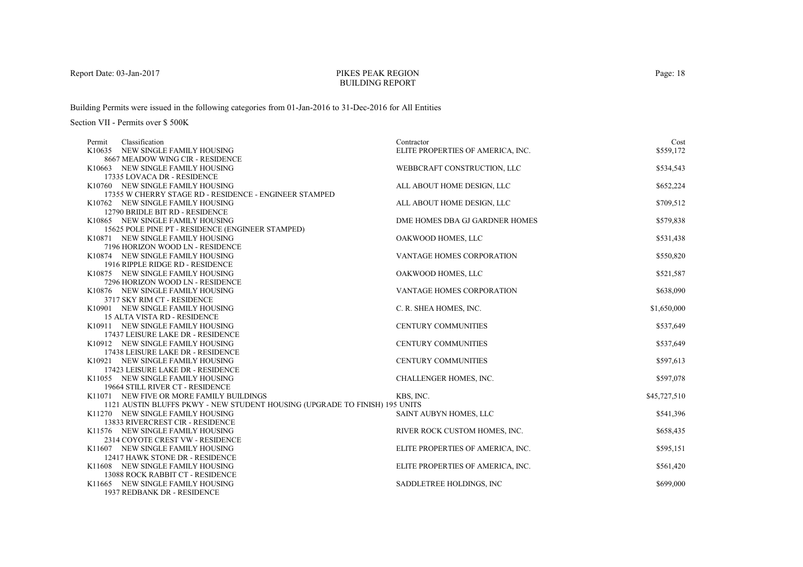## PIKES PEAK REGIONBUILDING REPORT

Building Permits were issued in the following categories from 01-Jan-2016 to 31-Dec-2016 for All Entities

| Classification<br>Permit<br>K10635 NEW SINGLE FAMILY HOUSING                | Contractor                        | Cost<br>\$559.172 |
|-----------------------------------------------------------------------------|-----------------------------------|-------------------|
| 8667 MEADOW WING CIR - RESIDENCE                                            | ELITE PROPERTIES OF AMERICA, INC. |                   |
| K10663 NEW SINGLE FAMILY HOUSING                                            | WEBBCRAFT CONSTRUCTION, LLC       | \$534,543         |
| 17335 LOVACA DR - RESIDENCE                                                 |                                   |                   |
| K10760 NEW SINGLE FAMILY HOUSING                                            | ALL ABOUT HOME DESIGN, LLC        | \$652,224         |
| 17355 W CHERRY STAGE RD - RESIDENCE - ENGINEER STAMPED                      |                                   |                   |
| K10762 NEW SINGLE FAMILY HOUSING                                            | ALL ABOUT HOME DESIGN, LLC        | \$709,512         |
| 12790 BRIDLE BIT RD - RESIDENCE                                             |                                   |                   |
| K10865 NEW SINGLE FAMILY HOUSING                                            | DME HOMES DBA GJ GARDNER HOMES    | \$579,838         |
| 15625 POLE PINE PT - RESIDENCE (ENGINEER STAMPED)                           |                                   |                   |
| K10871 NEW SINGLE FAMILY HOUSING                                            | OAKWOOD HOMES, LLC                | \$531,438         |
| 7196 HORIZON WOOD LN - RESIDENCE                                            |                                   |                   |
| K10874 NEW SINGLE FAMILY HOUSING                                            | VANTAGE HOMES CORPORATION         | \$550,820         |
| 1916 RIPPLE RIDGE RD - RESIDENCE                                            |                                   |                   |
| K10875 NEW SINGLE FAMILY HOUSING                                            | OAKWOOD HOMES, LLC                | \$521,587         |
| 7296 HORIZON WOOD LN - RESIDENCE                                            |                                   |                   |
| K10876 NEW SINGLE FAMILY HOUSING                                            | <b>VANTAGE HOMES CORPORATION</b>  | \$638,090         |
| 3717 SKY RIM CT - RESIDENCE                                                 |                                   |                   |
| K10901 NEW SINGLE FAMILY HOUSING                                            | C. R. SHEA HOMES, INC.            | \$1,650,000       |
| <b>15 ALTA VISTA RD - RESIDENCE</b>                                         |                                   |                   |
| K10911 NEW SINGLE FAMILY HOUSING                                            | <b>CENTURY COMMUNITIES</b>        | \$537,649         |
| 17437 LEISURE LAKE DR - RESIDENCE                                           |                                   |                   |
| K10912 NEW SINGLE FAMILY HOUSING                                            | <b>CENTURY COMMUNITIES</b>        | \$537,649         |
| 17438 LEISURE LAKE DR - RESIDENCE                                           |                                   |                   |
| K10921 NEW SINGLE FAMILY HOUSING                                            | <b>CENTURY COMMUNITIES</b>        | \$597,613         |
| 17423 LEISURE LAKE DR - RESIDENCE                                           |                                   |                   |
| K11055 NEW SINGLE FAMILY HOUSING                                            | CHALLENGER HOMES, INC.            | \$597,078         |
| 19664 STILL RIVER CT - RESIDENCE                                            |                                   |                   |
| K11071 NEW FIVE OR MORE FAMILY BUILDINGS                                    | KBS, INC.                         | \$45,727,510      |
| 1121 AUSTIN BLUFFS PKWY - NEW STUDENT HOUSING (UPGRADE TO FINISH) 195 UNITS |                                   |                   |
| K11270 NEW SINGLE FAMILY HOUSING                                            | SAINT AUBYN HOMES, LLC            | \$541,396         |
| 13833 RIVERCREST CIR - RESIDENCE                                            |                                   |                   |
| K11576 NEW SINGLE FAMILY HOUSING                                            | RIVER ROCK CUSTOM HOMES, INC.     | \$658,435         |
| 2314 COYOTE CREST VW - RESIDENCE                                            |                                   |                   |
| K11607 NEW SINGLE FAMILY HOUSING<br>12417 HAWK STONE DR - RESIDENCE         | ELITE PROPERTIES OF AMERICA, INC. | \$595,151         |
| K11608 NEW SINGLE FAMILY HOUSING                                            | ELITE PROPERTIES OF AMERICA, INC. | \$561,420         |
| 13088 ROCK RABBIT CT - RESIDENCE                                            |                                   |                   |
| K11665 NEW SINGLE FAMILY HOUSING                                            | SADDLETREE HOLDINGS, INC          | \$699,000         |
| 1937 REDBANK DR - RESIDENCE                                                 |                                   |                   |
|                                                                             |                                   |                   |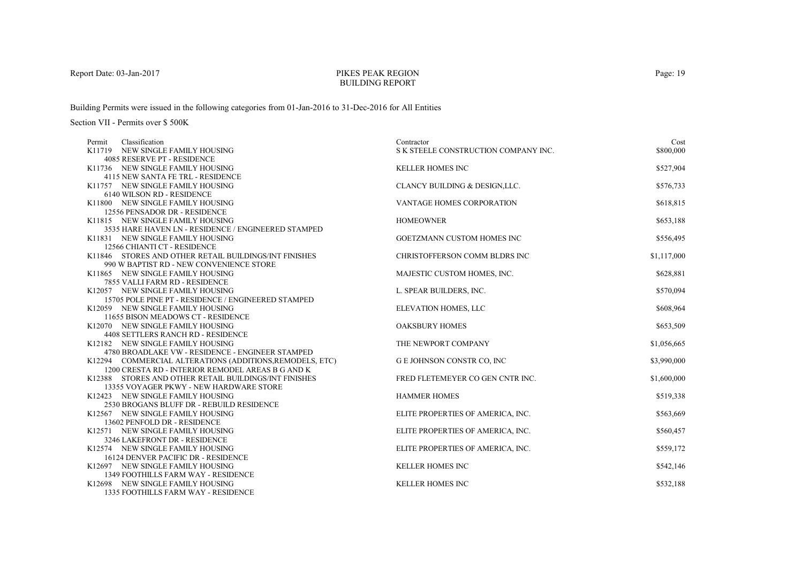# PIKES PEAK REGIONBUILDING REPORT

Building Permits were issued in the following categories from 01-Jan-2016 to 31-Dec-2016 for All Entities

| Classification<br>Permit                                                                                      | Contractor                           | Cost        |
|---------------------------------------------------------------------------------------------------------------|--------------------------------------|-------------|
| K11719 NEW SINGLE FAMILY HOUSING                                                                              | S K STEELE CONSTRUCTION COMPANY INC. | \$800,000   |
| 4085 RESERVE PT - RESIDENCE                                                                                   |                                      |             |
| K11736 NEW SINGLE FAMILY HOUSING                                                                              | <b>KELLER HOMES INC</b>              | \$527,904   |
| 4115 NEW SANTA FE TRL - RESIDENCE                                                                             |                                      |             |
| K11757 NEW SINGLE FAMILY HOUSING                                                                              | CLANCY BUILDING & DESIGN, LLC.       | \$576,733   |
| 6140 WILSON RD - RESIDENCE                                                                                    |                                      |             |
| K11800 NEW SINGLE FAMILY HOUSING                                                                              | VANTAGE HOMES CORPORATION            | \$618,815   |
| 12556 PENSADOR DR - RESIDENCE                                                                                 |                                      |             |
| K11815 NEW SINGLE FAMILY HOUSING                                                                              | <b>HOMEOWNER</b>                     | \$653,188   |
| 3535 HARE HAVEN LN - RESIDENCE / ENGINEERED STAMPED                                                           |                                      |             |
| K11831 NEW SINGLE FAMILY HOUSING                                                                              | <b>GOETZMANN CUSTOM HOMES INC</b>    | \$556,495   |
| 12566 CHIANTI CT - RESIDENCE                                                                                  |                                      |             |
| K11846 STORES AND OTHER RETAIL BUILDINGS/INT FINISHES                                                         | CHRISTOFFERSON COMM BLDRS INC        | \$1,117,000 |
| 990 W BAPTIST RD - NEW CONVENIENCE STORE                                                                      |                                      |             |
| K11865 NEW SINGLE FAMILY HOUSING                                                                              | MAJESTIC CUSTOM HOMES, INC.          | \$628,881   |
| 7855 VALLI FARM RD - RESIDENCE                                                                                |                                      |             |
| K12057 NEW SINGLE FAMILY HOUSING                                                                              | L. SPEAR BUILDERS, INC.              | \$570,094   |
| 15705 POLE PINE PT - RESIDENCE / ENGINEERED STAMPED                                                           |                                      |             |
| K12059 NEW SINGLE FAMILY HOUSING                                                                              | ELEVATION HOMES, LLC                 | \$608,964   |
| 11655 BISON MEADOWS CT - RESIDENCE                                                                            |                                      |             |
| K12070 NEW SINGLE FAMILY HOUSING<br>4408 SETTLERS RANCH RD - RESIDENCE                                        | <b>OAKSBURY HOMES</b>                | \$653,509   |
|                                                                                                               |                                      |             |
| K12182 NEW SINGLE FAMILY HOUSING<br>4780 BROADLAKE VW - RESIDENCE - ENGINEER STAMPED                          | THE NEWPORT COMPANY                  | \$1,056,665 |
|                                                                                                               |                                      |             |
| K12294 COMMERCIAL ALTERATIONS (ADDITIONS, REMODELS, ETC)<br>1200 CRESTA RD - INTERIOR REMODEL AREAS B G AND K | <b>G E JOHNSON CONSTR CO, INC</b>    | \$3,990,000 |
| K12388 STORES AND OTHER RETAIL BUILDINGS/INT FINISHES                                                         | FRED FLETEMEYER CO GEN CNTR INC.     | \$1,600,000 |
| 13355 VOYAGER PKWY - NEW HARDWARE STORE                                                                       |                                      |             |
| K12423 NEW SINGLE FAMILY HOUSING                                                                              | <b>HAMMER HOMES</b>                  | \$519,338   |
| 2530 BROGANS BLUFF DR - REBUILD RESIDENCE                                                                     |                                      |             |
| K12567 NEW SINGLE FAMILY HOUSING                                                                              | ELITE PROPERTIES OF AMERICA, INC.    | \$563,669   |
| 13602 PENFOLD DR - RESIDENCE                                                                                  |                                      |             |
| K12571 NEW SINGLE FAMILY HOUSING                                                                              | ELITE PROPERTIES OF AMERICA, INC.    | \$560,457   |
| 3246 LAKEFRONT DR - RESIDENCE                                                                                 |                                      |             |
| K12574 NEW SINGLE FAMILY HOUSING                                                                              | ELITE PROPERTIES OF AMERICA, INC.    | \$559,172   |
| 16124 DENVER PACIFIC DR - RESIDENCE                                                                           |                                      |             |
| K12697 NEW SINGLE FAMILY HOUSING                                                                              | <b>KELLER HOMES INC</b>              | \$542,146   |
| <b>1349 FOOTHILLS FARM WAY - RESIDENCE</b>                                                                    |                                      |             |
| K12698 NEW SINGLE FAMILY HOUSING                                                                              | <b>KELLER HOMES INC</b>              | \$532,188   |
| 1335 FOOTHILLS FARM WAY - RESIDENCE                                                                           |                                      |             |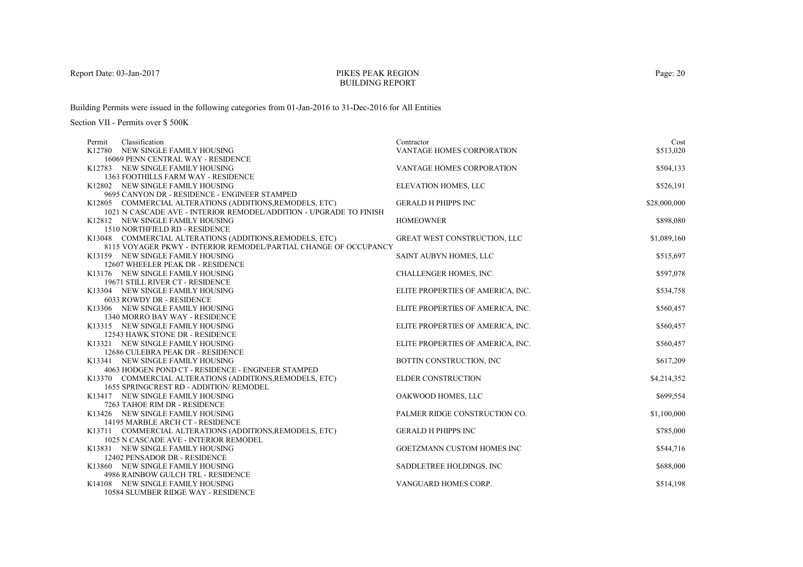## PIKES PEAK REGIONBUILDING REPORT

Building Permits were issued in the following categories from 01-Jan-2016 to 31-Dec-2016 for All Entities

| Classification<br>Permit                                                                   | Contractor                        | Cost         |
|--------------------------------------------------------------------------------------------|-----------------------------------|--------------|
| K12780 NEW SINGLE FAMILY HOUSING                                                           | <b>VANTAGE HOMES CORPORATION</b>  | \$513,020    |
| 16069 PENN CENTRAL WAY - RESIDENCE                                                         |                                   |              |
| K12783 NEW SINGLE FAMILY HOUSING                                                           | VANTAGE HOMES CORPORATION         | \$504,133    |
| 1363 FOOTHILLS FARM WAY - RESIDENCE                                                        |                                   |              |
| K12802 NEW SINGLE FAMILY HOUSING                                                           | ELEVATION HOMES, LLC              | \$526,191    |
| 9695 CANYON DR - RESIDENCE - ENGINEER STAMPED                                              |                                   |              |
| K12805 COMMERCIAL ALTERATIONS (ADDITIONS, REMODELS, ETC)                                   | <b>GERALD H PHIPPS INC</b>        | \$28,000,000 |
| 1021 N CASCADE AVE - INTERIOR REMODEL/ADDITION - UPGRADE TO FINISH                         | <b>HOMEOWNER</b>                  | \$898,080    |
| K12812 NEW SINGLE FAMILY HOUSING                                                           |                                   |              |
| 1510 NORTHFIELD RD - RESIDENCE<br>K13048 COMMERCIAL ALTERATIONS (ADDITIONS, REMODELS, ETC) | GREAT WEST CONSTRUCTION, LLC      | \$1,089,160  |
| 8115 VOYAGER PKWY - INTERIOR REMODEL/PARTIAL CHANGE OF OCCUPANCY                           |                                   |              |
| K13159 NEW SINGLE FAMILY HOUSING                                                           | SAINT AUBYN HOMES, LLC            | \$515,697    |
| 12607 WHEELER PEAK DR - RESIDENCE                                                          |                                   |              |
| K13176 NEW SINGLE FAMILY HOUSING                                                           | CHALLENGER HOMES, INC.            | \$597,078    |
| 19671 STILL RIVER CT - RESIDENCE                                                           |                                   |              |
| K13304 NEW SINGLE FAMILY HOUSING                                                           | ELITE PROPERTIES OF AMERICA, INC. | \$534,758    |
| 6033 ROWDY DR - RESIDENCE                                                                  |                                   |              |
| K13306 NEW SINGLE FAMILY HOUSING                                                           | ELITE PROPERTIES OF AMERICA, INC. | \$560,457    |
| 1340 MORRO BAY WAY - RESIDENCE                                                             |                                   |              |
| K13315 NEW SINGLE FAMILY HOUSING                                                           | ELITE PROPERTIES OF AMERICA, INC. | \$560,457    |
| 12543 HAWK STONE DR - RESIDENCE                                                            |                                   |              |
| K13321 NEW SINGLE FAMILY HOUSING                                                           | ELITE PROPERTIES OF AMERICA, INC. | \$560,457    |
| 12686 CULEBRA PEAK DR - RESIDENCE                                                          |                                   |              |
| K13341 NEW SINGLE FAMILY HOUSING                                                           | BOTTIN CONSTRUCTION, INC          | \$617,209    |
| 4063 HODGEN POND CT - RESIDENCE - ENGINEER STAMPED                                         |                                   |              |
| K13370 COMMERCIAL ALTERATIONS (ADDITIONS, REMODELS, ETC)                                   | <b>ELDER CONSTRUCTION</b>         | \$4,214,352  |
| 1655 SPRINGCREST RD - ADDITION/ REMODEL                                                    |                                   |              |
| K13417 NEW SINGLE FAMILY HOUSING                                                           | OAKWOOD HOMES, LLC                | \$699,554    |
| 7263 TAHOE RIM DR - RESIDENCE                                                              |                                   |              |
| K13426 NEW SINGLE FAMILY HOUSING                                                           | PALMER RIDGE CONSTRUCTION CO.     | \$1,100,000  |
| 14195 MARBLE ARCH CT - RESIDENCE                                                           |                                   |              |
| K13711 COMMERCIAL ALTERATIONS (ADDITIONS, REMODELS, ETC)                                   | <b>GERALD H PHIPPS INC</b>        | \$785,000    |
| 1025 N CASCADE AVE - INTERIOR REMODEL                                                      |                                   |              |
| K13831 NEW SINGLE FAMILY HOUSING                                                           | GOETZMANN CUSTOM HOMES INC        | \$544,716    |
| 12402 PENSADOR DR - RESIDENCE                                                              |                                   |              |
| K13860 NEW SINGLE FAMILY HOUSING                                                           | SADDLETREE HOLDINGS, INC          | \$688,000    |
| 4986 RAINBOW GULCH TRL - RESIDENCE                                                         |                                   |              |
| K14108 NEW SINGLE FAMILY HOUSING                                                           | VANGUARD HOMES CORP.              | \$514,198    |
| 10584 SLUMBER RIDGE WAY - RESIDENCE                                                        |                                   |              |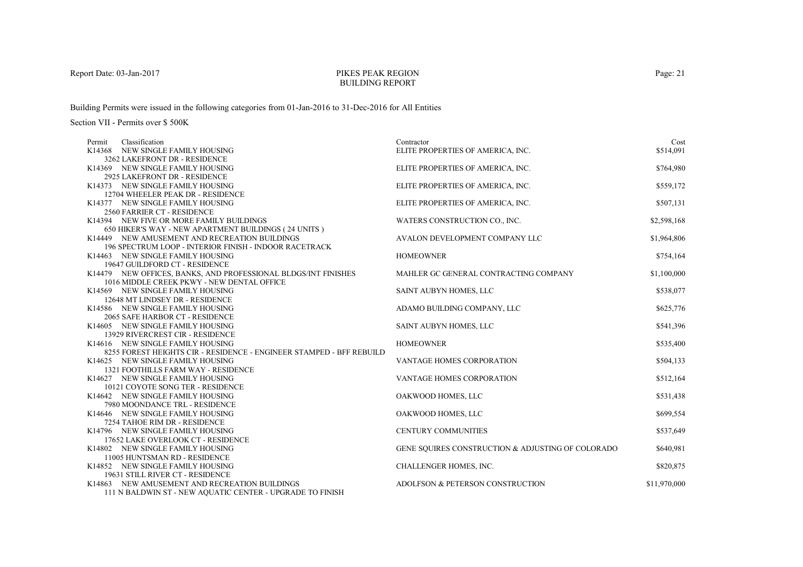## PIKES PEAK REGIONBUILDING REPORT

Building Permits were issued in the following categories from 01-Jan-2016 to 31-Dec-2016 for All Entities

| Classification<br>Permit                                             | Contractor                                        | Cost         |
|----------------------------------------------------------------------|---------------------------------------------------|--------------|
| K14368 NEW SINGLE FAMILY HOUSING                                     | ELITE PROPERTIES OF AMERICA, INC.                 | \$514,091    |
| 3262 LAKEFRONT DR - RESIDENCE                                        |                                                   |              |
| K14369 NEW SINGLE FAMILY HOUSING                                     | ELITE PROPERTIES OF AMERICA, INC.                 | \$764,980    |
| 2925 LAKEFRONT DR - RESIDENCE                                        |                                                   |              |
| K14373 NEW SINGLE FAMILY HOUSING                                     | ELITE PROPERTIES OF AMERICA, INC.                 | \$559,172    |
| 12704 WHEELER PEAK DR - RESIDENCE                                    |                                                   |              |
| K14377 NEW SINGLE FAMILY HOUSING                                     | ELITE PROPERTIES OF AMERICA, INC.                 | \$507,131    |
| <b>2560 FARRIER CT - RESIDENCE</b>                                   |                                                   |              |
| K14394 NEW FIVE OR MORE FAMILY BUILDINGS                             | WATERS CONSTRUCTION CO., INC.                     | \$2,598,168  |
| 650 HIKER'S WAY - NEW APARTMENT BUILDINGS (24 UNITS)                 |                                                   |              |
| K14449 NEW AMUSEMENT AND RECREATION BUILDINGS                        | AVALON DEVELOPMENT COMPANY LLC                    | \$1,964,806  |
| 196 SPECTRUM LOOP - INTERIOR FINISH - INDOOR RACETRACK               |                                                   |              |
| K14463 NEW SINGLE FAMILY HOUSING                                     | <b>HOMEOWNER</b>                                  | \$754,164    |
| 19647 GUILDFORD CT - RESIDENCE                                       |                                                   |              |
| K14479 NEW OFFICES, BANKS, AND PROFESSIONAL BLDGS/INT FINISHES       | MAHLER GC GENERAL CONTRACTING COMPANY             | \$1,100,000  |
| 1016 MIDDLE CREEK PKWY - NEW DENTAL OFFICE                           |                                                   |              |
| K14569 NEW SINGLE FAMILY HOUSING                                     | SAINT AUBYN HOMES, LLC                            | \$538,077    |
| 12648 MT LINDSEY DR - RESIDENCE                                      |                                                   |              |
| K14586 NEW SINGLE FAMILY HOUSING                                     | ADAMO BUILDING COMPANY, LLC                       | \$625,776    |
| 2065 SAFE HARBOR CT - RESIDENCE                                      |                                                   |              |
| K14605 NEW SINGLE FAMILY HOUSING                                     | SAINT AUBYN HOMES, LLC                            | \$541,396    |
| 13929 RIVERCREST CIR - RESIDENCE                                     |                                                   |              |
| K14616 NEW SINGLE FAMILY HOUSING                                     | <b>HOMEOWNER</b>                                  | \$535,400    |
| 8255 FOREST HEIGHTS CIR - RESIDENCE - ENGINEER STAMPED - BFF REBUILD |                                                   |              |
| K14625 NEW SINGLE FAMILY HOUSING                                     | <b>VANTAGE HOMES CORPORATION</b>                  | \$504,133    |
| 1321 FOOTHILLS FARM WAY - RESIDENCE                                  |                                                   |              |
| K14627 NEW SINGLE FAMILY HOUSING                                     | <b>VANTAGE HOMES CORPORATION</b>                  | \$512,164    |
| 10121 COYOTE SONG TER - RESIDENCE                                    |                                                   |              |
| K14642 NEW SINGLE FAMILY HOUSING                                     | OAKWOOD HOMES, LLC                                | \$531,438    |
| 7980 MOONDANCE TRL - RESIDENCE                                       |                                                   |              |
| K14646 NEW SINGLE FAMILY HOUSING                                     | OAKWOOD HOMES, LLC                                | \$699,554    |
| 7254 TAHOE RIM DR - RESIDENCE                                        |                                                   |              |
| K14796 NEW SINGLE FAMILY HOUSING                                     | <b>CENTURY COMMUNITIES</b>                        | \$537,649    |
| 17652 LAKE OVERLOOK CT - RESIDENCE                                   |                                                   |              |
| K14802 NEW SINGLE FAMILY HOUSING                                     | GENE SQUIRES CONSTRUCTION & ADJUSTING OF COLORADO | \$640,981    |
| 11005 HUNTSMAN RD - RESIDENCE                                        |                                                   |              |
| K14852 NEW SINGLE FAMILY HOUSING                                     | CHALLENGER HOMES, INC.                            | \$820,875    |
| 19631 STILL RIVER CT - RESIDENCE                                     |                                                   |              |
| K14863 NEW AMUSEMENT AND RECREATION BUILDINGS                        | ADOLFSON & PETERSON CONSTRUCTION                  | \$11,970,000 |
| 111 N BALDWIN ST - NEW AQUATIC CENTER - UPGRADE TO FINISH            |                                                   |              |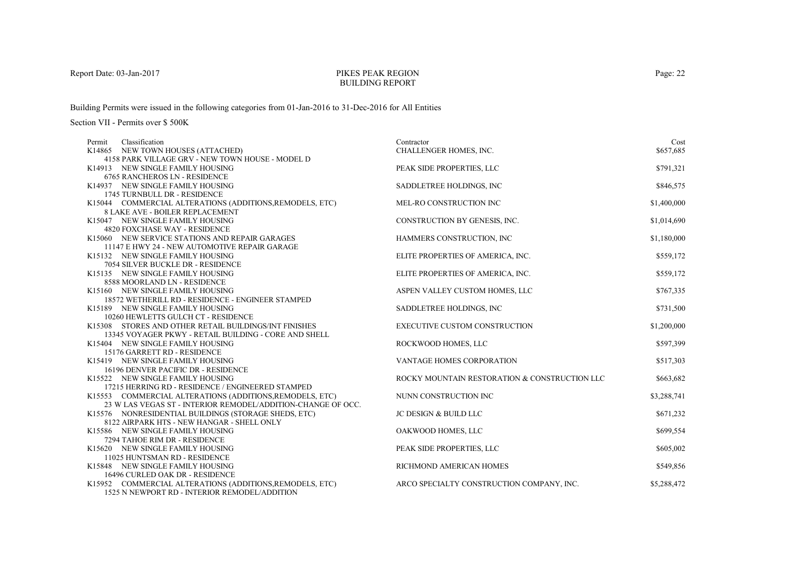### PIKES PEAK REGIONBUILDING REPORT

Building Permits were issued in the following categories from 01-Jan-2016 to 31-Dec-2016 for All Entities

| Classification<br>Permit                                                | Contractor                                    | Cost        |
|-------------------------------------------------------------------------|-----------------------------------------------|-------------|
| K14865 NEW TOWN HOUSES (ATTACHED)                                       | CHALLENGER HOMES, INC.                        | \$657,685   |
| 4158 PARK VILLAGE GRV - NEW TOWN HOUSE - MODEL D                        |                                               |             |
| K14913 NEW SINGLE FAMILY HOUSING                                        | PEAK SIDE PROPERTIES, LLC                     | \$791,321   |
| <b>6765 RANCHEROS LN - RESIDENCE</b>                                    |                                               |             |
| K14937 NEW SINGLE FAMILY HOUSING                                        | SADDLETREE HOLDINGS, INC                      | \$846,575   |
| 1745 TURNBULL DR - RESIDENCE                                            |                                               |             |
| K15044 COMMERCIAL ALTERATIONS (ADDITIONS, REMODELS, ETC)                | MEL-RO CONSTRUCTION INC                       | \$1,400,000 |
| <b>8 LAKE AVE - BOILER REPLACEMENT</b>                                  |                                               |             |
| K15047 NEW SINGLE FAMILY HOUSING                                        | CONSTRUCTION BY GENESIS, INC.                 | \$1,014,690 |
| 4820 FOXCHASE WAY - RESIDENCE                                           |                                               |             |
| K15060 NEW SERVICE STATIONS AND REPAIR GARAGES                          | HAMMERS CONSTRUCTION, INC                     | \$1,180,000 |
| 11147 E HWY 24 - NEW AUTOMOTIVE REPAIR GARAGE                           |                                               |             |
| K15132 NEW SINGLE FAMILY HOUSING                                        | ELITE PROPERTIES OF AMERICA, INC.             | \$559,172   |
| 7054 SILVER BUCKLE DR - RESIDENCE                                       |                                               |             |
| K15135 NEW SINGLE FAMILY HOUSING                                        | ELITE PROPERTIES OF AMERICA, INC.             | \$559,172   |
| 8588 MOORLAND LN - RESIDENCE                                            |                                               |             |
| K15160 NEW SINGLE FAMILY HOUSING                                        | ASPEN VALLEY CUSTOM HOMES, LLC                | \$767,335   |
| 18572 WETHERILL RD - RESIDENCE - ENGINEER STAMPED                       |                                               |             |
| K15189 NEW SINGLE FAMILY HOUSING                                        | SADDLETREE HOLDINGS, INC                      | \$731,500   |
| 10260 HEWLETTS GULCH CT - RESIDENCE                                     |                                               |             |
| K15308 STORES AND OTHER RETAIL BUILDINGS/INT FINISHES                   | <b>EXECUTIVE CUSTOM CONSTRUCTION</b>          | \$1,200,000 |
| 13345 VOYAGER PKWY - RETAIL BUILDING - CORE AND SHELL                   |                                               |             |
| K15404 NEW SINGLE FAMILY HOUSING                                        | ROCKWOOD HOMES, LLC                           | \$597,399   |
| 15176 GARRETT RD - RESIDENCE                                            |                                               |             |
| K15419 NEW SINGLE FAMILY HOUSING<br>16196 DENVER PACIFIC DR - RESIDENCE | <b>VANTAGE HOMES CORPORATION</b>              | \$517,303   |
| K15522 NEW SINGLE FAMILY HOUSING                                        | ROCKY MOUNTAIN RESTORATION & CONSTRUCTION LLC | \$663,682   |
| 17215 HERRING RD - RESIDENCE / ENGINEERED STAMPED                       |                                               |             |
| K15553 COMMERCIAL ALTERATIONS (ADDITIONS, REMODELS, ETC)                | NUNN CONSTRUCTION INC                         | \$3,288,741 |
| 23 W LAS VEGAS ST - INTERIOR REMODEL/ADDITION-CHANGE OF OCC.            |                                               |             |
| K15576 NONRESIDENTIAL BUILDINGS (STORAGE SHEDS, ETC)                    | <b>JC DESIGN &amp; BUILD LLC</b>              | \$671,232   |
| 8122 AIRPARK HTS - NEW HANGAR - SHELL ONLY                              |                                               |             |
| K15586 NEW SINGLE FAMILY HOUSING                                        | OAKWOOD HOMES, LLC                            | \$699,554   |
| 7294 TAHOE RIM DR - RESIDENCE                                           |                                               |             |
| K15620 NEW SINGLE FAMILY HOUSING                                        | PEAK SIDE PROPERTIES, LLC                     | \$605,002   |
| 11025 HUNTSMAN RD - RESIDENCE                                           |                                               |             |
| K15848 NEW SINGLE FAMILY HOUSING                                        | RICHMOND AMERICAN HOMES                       | \$549,856   |
| 16496 CURLED OAK DR - RESIDENCE                                         |                                               |             |
| K15952 COMMERCIAL ALTERATIONS (ADDITIONS, REMODELS, ETC)                | ARCO SPECIALTY CONSTRUCTION COMPANY, INC.     | \$5,288,472 |
| 1525 N NEWPORT RD - INTERIOR REMODEL/ADDITION                           |                                               |             |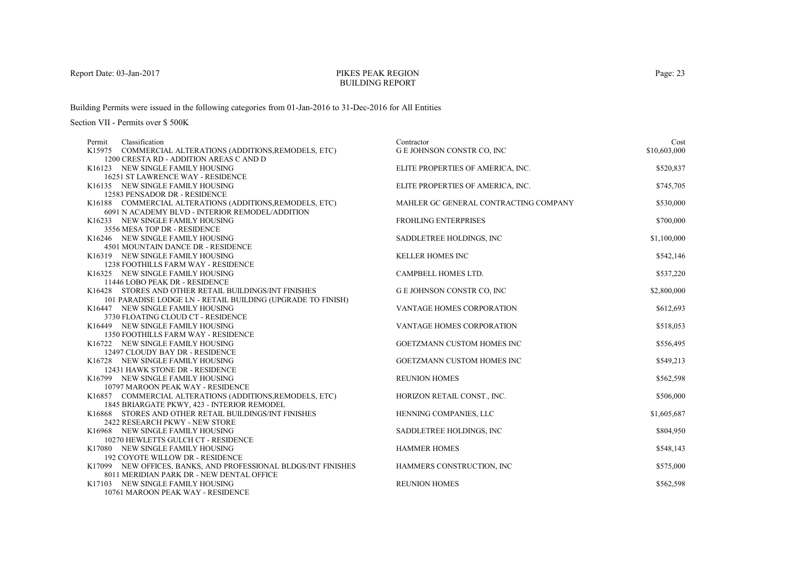## PIKES PEAK REGIONBUILDING REPORT

Building Permits were issued in the following categories from 01-Jan-2016 to 31-Dec-2016 for All Entities

| Classification<br>Permit                                               | Contractor                            | Cost         |
|------------------------------------------------------------------------|---------------------------------------|--------------|
| K15975 COMMERCIAL ALTERATIONS (ADDITIONS, REMODELS, ETC)               | <b>G E JOHNSON CONSTR CO, INC</b>     | \$10,603,000 |
| 1200 CRESTA RD - ADDITION AREAS CAND D                                 |                                       |              |
| K16123 NEW SINGLE FAMILY HOUSING                                       | ELITE PROPERTIES OF AMERICA, INC.     | \$520,837    |
| 16251 ST LAWRENCE WAY - RESIDENCE                                      |                                       |              |
| K16135 NEW SINGLE FAMILY HOUSING                                       | ELITE PROPERTIES OF AMERICA, INC.     | \$745,705    |
| 12583 PENSADOR DR - RESIDENCE                                          |                                       |              |
| K16188 COMMERCIAL ALTERATIONS (ADDITIONS, REMODELS, ETC)               | MAHLER GC GENERAL CONTRACTING COMPANY | \$530,000    |
| 6091 N ACADEMY BLVD - INTERIOR REMODEL/ADDITION                        |                                       |              |
| K16233 NEW SINGLE FAMILY HOUSING                                       | <b>FROHLING ENTERPRISES</b>           | \$700,000    |
| 3556 MESA TOP DR - RESIDENCE                                           |                                       |              |
| K16246 NEW SINGLE FAMILY HOUSING                                       | SADDLETREE HOLDINGS, INC              | \$1,100,000  |
| 4501 MOUNTAIN DANCE DR - RESIDENCE                                     |                                       |              |
| K16319 NEW SINGLE FAMILY HOUSING                                       | <b>KELLER HOMES INC</b>               | \$542,146    |
| <b>1238 FOOTHILLS FARM WAY - RESIDENCE</b>                             |                                       |              |
| K16325 NEW SINGLE FAMILY HOUSING                                       | CAMPBELL HOMES LTD.                   | \$537,220    |
| 11446 LOBO PEAK DR - RESIDENCE                                         |                                       |              |
| K16428 STORES AND OTHER RETAIL BUILDINGS/INT FINISHES                  | <b>GE JOHNSON CONSTR CO, INC</b>      | \$2,800,000  |
| 101 PARADISE LODGE LN - RETAIL BUILDING (UPGRADE TO FINISH)            |                                       |              |
| K16447 NEW SINGLE FAMILY HOUSING                                       | VANTAGE HOMES CORPORATION             | \$612,693    |
| 3730 FLOATING CLOUD CT - RESIDENCE<br>K16449 NEW SINGLE FAMILY HOUSING | <b>VANTAGE HOMES CORPORATION</b>      |              |
| 1350 FOOTHILLS FARM WAY - RESIDENCE                                    |                                       | \$518,053    |
| K16722 NEW SINGLE FAMILY HOUSING                                       | <b>GOETZMANN CUSTOM HOMES INC</b>     | \$556,495    |
| 12497 CLOUDY BAY DR - RESIDENCE                                        |                                       |              |
| K16728 NEW SINGLE FAMILY HOUSING                                       | <b>GOETZMANN CUSTOM HOMES INC</b>     | \$549,213    |
| 12431 HAWK STONE DR - RESIDENCE                                        |                                       |              |
| K16799 NEW SINGLE FAMILY HOUSING                                       | <b>REUNION HOMES</b>                  | \$562,598    |
| 10797 MAROON PEAK WAY - RESIDENCE                                      |                                       |              |
| K16857 COMMERCIAL ALTERATIONS (ADDITIONS, REMODELS, ETC)               | HORIZON RETAIL CONST., INC.           | \$506,000    |
| 1845 BRIARGATE PKWY, 423 - INTERIOR REMODEL                            |                                       |              |
| K16868 STORES AND OTHER RETAIL BUILDINGS/INT FINISHES                  | HENNING COMPANIES, LLC                | \$1,605,687  |
| 2422 RESEARCH PKWY - NEW STORE                                         |                                       |              |
| K16968 NEW SINGLE FAMILY HOUSING                                       | SADDLETREE HOLDINGS, INC.             | \$804,950    |
| 10270 HEWLETTS GULCH CT - RESIDENCE                                    |                                       |              |
| K17080 NEW SINGLE FAMILY HOUSING                                       | <b>HAMMER HOMES</b>                   | \$548,143    |
| <b>192 COYOTE WILLOW DR - RESIDENCE</b>                                |                                       |              |
| K17099 NEW OFFICES, BANKS, AND PROFESSIONAL BLDGS/INT FINISHES         | HAMMERS CONSTRUCTION, INC.            | \$575,000    |
| 8011 MERIDIAN PARK DR - NEW DENTAL OFFICE                              |                                       |              |
| K17103 NEW SINGLE FAMILY HOUSING                                       | <b>REUNION HOMES</b>                  | \$562,598    |
| 10761 MAROON PEAK WAY - RESIDENCE                                      |                                       |              |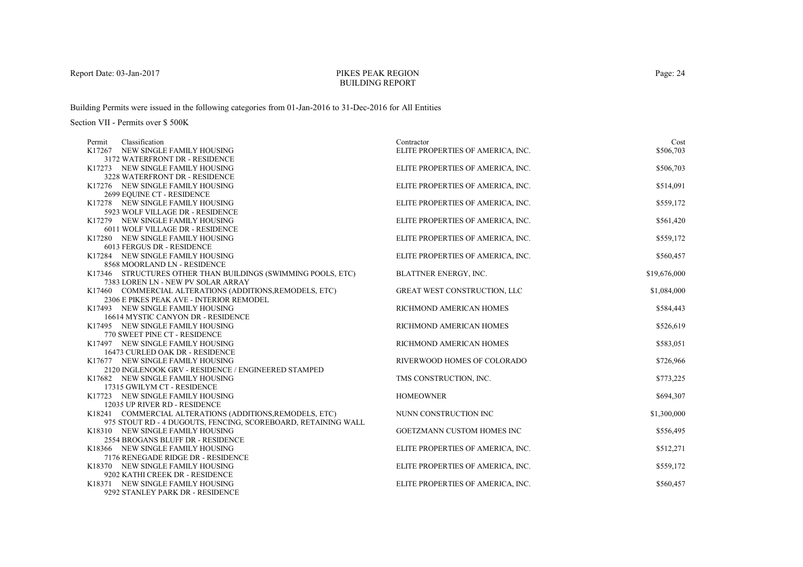## PIKES PEAK REGIONBUILDING REPORT

Building Permits were issued in the following categories from 01-Jan-2016 to 31-Dec-2016 for All Entities

| Classification<br>Permit                                                                             | Contractor                        | Cost         |
|------------------------------------------------------------------------------------------------------|-----------------------------------|--------------|
| K17267 NEW SINGLE FAMILY HOUSING                                                                     | ELITE PROPERTIES OF AMERICA, INC. | \$506,703    |
| 3172 WATERFRONT DR - RESIDENCE                                                                       |                                   |              |
| K17273 NEW SINGLE FAMILY HOUSING                                                                     | ELITE PROPERTIES OF AMERICA, INC. | \$506,703    |
| 3228 WATERFRONT DR - RESIDENCE                                                                       |                                   |              |
| K17276 NEW SINGLE FAMILY HOUSING                                                                     | ELITE PROPERTIES OF AMERICA, INC. | \$514,091    |
| 2699 EQUINE CT - RESIDENCE                                                                           |                                   |              |
| K17278 NEW SINGLE FAMILY HOUSING                                                                     | ELITE PROPERTIES OF AMERICA, INC. | \$559,172    |
| 5923 WOLF VILLAGE DR - RESIDENCE                                                                     |                                   |              |
| K17279 NEW SINGLE FAMILY HOUSING                                                                     | ELITE PROPERTIES OF AMERICA, INC. | \$561,420    |
| 6011 WOLF VILLAGE DR - RESIDENCE                                                                     |                                   |              |
| K17280 NEW SINGLE FAMILY HOUSING                                                                     | ELITE PROPERTIES OF AMERICA, INC. | \$559,172    |
| 6013 FERGUS DR - RESIDENCE                                                                           |                                   |              |
| K17284 NEW SINGLE FAMILY HOUSING                                                                     | ELITE PROPERTIES OF AMERICA, INC. | \$560,457    |
| 8568 MOORLAND LN - RESIDENCE                                                                         |                                   |              |
| K17346 STRUCTURES OTHER THAN BUILDINGS (SWIMMING POOLS, ETC)                                         | BLATTNER ENERGY, INC.             | \$19,676,000 |
| 7383 LOREN LN - NEW PV SOLAR ARRAY                                                                   |                                   |              |
| K17460 COMMERCIAL ALTERATIONS (ADDITIONS, REMODELS, ETC)<br>2306 E PIKES PEAK AVE - INTERIOR REMODEL | GREAT WEST CONSTRUCTION, LLC      | \$1,084,000  |
| K17493 NEW SINGLE FAMILY HOUSING                                                                     | RICHMOND AMERICAN HOMES           | \$584,443    |
| 16614 MYSTIC CANYON DR - RESIDENCE                                                                   |                                   |              |
| K17495 NEW SINGLE FAMILY HOUSING                                                                     | RICHMOND AMERICAN HOMES           | \$526,619    |
| 770 SWEET PINE CT - RESIDENCE                                                                        |                                   |              |
| K17497 NEW SINGLE FAMILY HOUSING                                                                     | RICHMOND AMERICAN HOMES           | \$583,051    |
| 16473 CURLED OAK DR - RESIDENCE                                                                      |                                   |              |
| K17677 NEW SINGLE FAMILY HOUSING                                                                     | RIVERWOOD HOMES OF COLORADO       | \$726,966    |
| 2120 INGLENOOK GRV - RESIDENCE / ENGINEERED STAMPED                                                  |                                   |              |
| K17682 NEW SINGLE FAMILY HOUSING                                                                     | TMS CONSTRUCTION, INC.            | \$773,225    |
| 17315 GWILYM CT - RESIDENCE                                                                          |                                   |              |
| K17723 NEW SINGLE FAMILY HOUSING                                                                     | <b>HOMEOWNER</b>                  | \$694,307    |
| 12035 UP RIVER RD - RESIDENCE                                                                        |                                   |              |
| K18241 COMMERCIAL ALTERATIONS (ADDITIONS, REMODELS, ETC)                                             | NUNN CONSTRUCTION INC             | \$1,300,000  |
| 975 STOUT RD - 4 DUGOUTS, FENCING, SCOREBOARD, RETAINING WALL                                        |                                   |              |
| K18310 NEW SINGLE FAMILY HOUSING                                                                     | <b>GOETZMANN CUSTOM HOMES INC</b> | \$556,495    |
| 2554 BROGANS BLUFF DR - RESIDENCE                                                                    |                                   |              |
| K18366 NEW SINGLE FAMILY HOUSING                                                                     | ELITE PROPERTIES OF AMERICA, INC. | \$512,271    |
| 7176 RENEGADE RIDGE DR - RESIDENCE                                                                   |                                   |              |
| K18370 NEW SINGLE FAMILY HOUSING                                                                     | ELITE PROPERTIES OF AMERICA, INC. | \$559,172    |
| 9202 KATHI CREEK DR - RESIDENCE                                                                      |                                   |              |
| K18371 NEW SINGLE FAMILY HOUSING                                                                     | ELITE PROPERTIES OF AMERICA, INC. | \$560,457    |
| 9292 STANLEY PARK DR - RESIDENCE                                                                     |                                   |              |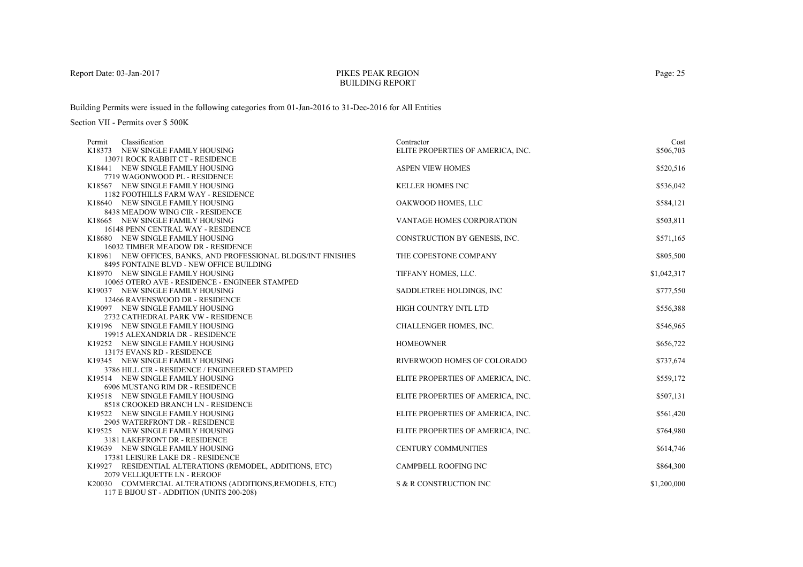## PIKES PEAK REGIONBUILDING REPORT

Building Permits were issued in the following categories from 01-Jan-2016 to 31-Dec-2016 for All Entities

| Classification<br>Permit                                           | Contractor                        | Cost        |
|--------------------------------------------------------------------|-----------------------------------|-------------|
| K18373 NEW SINGLE FAMILY HOUSING                                   | ELITE PROPERTIES OF AMERICA, INC. | \$506,703   |
| 13071 ROCK RABBIT CT - RESIDENCE                                   |                                   |             |
| K18441 NEW SINGLE FAMILY HOUSING                                   | <b>ASPEN VIEW HOMES</b>           | \$520,516   |
| 7719 WAGONWOOD PL - RESIDENCE                                      |                                   |             |
| K18567 NEW SINGLE FAMILY HOUSING                                   | <b>KELLER HOMES INC</b>           | \$536,042   |
| 1182 FOOTHILLS FARM WAY - RESIDENCE                                |                                   |             |
| K18640 NEW SINGLE FAMILY HOUSING                                   | OAKWOOD HOMES, LLC                | \$584,121   |
| 8438 MEADOW WING CIR - RESIDENCE                                   |                                   |             |
| K18665 NEW SINGLE FAMILY HOUSING                                   | VANTAGE HOMES CORPORATION         | \$503,811   |
| 16148 PENN CENTRAL WAY - RESIDENCE                                 |                                   |             |
| K18680 NEW SINGLE FAMILY HOUSING                                   | CONSTRUCTION BY GENESIS, INC.     | \$571,165   |
| 16032 TIMBER MEADOW DR - RESIDENCE                                 |                                   |             |
| K18961 NEW OFFICES, BANKS, AND PROFESSIONAL BLDGS/INT FINISHES     | THE COPESTONE COMPANY             | \$805,500   |
| 8495 FONTAINE BLVD - NEW OFFICE BUILDING                           |                                   |             |
| K18970 NEW SINGLE FAMILY HOUSING                                   | TIFFANY HOMES, LLC.               | \$1,042,317 |
| 10065 OTERO AVE - RESIDENCE - ENGINEER STAMPED                     |                                   |             |
| K19037 NEW SINGLE FAMILY HOUSING                                   | SADDLETREE HOLDINGS, INC          | \$777,550   |
| 12466 RAVENSWOOD DR - RESIDENCE                                    |                                   |             |
| K19097 NEW SINGLE FAMILY HOUSING                                   | HIGH COUNTRY INTL LTD             | \$556,388   |
| 2732 CATHEDRAL PARK VW - RESIDENCE                                 |                                   |             |
| K19196 NEW SINGLE FAMILY HOUSING                                   | CHALLENGER HOMES, INC.            | \$546,965   |
| 19915 ALEXANDRIA DR - RESIDENCE                                    |                                   |             |
| K19252 NEW SINGLE FAMILY HOUSING                                   | <b>HOMEOWNER</b>                  | \$656,722   |
| 13175 EVANS RD - RESIDENCE                                         |                                   |             |
| K19345 NEW SINGLE FAMILY HOUSING                                   | RIVERWOOD HOMES OF COLORADO       | \$737,674   |
| 3786 HILL CIR - RESIDENCE / ENGINEERED STAMPED                     |                                   |             |
| K19514 NEW SINGLE FAMILY HOUSING                                   | ELITE PROPERTIES OF AMERICA, INC. | \$559,172   |
| 6906 MUSTANG RIM DR - RESIDENCE                                    |                                   |             |
| K19518 NEW SINGLE FAMILY HOUSING                                   | ELITE PROPERTIES OF AMERICA, INC. | \$507,131   |
| 8518 CROOKED BRANCH LN - RESIDENCE                                 |                                   |             |
| K19522 NEW SINGLE FAMILY HOUSING                                   | ELITE PROPERTIES OF AMERICA, INC. | \$561,420   |
| 2905 WATERFRONT DR - RESIDENCE<br>K19525 NEW SINGLE FAMILY HOUSING | ELITE PROPERTIES OF AMERICA, INC. | \$764,980   |
| 3181 LAKEFRONT DR - RESIDENCE                                      |                                   |             |
| K19639 NEW SINGLE FAMILY HOUSING                                   | <b>CENTURY COMMUNITIES</b>        | \$614,746   |
| 17381 LEISURE LAKE DR - RESIDENCE                                  |                                   |             |
| K19927 RESIDENTIAL ALTERATIONS (REMODEL, ADDITIONS, ETC)           | <b>CAMPBELL ROOFING INC</b>       | \$864,300   |
| 2079 VELLIQUETTE LN - REROOF                                       |                                   |             |
| K20030 COMMERCIAL ALTERATIONS (ADDITIONS, REMODELS, ETC)           | S & R CONSTRUCTION INC            | \$1,200,000 |
| 117 E BIJOU ST - ADDITION (UNITS 200-208)                          |                                   |             |
|                                                                    |                                   |             |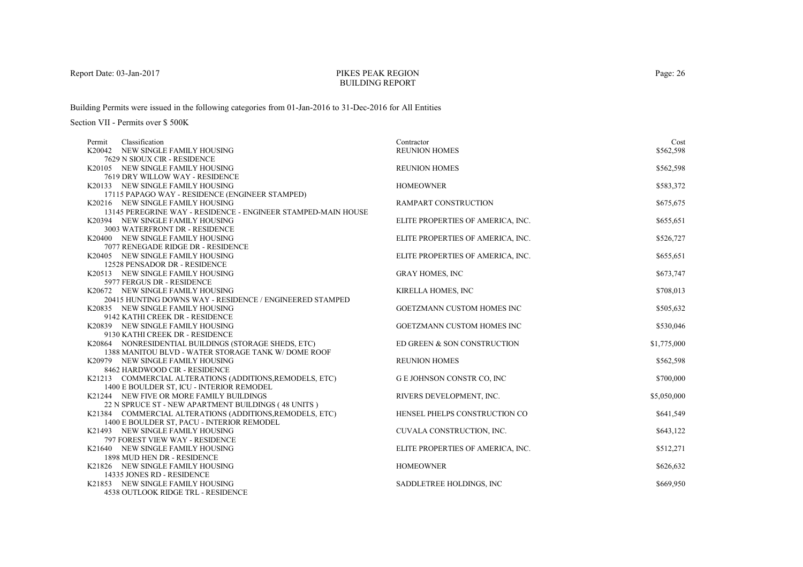#### PIKES PEAK REGIONBUILDING REPORT

Building Permits were issued in the following categories from 01-Jan-2016 to 31-Dec-2016 for All Entities

| Classification<br>Permit                                            | Contractor                        | Cost        |
|---------------------------------------------------------------------|-----------------------------------|-------------|
| K20042 NEW SINGLE FAMILY HOUSING                                    | <b>REUNION HOMES</b>              | \$562,598   |
| 7629 N SIOUX CIR - RESIDENCE                                        |                                   |             |
| K20105 NEW SINGLE FAMILY HOUSING                                    | <b>REUNION HOMES</b>              | \$562,598   |
| 7619 DRY WILLOW WAY - RESIDENCE                                     |                                   |             |
| K20133 NEW SINGLE FAMILY HOUSING                                    | <b>HOMEOWNER</b>                  | \$583,372   |
| 17115 PAPAGO WAY - RESIDENCE (ENGINEER STAMPED)                     |                                   |             |
| K20216 NEW SINGLE FAMILY HOUSING                                    | RAMPART CONSTRUCTION              | \$675,675   |
| 13145 PEREGRINE WAY - RESIDENCE - ENGINEER STAMPED-MAIN HOUSE       |                                   |             |
| K20394 NEW SINGLE FAMILY HOUSING                                    | ELITE PROPERTIES OF AMERICA, INC. | \$655,651   |
| 3003 WATERFRONT DR - RESIDENCE                                      |                                   |             |
| K20400 NEW SINGLE FAMILY HOUSING                                    | ELITE PROPERTIES OF AMERICA, INC. | \$526,727   |
| 7077 RENEGADE RIDGE DR - RESIDENCE                                  |                                   |             |
| K20405 NEW SINGLE FAMILY HOUSING                                    | ELITE PROPERTIES OF AMERICA, INC. | \$655,651   |
| 12528 PENSADOR DR - RESIDENCE                                       |                                   |             |
| K20513 NEW SINGLE FAMILY HOUSING                                    | <b>GRAY HOMES, INC</b>            | \$673,747   |
| 5977 FERGUS DR - RESIDENCE                                          |                                   |             |
| K20672 NEW SINGLE FAMILY HOUSING                                    | KIRELLA HOMES, INC                | \$708,013   |
| 20415 HUNTING DOWNS WAY - RESIDENCE / ENGINEERED STAMPED            |                                   |             |
| K20835 NEW SINGLE FAMILY HOUSING                                    | <b>GOETZMANN CUSTOM HOMES INC</b> | \$505,632   |
| 9142 KATHI CREEK DR - RESIDENCE                                     | GOETZMANN CUSTOM HOMES INC        |             |
| K20839 NEW SINGLE FAMILY HOUSING<br>9130 KATHI CREEK DR - RESIDENCE |                                   | \$530,046   |
| K20864 NONRESIDENTIAL BUILDINGS (STORAGE SHEDS, ETC)                | ED GREEN & SON CONSTRUCTION       | \$1,775,000 |
| 1388 MANITOU BLVD - WATER STORAGE TANK W/ DOME ROOF                 |                                   |             |
| K20979 NEW SINGLE FAMILY HOUSING                                    | <b>REUNION HOMES</b>              | \$562,598   |
| 8462 HARDWOOD CIR - RESIDENCE                                       |                                   |             |
| K21213 COMMERCIAL ALTERATIONS (ADDITIONS, REMODELS, ETC)            | G E JOHNSON CONSTR CO, INC        | \$700,000   |
| 1400 E BOULDER ST, ICU - INTERIOR REMODEL                           |                                   |             |
| K21244 NEW FIVE OR MORE FAMILY BUILDINGS                            | RIVERS DEVELOPMENT, INC.          | \$5,050,000 |
| 22 N SPRUCE ST - NEW APARTMENT BUILDINGS (48 UNITS)                 |                                   |             |
| K21384 COMMERCIAL ALTERATIONS (ADDITIONS, REMODELS, ETC)            | HENSEL PHELPS CONSTRUCTION CO     | \$641,549   |
| 1400 E BOULDER ST, PACU - INTERIOR REMODEL                          |                                   |             |
| K21493 NEW SINGLE FAMILY HOUSING                                    | CUVALA CONSTRUCTION, INC.         | \$643,122   |
| 797 FOREST VIEW WAY - RESIDENCE                                     |                                   |             |
| K21640 NEW SINGLE FAMILY HOUSING                                    | ELITE PROPERTIES OF AMERICA, INC. | \$512,271   |
| 1898 MUD HEN DR - RESIDENCE                                         |                                   |             |
| K21826 NEW SINGLE FAMILY HOUSING                                    | <b>HOMEOWNER</b>                  | \$626,632   |
| 14335 JONES RD - RESIDENCE                                          |                                   |             |
| K21853 NEW SINGLE FAMILY HOUSING                                    | SADDLETREE HOLDINGS, INC.         | \$669,950   |
| 4538 OUTLOOK RIDGE TRL - RESIDENCE                                  |                                   |             |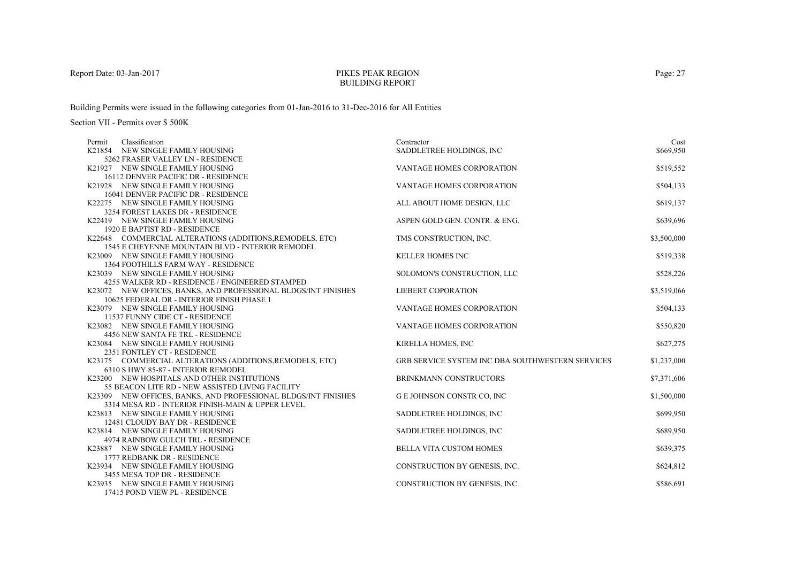## PIKES PEAK REGIONBUILDING REPORT

Building Permits were issued in the following categories from 01-Jan-2016 to 31-Dec-2016 for All Entities

| Classification<br>Permit                                                                                           | Contractor                                       | Cost        |
|--------------------------------------------------------------------------------------------------------------------|--------------------------------------------------|-------------|
| K21854 NEW SINGLE FAMILY HOUSING                                                                                   | SADDLETREE HOLDINGS, INC.                        | \$669,950   |
| 5262 FRASER VALLEY LN - RESIDENCE                                                                                  |                                                  |             |
| K21927 NEW SINGLE FAMILY HOUSING                                                                                   | VANTAGE HOMES CORPORATION                        | \$519,552   |
| 16112 DENVER PACIFIC DR - RESIDENCE                                                                                |                                                  |             |
| K21928 NEW SINGLE FAMILY HOUSING                                                                                   | VANTAGE HOMES CORPORATION                        | \$504,133   |
| 16041 DENVER PACIFIC DR - RESIDENCE                                                                                |                                                  |             |
| K22275 NEW SINGLE FAMILY HOUSING                                                                                   | ALL ABOUT HOME DESIGN, LLC                       | \$619,137   |
| 3254 FOREST LAKES DR - RESIDENCE                                                                                   |                                                  |             |
| K22419 NEW SINGLE FAMILY HOUSING                                                                                   | ASPEN GOLD GEN. CONTR. & ENG.                    | \$639,696   |
| 1920 E BAPTIST RD - RESIDENCE                                                                                      |                                                  |             |
| K22648 COMMERCIAL ALTERATIONS (ADDITIONS, REMODELS, ETC)                                                           | TMS CONSTRUCTION, INC.                           | \$3,500,000 |
| 1545 E CHEYENNE MOUNTAIN BLVD - INTERIOR REMODEL                                                                   |                                                  |             |
| K23009 NEW SINGLE FAMILY HOUSING                                                                                   | <b>KELLER HOMES INC</b>                          | \$519,338   |
| 1364 FOOTHILLS FARM WAY - RESIDENCE                                                                                |                                                  |             |
| K23039 NEW SINGLE FAMILY HOUSING                                                                                   | SOLOMON'S CONSTRUCTION, LLC                      | \$528,226   |
| 4255 WALKER RD - RESIDENCE / ENGINEERED STAMPED                                                                    |                                                  |             |
| K23072 NEW OFFICES, BANKS, AND PROFESSIONAL BLDGS/INT FINISHES                                                     | <b>LIEBERT COPORATION</b>                        | \$3,519,066 |
| 10625 FEDERAL DR - INTERIOR FINISH PHASE 1                                                                         |                                                  |             |
| K23079 NEW SINGLE FAMILY HOUSING                                                                                   | VANTAGE HOMES CORPORATION                        | \$504,133   |
| 11537 FUNNY CIDE CT - RESIDENCE                                                                                    |                                                  |             |
| K23082 NEW SINGLE FAMILY HOUSING                                                                                   | VANTAGE HOMES CORPORATION                        | \$550,820   |
| 4456 NEW SANTA FE TRL - RESIDENCE                                                                                  |                                                  |             |
| K23084 NEW SINGLE FAMILY HOUSING                                                                                   | KIRELLA HOMES, INC                               | \$627,275   |
| 2351 FONTLEY CT - RESIDENCE                                                                                        |                                                  |             |
| K23175 COMMERCIAL ALTERATIONS (ADDITIONS, REMODELS, ETC)                                                           | GRB SERVICE SYSTEM INC DBA SOUTHWESTERN SERVICES | \$1,237,000 |
| 6310 S HWY 85-87 - INTERIOR REMODEL                                                                                | <b>BRINKMANN CONSTRUCTORS</b>                    |             |
| K23200 NEW HOSPITALS AND OTHER INSTITUTIONS                                                                        |                                                  | \$7,371,606 |
| 55 BEACON LITE RD - NEW ASSISTED LIVING FACILITY<br>K23309 NEW OFFICES, BANKS, AND PROFESSIONAL BLDGS/INT FINISHES | <b>GE JOHNSON CONSTR CO, INC</b>                 | \$1,500,000 |
| 3314 MESA RD - INTERIOR FINISH-MAIN & UPPER LEVEL                                                                  |                                                  |             |
| K23813 NEW SINGLE FAMILY HOUSING                                                                                   | SADDLETREE HOLDINGS, INC                         | \$699,950   |
| 12481 CLOUDY BAY DR - RESIDENCE                                                                                    |                                                  |             |
| K23814 NEW SINGLE FAMILY HOUSING                                                                                   | SADDLETREE HOLDINGS, INC                         | \$689,950   |
| 4974 RAINBOW GULCH TRL - RESIDENCE                                                                                 |                                                  |             |
| K23887 NEW SINGLE FAMILY HOUSING                                                                                   | <b>BELLA VITA CUSTOM HOMES</b>                   | \$639,375   |
| 1777 REDBANK DR - RESIDENCE                                                                                        |                                                  |             |
| K23934 NEW SINGLE FAMILY HOUSING                                                                                   | CONSTRUCTION BY GENESIS, INC.                    | \$624,812   |
| 3455 MESA TOP DR - RESIDENCE                                                                                       |                                                  |             |
| K23935 NEW SINGLE FAMILY HOUSING                                                                                   | CONSTRUCTION BY GENESIS, INC.                    | \$586,691   |
| 17415 POND VIEW PL - RESIDENCE                                                                                     |                                                  |             |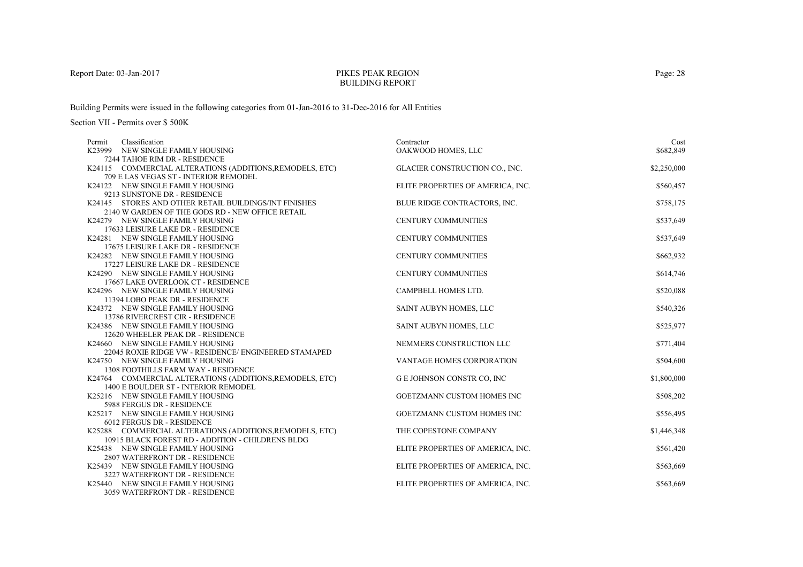## PIKES PEAK REGIONBUILDING REPORT

Building Permits were issued in the following categories from 01-Jan-2016 to 31-Dec-2016 for All Entities

| Classification<br>Permit                                 | Contractor                        | Cost        |
|----------------------------------------------------------|-----------------------------------|-------------|
| K23999 NEW SINGLE FAMILY HOUSING                         | OAKWOOD HOMES, LLC                | \$682,849   |
| 7244 TAHOE RIM DR - RESIDENCE                            |                                   |             |
| K24115 COMMERCIAL ALTERATIONS (ADDITIONS, REMODELS, ETC) | GLACIER CONSTRUCTION CO., INC.    | \$2,250,000 |
| 709 E LAS VEGAS ST - INTERIOR REMODEL                    |                                   |             |
| K24122 NEW SINGLE FAMILY HOUSING                         | ELITE PROPERTIES OF AMERICA, INC. | \$560,457   |
| 9213 SUNSTONE DR - RESIDENCE                             |                                   |             |
| K24145 STORES AND OTHER RETAIL BUILDINGS/INT FINISHES    | BLUE RIDGE CONTRACTORS, INC.      | \$758,175   |
| 2140 W GARDEN OF THE GODS RD - NEW OFFICE RETAIL         |                                   |             |
| K24279 NEW SINGLE FAMILY HOUSING                         | <b>CENTURY COMMUNITIES</b>        | \$537,649   |
| 17633 LEISURE LAKE DR - RESIDENCE                        |                                   |             |
| K24281 NEW SINGLE FAMILY HOUSING                         | <b>CENTURY COMMUNITIES</b>        | \$537,649   |
| 17675 LEISURE LAKE DR - RESIDENCE                        |                                   |             |
| K24282 NEW SINGLE FAMILY HOUSING                         | <b>CENTURY COMMUNITIES</b>        | \$662,932   |
| 17227 LEISURE LAKE DR - RESIDENCE                        |                                   |             |
| K24290 NEW SINGLE FAMILY HOUSING                         | <b>CENTURY COMMUNITIES</b>        | \$614,746   |
| 17667 LAKE OVERLOOK CT - RESIDENCE                       |                                   |             |
| K24296 NEW SINGLE FAMILY HOUSING                         | CAMPBELL HOMES LTD.               | \$520,088   |
| 11394 LOBO PEAK DR - RESIDENCE                           |                                   |             |
| K24372 NEW SINGLE FAMILY HOUSING                         | SAINT AUBYN HOMES, LLC            | \$540,326   |
| 13786 RIVERCREST CIR - RESIDENCE                         |                                   |             |
| K24386 NEW SINGLE FAMILY HOUSING                         | SAINT AUBYN HOMES, LLC            | \$525,977   |
| 12620 WHEELER PEAK DR - RESIDENCE                        |                                   |             |
| K24660 NEW SINGLE FAMILY HOUSING                         | NEMMERS CONSTRUCTION LLC          | \$771,404   |
| 22045 ROXIE RIDGE VW - RESIDENCE/ ENGINEERED STAMAPED    |                                   |             |
| K24750 NEW SINGLE FAMILY HOUSING                         | VANTAGE HOMES CORPORATION         | \$504,600   |
| <b>1308 FOOTHILLS FARM WAY - RESIDENCE</b>               |                                   |             |
| K24764 COMMERCIAL ALTERATIONS (ADDITIONS, REMODELS, ETC) | <b>GE JOHNSON CONSTR CO, INC</b>  | \$1,800,000 |
| 1400 E BOULDER ST - INTERIOR REMODEL                     |                                   |             |
| K25216 NEW SINGLE FAMILY HOUSING                         | <b>GOETZMANN CUSTOM HOMES INC</b> | \$508,202   |
| 5988 FERGUS DR - RESIDENCE                               |                                   |             |
| K25217 NEW SINGLE FAMILY HOUSING                         | GOETZMANN CUSTOM HOMES INC        | \$556,495   |
| 6012 FERGUS DR - RESIDENCE                               |                                   |             |
| K25288 COMMERCIAL ALTERATIONS (ADDITIONS, REMODELS, ETC) | THE COPESTONE COMPANY             | \$1,446,348 |
| 10915 BLACK FOREST RD - ADDITION - CHILDRENS BLDG        |                                   |             |
| K25438 NEW SINGLE FAMILY HOUSING                         | ELITE PROPERTIES OF AMERICA, INC. | \$561,420   |
| 2807 WATERFRONT DR - RESIDENCE                           |                                   |             |
| K25439 NEW SINGLE FAMILY HOUSING                         | ELITE PROPERTIES OF AMERICA, INC. | \$563,669   |
| 3227 WATERFRONT DR - RESIDENCE                           |                                   |             |
| K25440 NEW SINGLE FAMILY HOUSING                         | ELITE PROPERTIES OF AMERICA, INC. | \$563,669   |
| 3059 WATERFRONT DR - RESIDENCE                           |                                   |             |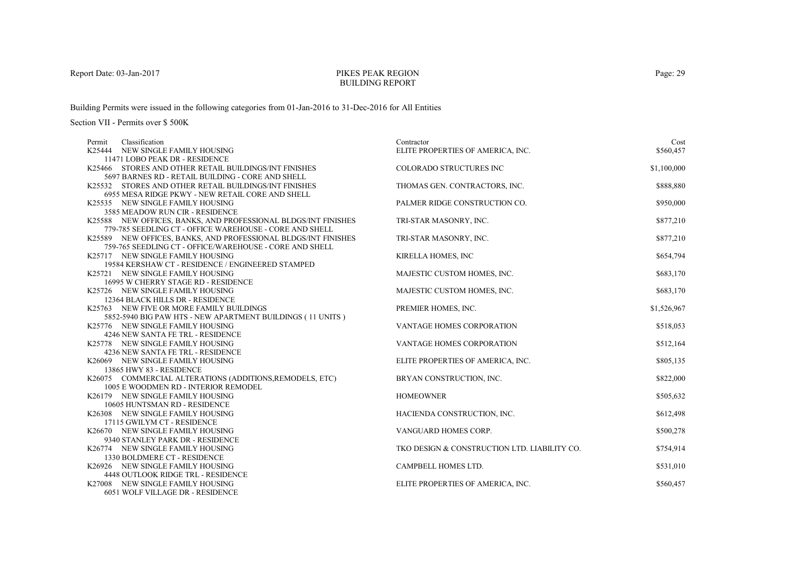## PIKES PEAK REGIONBUILDING REPORT

Building Permits were issued in the following categories from 01-Jan-2016 to 31-Dec-2016 for All Entities

| Classification<br>Permit                                       | Contractor                                   | Cost        |
|----------------------------------------------------------------|----------------------------------------------|-------------|
| K25444 NEW SINGLE FAMILY HOUSING                               | ELITE PROPERTIES OF AMERICA, INC.            | \$560,457   |
| 11471 LOBO PEAK DR - RESIDENCE                                 |                                              |             |
| K25466 STORES AND OTHER RETAIL BUILDINGS/INT FINISHES          | <b>COLORADO STRUCTURES INC</b>               | \$1,100,000 |
| 5697 BARNES RD - RETAIL BUILDING - CORE AND SHELL              |                                              |             |
| K25532 STORES AND OTHER RETAIL BUILDINGS/INT FINISHES          | THOMAS GEN. CONTRACTORS, INC.                | \$888,880   |
| 6955 MESA RIDGE PKWY - NEW RETAIL CORE AND SHELL               |                                              |             |
| K25535 NEW SINGLE FAMILY HOUSING                               | PALMER RIDGE CONSTRUCTION CO.                | \$950,000   |
| 3585 MEADOW RUN CIR - RESIDENCE                                |                                              |             |
| K25588 NEW OFFICES, BANKS, AND PROFESSIONAL BLDGS/INT FINISHES | TRI-STAR MASONRY, INC.                       | \$877,210   |
| 779-785 SEEDLING CT - OFFICE WAREHOUSE - CORE AND SHELL        |                                              |             |
| K25589 NEW OFFICES, BANKS, AND PROFESSIONAL BLDGS/INT FINISHES | TRI-STAR MASONRY, INC.                       | \$877,210   |
| 759-765 SEEDLING CT - OFFICE/WAREHOUSE - CORE AND SHELL        |                                              |             |
| K25717 NEW SINGLE FAMILY HOUSING                               | KIRELLA HOMES, INC                           | \$654,794   |
| 19584 KERSHAW CT - RESIDENCE / ENGINEERED STAMPED              |                                              |             |
| K25721 NEW SINGLE FAMILY HOUSING                               | MAJESTIC CUSTOM HOMES, INC.                  | \$683,170   |
| 16995 W CHERRY STAGE RD - RESIDENCE                            |                                              |             |
| K25726 NEW SINGLE FAMILY HOUSING                               | MAJESTIC CUSTOM HOMES, INC.                  | \$683,170   |
| 12364 BLACK HILLS DR - RESIDENCE                               |                                              |             |
| K25763 NEW FIVE OR MORE FAMILY BUILDINGS                       | PREMIER HOMES, INC.                          | \$1,526,967 |
| 5852-5940 BIG PAW HTS - NEW APARTMENT BUILDINGS (11 UNITS)     |                                              |             |
| K25776 NEW SINGLE FAMILY HOUSING                               | VANTAGE HOMES CORPORATION                    | \$518,053   |
| 4246 NEW SANTA FE TRL - RESIDENCE                              |                                              |             |
| K25778 NEW SINGLE FAMILY HOUSING                               | VANTAGE HOMES CORPORATION                    | \$512,164   |
| 4236 NEW SANTA FE TRL - RESIDENCE                              |                                              |             |
| K26069 NEW SINGLE FAMILY HOUSING                               | ELITE PROPERTIES OF AMERICA, INC.            | \$805,135   |
| 13865 HWY 83 - RESIDENCE                                       |                                              |             |
| K26075 COMMERCIAL ALTERATIONS (ADDITIONS, REMODELS, ETC)       | BRYAN CONSTRUCTION, INC.                     | \$822,000   |
| 1005 E WOODMEN RD - INTERIOR REMODEL                           |                                              |             |
| K26179 NEW SINGLE FAMILY HOUSING                               | <b>HOMEOWNER</b>                             | \$505,632   |
| 10605 HUNTSMAN RD - RESIDENCE                                  |                                              |             |
| K26308 NEW SINGLE FAMILY HOUSING                               | HACIENDA CONSTRUCTION, INC.                  | \$612,498   |
| 17115 GWILYM CT - RESIDENCE                                    |                                              |             |
| K26670 NEW SINGLE FAMILY HOUSING                               | VANGUARD HOMES CORP.                         | \$500,278   |
| 9340 STANLEY PARK DR - RESIDENCE                               |                                              |             |
| K26774 NEW SINGLE FAMILY HOUSING                               | TKO DESIGN & CONSTRUCTION LTD. LIABILITY CO. | \$754,914   |
| 1330 BOLDMERE CT - RESIDENCE                                   |                                              |             |
| K26926 NEW SINGLE FAMILY HOUSING                               | CAMPBELL HOMES LTD.                          | \$531,010   |
| 4448 OUTLOOK RIDGE TRL - RESIDENCE                             |                                              |             |
| K27008 NEW SINGLE FAMILY HOUSING                               | ELITE PROPERTIES OF AMERICA, INC.            | \$560,457   |
| 6051 WOLF VILLAGE DR - RESIDENCE                               |                                              |             |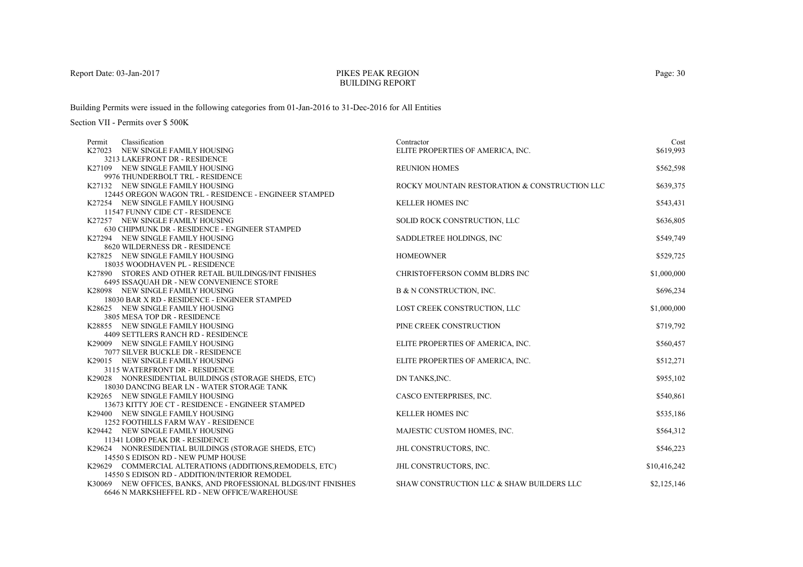# PIKES PEAK REGIONBUILDING REPORT

Building Permits were issued in the following categories from 01-Jan-2016 to 31-Dec-2016 for All Entities

| Classification<br>Permit                                               | Contractor                                    | Cost         |
|------------------------------------------------------------------------|-----------------------------------------------|--------------|
| K27023 NEW SINGLE FAMILY HOUSING                                       | ELITE PROPERTIES OF AMERICA, INC.             | \$619,993    |
| 3213 LAKEFRONT DR - RESIDENCE                                          |                                               |              |
| K27109 NEW SINGLE FAMILY HOUSING<br>9976 THUNDERBOLT TRL - RESIDENCE   | <b>REUNION HOMES</b>                          | \$562,598    |
| K27132 NEW SINGLE FAMILY HOUSING                                       | ROCKY MOUNTAIN RESTORATION & CONSTRUCTION LLC | \$639,375    |
| 12445 OREGON WAGON TRL - RESIDENCE - ENGINEER STAMPED                  |                                               |              |
| K27254 NEW SINGLE FAMILY HOUSING                                       | <b>KELLER HOMES INC</b>                       | \$543,431    |
| 11547 FUNNY CIDE CT - RESIDENCE                                        |                                               |              |
| K27257 NEW SINGLE FAMILY HOUSING                                       | SOLID ROCK CONSTRUCTION, LLC                  | \$636,805    |
| 630 CHIPMUNK DR - RESIDENCE - ENGINEER STAMPED                         |                                               |              |
| K27294 NEW SINGLE FAMILY HOUSING                                       | SADDLETREE HOLDINGS, INC                      | \$549,749    |
| 8620 WILDERNESS DR - RESIDENCE                                         |                                               |              |
| K27825 NEW SINGLE FAMILY HOUSING                                       | <b>HOMEOWNER</b>                              | \$529,725    |
| 18035 WOODHAVEN PL - RESIDENCE                                         |                                               |              |
| K27890 STORES AND OTHER RETAIL BUILDINGS/INT FINISHES                  | CHRISTOFFERSON COMM BLDRS INC                 | \$1,000,000  |
| 6495 ISSAQUAH DR - NEW CONVENIENCE STORE                               |                                               |              |
| K28098 NEW SINGLE FAMILY HOUSING                                       | B & N CONSTRUCTION, INC.                      | \$696,234    |
| 18030 BAR X RD - RESIDENCE - ENGINEER STAMPED                          |                                               |              |
| K28625 NEW SINGLE FAMILY HOUSING                                       | LOST CREEK CONSTRUCTION, LLC                  | \$1,000,000  |
| 3805 MESA TOP DR - RESIDENCE                                           |                                               |              |
| K28855 NEW SINGLE FAMILY HOUSING                                       | PINE CREEK CONSTRUCTION                       | \$719,792    |
| 4409 SETTLERS RANCH RD - RESIDENCE<br>K29009 NEW SINGLE FAMILY HOUSING |                                               |              |
| 7077 SILVER BUCKLE DR - RESIDENCE                                      | ELITE PROPERTIES OF AMERICA, INC.             | \$560,457    |
| K29015 NEW SINGLE FAMILY HOUSING                                       | ELITE PROPERTIES OF AMERICA, INC.             | \$512,271    |
| 3115 WATERFRONT DR - RESIDENCE                                         |                                               |              |
| K29028 NONRESIDENTIAL BUILDINGS (STORAGE SHEDS, ETC)                   | DN TANKS, INC.                                | \$955,102    |
| 18030 DANCING BEAR LN - WATER STORAGE TANK                             |                                               |              |
| K29265 NEW SINGLE FAMILY HOUSING                                       | CASCO ENTERPRISES, INC.                       | \$540,861    |
| 13673 KITTY JOE CT - RESIDENCE - ENGINEER STAMPED                      |                                               |              |
| K29400 NEW SINGLE FAMILY HOUSING                                       | <b>KELLER HOMES INC</b>                       | \$535,186    |
| <b>1252 FOOTHILLS FARM WAY - RESIDENCE</b>                             |                                               |              |
| K29442 NEW SINGLE FAMILY HOUSING                                       | MAJESTIC CUSTOM HOMES, INC.                   | \$564,312    |
| 11341 LOBO PEAK DR - RESIDENCE                                         |                                               |              |
| K29624 NONRESIDENTIAL BUILDINGS (STORAGE SHEDS, ETC)                   | JHL CONSTRUCTORS, INC.                        | \$546,223    |
| 14550 S EDISON RD - NEW PUMP HOUSE                                     |                                               |              |
| K29629 COMMERCIAL ALTERATIONS (ADDITIONS, REMODELS, ETC)               | <b>JHL CONSTRUCTORS, INC.</b>                 | \$10,416,242 |
| 14550 S EDISON RD - ADDITION/INTERIOR REMODEL                          |                                               |              |
| K30069 NEW OFFICES, BANKS, AND PROFESSIONAL BLDGS/INT FINISHES         | SHAW CONSTRUCTION LLC & SHAW BUILDERS LLC     | \$2,125,146  |
| 6646 N MARKSHEFFEL RD - NEW OFFICE/WAREHOUSE                           |                                               |              |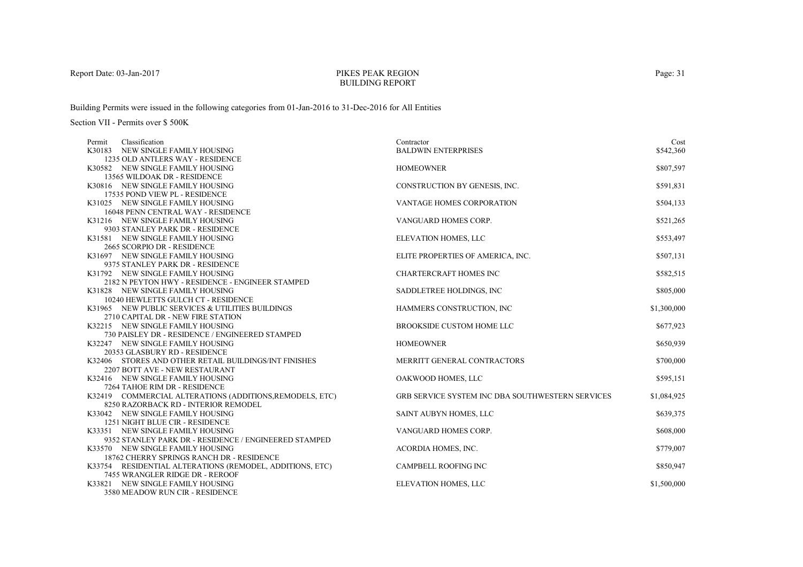## PIKES PEAK REGIONBUILDING REPORT

Building Permits were issued in the following categories from 01-Jan-2016 to 31-Dec-2016 for All Entities

| Classification<br>Permit                                                            | Contractor                                              | Cost        |
|-------------------------------------------------------------------------------------|---------------------------------------------------------|-------------|
| K30183 NEW SINGLE FAMILY HOUSING                                                    | <b>BALDWIN ENTERPRISES</b>                              | \$542,360   |
| 1235 OLD ANTLERS WAY - RESIDENCE                                                    |                                                         |             |
| K30582 NEW SINGLE FAMILY HOUSING                                                    | <b>HOMEOWNER</b>                                        | \$807,597   |
| 13565 WILDOAK DR - RESIDENCE                                                        |                                                         |             |
| K30816 NEW SINGLE FAMILY HOUSING                                                    | CONSTRUCTION BY GENESIS, INC.                           | \$591,831   |
| 17535 POND VIEW PL - RESIDENCE                                                      |                                                         |             |
| K31025 NEW SINGLE FAMILY HOUSING                                                    | VANTAGE HOMES CORPORATION                               | \$504,133   |
| 16048 PENN CENTRAL WAY - RESIDENCE                                                  |                                                         |             |
| K31216 NEW SINGLE FAMILY HOUSING                                                    | VANGUARD HOMES CORP.                                    | \$521,265   |
| 9303 STANLEY PARK DR - RESIDENCE                                                    |                                                         |             |
| K31581 NEW SINGLE FAMILY HOUSING                                                    | ELEVATION HOMES, LLC                                    | \$553,497   |
| 2665 SCORPIO DR - RESIDENCE                                                         |                                                         |             |
| K31697 NEW SINGLE FAMILY HOUSING                                                    | ELITE PROPERTIES OF AMERICA, INC.                       | \$507,131   |
| 9375 STANLEY PARK DR - RESIDENCE                                                    |                                                         |             |
| K31792 NEW SINGLE FAMILY HOUSING                                                    | <b>CHARTERCRAFT HOMES INC</b>                           | \$582,515   |
| 2182 N PEYTON HWY - RESIDENCE - ENGINEER STAMPED                                    |                                                         |             |
| K31828 NEW SINGLE FAMILY HOUSING                                                    | SADDLETREE HOLDINGS, INC.                               | \$805,000   |
| 10240 HEWLETTS GULCH CT - RESIDENCE                                                 |                                                         |             |
| K31965 NEW PUBLIC SERVICES & UTILITIES BUILDINGS                                    | HAMMERS CONSTRUCTION, INC                               | \$1,300,000 |
| 2710 CAPITAL DR - NEW FIRE STATION                                                  | BROOKSIDE CUSTOM HOME LLC                               |             |
| K32215 NEW SINGLE FAMILY HOUSING<br>730 PAISLEY DR - RESIDENCE / ENGINEERED STAMPED |                                                         | \$677,923   |
| K32247 NEW SINGLE FAMILY HOUSING                                                    | <b>HOMEOWNER</b>                                        | \$650,939   |
| 20353 GLASBURY RD - RESIDENCE                                                       |                                                         |             |
| K32406 STORES AND OTHER RETAIL BUILDINGS/INT FINISHES                               | MERRITT GENERAL CONTRACTORS                             | \$700,000   |
| 2207 BOTT AVE - NEW RESTAURANT                                                      |                                                         |             |
| K32416 NEW SINGLE FAMILY HOUSING                                                    | OAKWOOD HOMES, LLC                                      | \$595,151   |
| 7264 TAHOE RIM DR - RESIDENCE                                                       |                                                         |             |
| K32419 COMMERCIAL ALTERATIONS (ADDITIONS, REMODELS, ETC)                            | <b>GRB SERVICE SYSTEM INC DBA SOUTHWESTERN SERVICES</b> | \$1,084,925 |
| 8250 RAZORBACK RD - INTERIOR REMODEL                                                |                                                         |             |
| K33042 NEW SINGLE FAMILY HOUSING                                                    | SAINT AUBYN HOMES, LLC                                  | \$639,375   |
| 1251 NIGHT BLUE CIR - RESIDENCE                                                     |                                                         |             |
| K33351 NEW SINGLE FAMILY HOUSING                                                    | VANGUARD HOMES CORP.                                    | \$608,000   |
| 9352 STANLEY PARK DR - RESIDENCE / ENGINEERED STAMPED                               |                                                         |             |
| K33570 NEW SINGLE FAMILY HOUSING                                                    | ACORDIA HOMES, INC.                                     | \$779,007   |
| 18762 CHERRY SPRINGS RANCH DR - RESIDENCE                                           |                                                         |             |
| K33754 RESIDENTIAL ALTERATIONS (REMODEL, ADDITIONS, ETC)                            | <b>CAMPBELL ROOFING INC</b>                             | \$850,947   |
| 7455 WRANGLER RIDGE DR - REROOF                                                     |                                                         |             |
| K33821 NEW SINGLE FAMILY HOUSING                                                    | ELEVATION HOMES, LLC                                    | \$1,500,000 |
| 3580 MEADOW RUN CIR - RESIDENCE                                                     |                                                         |             |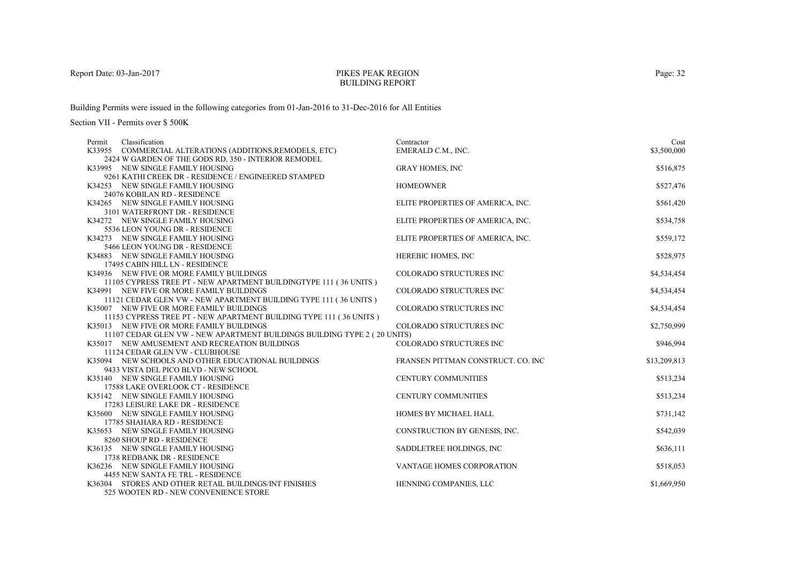#### PIKES PEAK REGIONBUILDING REPORT

Building Permits were issued in the following categories from 01-Jan-2016 to 31-Dec-2016 for All Entities

| Classification<br>Permit                                                                    | Contractor                          | Cost         |
|---------------------------------------------------------------------------------------------|-------------------------------------|--------------|
| K33955 COMMERCIAL ALTERATIONS (ADDITIONS, REMODELS, ETC)                                    | EMERALD C.M., INC.                  | \$3,500,000  |
| 2424 W GARDEN OF THE GODS RD, 350 - INTERIOR REMODEL                                        |                                     |              |
| K33995 NEW SINGLE FAMILY HOUSING                                                            | <b>GRAY HOMES, INC</b>              | \$516,875    |
| 9261 KATHI CREEK DR - RESIDENCE / ENGINEERED STAMPED<br>K34253 NEW SINGLE FAMILY HOUSING    | <b>HOMEOWNER</b>                    | \$527,476    |
| 24076 KOBILAN RD - RESIDENCE                                                                |                                     |              |
| K34265 NEW SINGLE FAMILY HOUSING                                                            | ELITE PROPERTIES OF AMERICA, INC.   | \$561,420    |
| 3101 WATERFRONT DR - RESIDENCE                                                              |                                     |              |
| K34272 NEW SINGLE FAMILY HOUSING                                                            | ELITE PROPERTIES OF AMERICA, INC.   | \$534,758    |
| 5536 LEON YOUNG DR - RESIDENCE                                                              |                                     |              |
| K34273 NEW SINGLE FAMILY HOUSING                                                            | ELITE PROPERTIES OF AMERICA, INC.   | \$559,172    |
| 5466 LEON YOUNG DR - RESIDENCE                                                              |                                     |              |
| K34883 NEW SINGLE FAMILY HOUSING                                                            | HEREBIC HOMES, INC                  | \$528,975    |
| 17495 CABIN HILL LN - RESIDENCE                                                             |                                     |              |
| K34936 NEW FIVE OR MORE FAMILY BUILDINGS                                                    | COLORADO STRUCTURES INC             | \$4,534,454  |
| 11105 CYPRESS TREE PT - NEW APARTMENT BUILDINGTYPE 111 (36 UNITS)                           |                                     |              |
| K34991 NEW FIVE OR MORE FAMILY BUILDINGS                                                    | COLORADO STRUCTURES INC             | \$4,534,454  |
| 11121 CEDAR GLEN VW - NEW APARTMENT BUILDING TYPE 111 (36 UNITS)                            |                                     |              |
| K35007 NEW FIVE OR MORE FAMILY BUILDINGS                                                    | COLORADO STRUCTURES INC             | \$4,534,454  |
| 11153 CYPRESS TREE PT - NEW APARTMENT BUILDING TYPE 111 (36 UNITS)                          |                                     |              |
| K35013 NEW FIVE OR MORE FAMILY BUILDINGS                                                    | <b>COLORADO STRUCTURES INC</b>      | \$2,750,999  |
| 11107 CEDAR GLEN VW - NEW APARTMENT BUILDINGS BUILDING TYPE 2 (20 UNITS)                    |                                     |              |
| K35017 NEW AMUSEMENT AND RECREATION BUILDINGS                                               | COLORADO STRUCTURES INC             | \$946,994    |
| 11124 CEDAR GLEN VW - CLUBHOUSE                                                             |                                     |              |
| K35094 NEW SCHOOLS AND OTHER EDUCATIONAL BUILDINGS<br>9433 VISTA DEL PICO BLVD - NEW SCHOOL | FRANSEN PITTMAN CONSTRUCT. CO. INC. | \$13,209,813 |
| K35140 NEW SINGLE FAMILY HOUSING                                                            | <b>CENTURY COMMUNITIES</b>          | \$513,234    |
| 17588 LAKE OVERLOOK CT - RESIDENCE                                                          |                                     |              |
| K35142 NEW SINGLE FAMILY HOUSING                                                            | <b>CENTURY COMMUNITIES</b>          | \$513,234    |
| 17283 LEISURE LAKE DR - RESIDENCE                                                           |                                     |              |
| K35600 NEW SINGLE FAMILY HOUSING                                                            | HOMES BY MICHAEL HALL               | \$731,142    |
| 17785 SHAHARA RD - RESIDENCE                                                                |                                     |              |
| K35653 NEW SINGLE FAMILY HOUSING                                                            | CONSTRUCTION BY GENESIS, INC.       | \$542,039    |
| 8260 SHOUP RD - RESIDENCE                                                                   |                                     |              |
| K36135 NEW SINGLE FAMILY HOUSING                                                            | SADDLETREE HOLDINGS, INC            | \$636,111    |
| 1738 REDBANK DR - RESIDENCE                                                                 |                                     |              |
| K36236 NEW SINGLE FAMILY HOUSING                                                            | VANTAGE HOMES CORPORATION           | \$518,053    |
| 4455 NEW SANTA FE TRL - RESIDENCE                                                           |                                     |              |
| K36304 STORES AND OTHER RETAIL BUILDINGS/INT FINISHES                                       | HENNING COMPANIES, LLC              | \$1,669,950  |
| 525 WOOTEN RD - NEW CONVENIENCE STORE                                                       |                                     |              |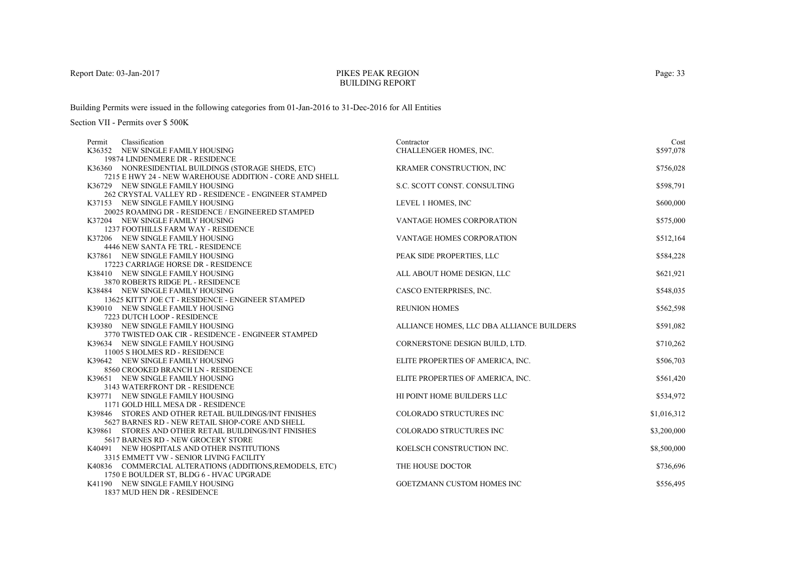## PIKES PEAK REGIONBUILDING REPORT

Building Permits were issued in the following categories from 01-Jan-2016 to 31-Dec-2016 for All Entities

| Classification<br>Permit                                 | Contractor                                | Cost        |
|----------------------------------------------------------|-------------------------------------------|-------------|
| K36352 NEW SINGLE FAMILY HOUSING                         | CHALLENGER HOMES, INC.                    | \$597,078   |
| 19874 LINDENMERE DR - RESIDENCE                          |                                           |             |
| K36360 NONRESIDENTIAL BUILDINGS (STORAGE SHEDS, ETC)     | KRAMER CONSTRUCTION, INC                  | \$756,028   |
| 7215 E HWY 24 - NEW WAREHOUSE ADDITION - CORE AND SHELL  |                                           |             |
| K36729 NEW SINGLE FAMILY HOUSING                         | S.C. SCOTT CONST. CONSULTING              | \$598,791   |
| 262 CRYSTAL VALLEY RD - RESIDENCE - ENGINEER STAMPED     |                                           |             |
| K37153 NEW SINGLE FAMILY HOUSING                         | LEVEL 1 HOMES, INC                        | \$600,000   |
| 20025 ROAMING DR - RESIDENCE / ENGINEERED STAMPED        |                                           |             |
| K37204 NEW SINGLE FAMILY HOUSING                         | <b>VANTAGE HOMES CORPORATION</b>          | \$575,000   |
| <b>1237 FOOTHILLS FARM WAY - RESIDENCE</b>               |                                           |             |
| K37206 NEW SINGLE FAMILY HOUSING                         | VANTAGE HOMES CORPORATION                 | \$512,164   |
| 4446 NEW SANTA FE TRL - RESIDENCE                        |                                           |             |
| K37861 NEW SINGLE FAMILY HOUSING                         | PEAK SIDE PROPERTIES, LLC                 | \$584,228   |
| 17223 CARRIAGE HORSE DR - RESIDENCE                      |                                           |             |
| K38410 NEW SINGLE FAMILY HOUSING                         | ALL ABOUT HOME DESIGN, LLC                | \$621,921   |
| 3870 ROBERTS RIDGE PL - RESIDENCE                        |                                           |             |
| K38484 NEW SINGLE FAMILY HOUSING                         | CASCO ENTERPRISES, INC.                   | \$548,035   |
| 13625 KITTY JOE CT - RESIDENCE - ENGINEER STAMPED        |                                           |             |
| K39010 NEW SINGLE FAMILY HOUSING                         | <b>REUNION HOMES</b>                      | \$562,598   |
| 7223 DUTCH LOOP - RESIDENCE                              |                                           |             |
| K39380 NEW SINGLE FAMILY HOUSING                         | ALLIANCE HOMES, LLC DBA ALLIANCE BUILDERS | \$591,082   |
| 3770 TWISTED OAK CIR - RESIDENCE - ENGINEER STAMPED      |                                           |             |
| K39634 NEW SINGLE FAMILY HOUSING                         | CORNERSTONE DESIGN BUILD, LTD.            | \$710,262   |
| 11005 S HOLMES RD - RESIDENCE                            |                                           |             |
| K39642 NEW SINGLE FAMILY HOUSING                         | ELITE PROPERTIES OF AMERICA, INC.         | \$506,703   |
| 8560 CROOKED BRANCH LN - RESIDENCE                       |                                           |             |
| K39651 NEW SINGLE FAMILY HOUSING                         | ELITE PROPERTIES OF AMERICA, INC.         | \$561,420   |
| 3143 WATERFRONT DR - RESIDENCE                           |                                           |             |
| K39771 NEW SINGLE FAMILY HOUSING                         | HI POINT HOME BUILDERS LLC                | \$534,972   |
| 1171 GOLD HILL MESA DR - RESIDENCE                       |                                           |             |
| K39846 STORES AND OTHER RETAIL BUILDINGS/INT FINISHES    | COLORADO STRUCTURES INC                   | \$1,016,312 |
| 5627 BARNES RD - NEW RETAIL SHOP-CORE AND SHELL          |                                           |             |
| K39861 STORES AND OTHER RETAIL BUILDINGS/INT FINISHES    | COLORADO STRUCTURES INC                   | \$3,200,000 |
| 5617 BARNES RD - NEW GROCERY STORE                       |                                           |             |
| K40491 NEW HOSPITALS AND OTHER INSTITUTIONS              | KOELSCH CONSTRUCTION INC.                 | \$8,500,000 |
| 3315 EMMETT VW - SENIOR LIVING FACILITY                  |                                           |             |
| K40836 COMMERCIAL ALTERATIONS (ADDITIONS, REMODELS, ETC) | THE HOUSE DOCTOR                          | \$736,696   |
| 1750 E BOULDER ST, BLDG 6 - HVAC UPGRADE                 |                                           |             |
| K41190 NEW SINGLE FAMILY HOUSING                         | <b>GOETZMANN CUSTOM HOMES INC</b>         | \$556,495   |
| 1837 MUD HEN DR - RESIDENCE                              |                                           |             |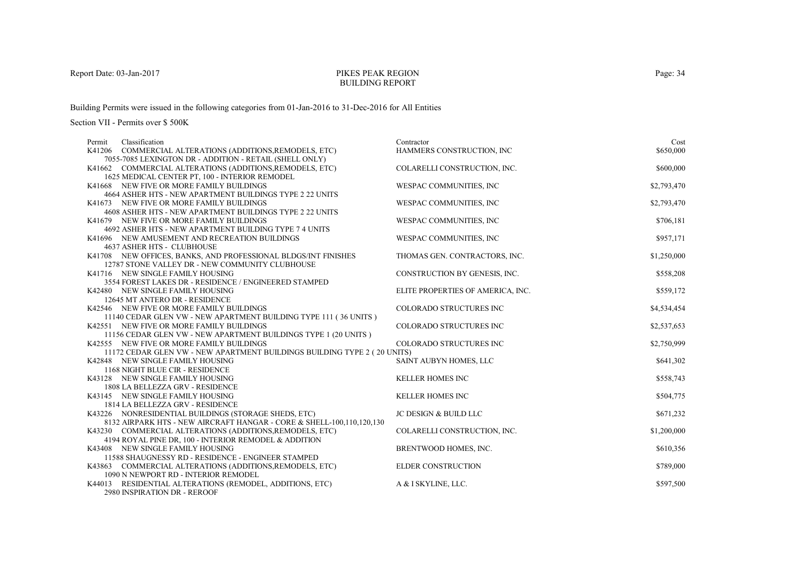## PIKES PEAK REGIONBUILDING REPORT

Building Permits were issued in the following categories from 01-Jan-2016 to 31-Dec-2016 for All Entities

| Classification<br>Permit                                                                             | Contractor                        | Cost        |
|------------------------------------------------------------------------------------------------------|-----------------------------------|-------------|
| K41206 COMMERCIAL ALTERATIONS (ADDITIONS, REMODELS, ETC)                                             | HAMMERS CONSTRUCTION, INC         | \$650,000   |
| 7055-7085 LEXINGTON DR - ADDITION - RETAIL (SHELL ONLY)                                              |                                   |             |
| K41662 COMMERCIAL ALTERATIONS (ADDITIONS, REMODELS, ETC)                                             | COLARELLI CONSTRUCTION, INC.      | \$600,000   |
| 1625 MEDICAL CENTER PT, 100 - INTERIOR REMODEL                                                       |                                   |             |
| K41668 NEW FIVE OR MORE FAMILY BUILDINGS                                                             | WESPAC COMMUNITIES, INC           | \$2,793,470 |
| 4664 ASHER HTS - NEW APARTMENT BUILDINGS TYPE 2 22 UNITS                                             | WESPAC COMMUNITIES, INC           |             |
| K41673 NEW FIVE OR MORE FAMILY BUILDINGS<br>4608 ASHER HTS - NEW APARTMENT BUILDINGS TYPE 2 22 UNITS |                                   | \$2,793,470 |
| K41679 NEW FIVE OR MORE FAMILY BUILDINGS                                                             | WESPAC COMMUNITIES, INC           | \$706,181   |
| 4692 ASHER HTS - NEW APARTMENT BUILDING TYPE 7 4 UNITS                                               |                                   |             |
| K41696 NEW AMUSEMENT AND RECREATION BUILDINGS                                                        | WESPAC COMMUNITIES, INC           | \$957,171   |
| <b>4637 ASHER HTS - CLUBHOUSE</b>                                                                    |                                   |             |
| K41708 NEW OFFICES, BANKS, AND PROFESSIONAL BLDGS/INT FINISHES                                       | THOMAS GEN. CONTRACTORS, INC.     | \$1,250,000 |
| 12787 STONE VALLEY DR - NEW COMMUNITY CLUBHOUSE                                                      |                                   |             |
| K41716 NEW SINGLE FAMILY HOUSING                                                                     | CONSTRUCTION BY GENESIS, INC.     | \$558,208   |
| 3554 FOREST LAKES DR - RESIDENCE / ENGINEERED STAMPED                                                |                                   |             |
| K42480 NEW SINGLE FAMILY HOUSING                                                                     | ELITE PROPERTIES OF AMERICA, INC. | \$559,172   |
| 12645 MT ANTERO DR - RESIDENCE                                                                       |                                   |             |
| K42546 NEW FIVE OR MORE FAMILY BUILDINGS                                                             | COLORADO STRUCTURES INC           | \$4,534,454 |
| 11140 CEDAR GLEN VW - NEW APARTMENT BUILDING TYPE 111 (36 UNITS)                                     |                                   |             |
| K42551 NEW FIVE OR MORE FAMILY BUILDINGS                                                             | COLORADO STRUCTURES INC           | \$2,537,653 |
| 11156 CEDAR GLEN VW - NEW APARTMENT BUILDINGS TYPE 1 (20 UNITS )                                     |                                   |             |
| K42555 NEW FIVE OR MORE FAMILY BUILDINGS                                                             | COLORADO STRUCTURES INC           | \$2,750,999 |
| 11172 CEDAR GLEN VW - NEW APARTMENT BUILDINGS BUILDING TYPE 2 (20 UNITS)                             |                                   |             |
| K42848 NEW SINGLE FAMILY HOUSING                                                                     | SAINT AUBYN HOMES, LLC            | \$641,302   |
| 1168 NIGHT BLUE CIR - RESIDENCE<br>K43128 NEW SINGLE FAMILY HOUSING                                  | <b>KELLER HOMES INC</b>           | \$558,743   |
| 1808 LA BELLEZZA GRV - RESIDENCE                                                                     |                                   |             |
| K43145 NEW SINGLE FAMILY HOUSING                                                                     | <b>KELLER HOMES INC</b>           | \$504,775   |
| 1814 LA BELLEZZA GRV - RESIDENCE                                                                     |                                   |             |
| K43226 NONRESIDENTIAL BUILDINGS (STORAGE SHEDS, ETC)                                                 | <b>JC DESIGN &amp; BUILD LLC</b>  | \$671,232   |
| 8132 AIRPARK HTS - NEW AIRCRAFT HANGAR - CORE & SHELL-100,110,120,130                                |                                   |             |
| K43230 COMMERCIAL ALTERATIONS (ADDITIONS, REMODELS, ETC)                                             | COLARELLI CONSTRUCTION, INC.      | \$1,200,000 |
| 4194 ROYAL PINE DR, 100 - INTERIOR REMODEL & ADDITION                                                |                                   |             |
| K43408 NEW SINGLE FAMILY HOUSING                                                                     | BRENTWOOD HOMES, INC.             | \$610,356   |
| 11588 SHAUGNESSY RD - RESIDENCE - ENGINEER STAMPED                                                   |                                   |             |
| K43863 COMMERCIAL ALTERATIONS (ADDITIONS, REMODELS, ETC)                                             | <b>ELDER CONSTRUCTION</b>         | \$789,000   |
| 1090 N NEWPORT RD - INTERIOR REMODEL                                                                 |                                   |             |
| K44013 RESIDENTIAL ALTERATIONS (REMODEL, ADDITIONS, ETC)                                             | A & I SKYLINE, LLC.               | \$597,500   |
| 2980 INSPIRATION DR - REROOF                                                                         |                                   |             |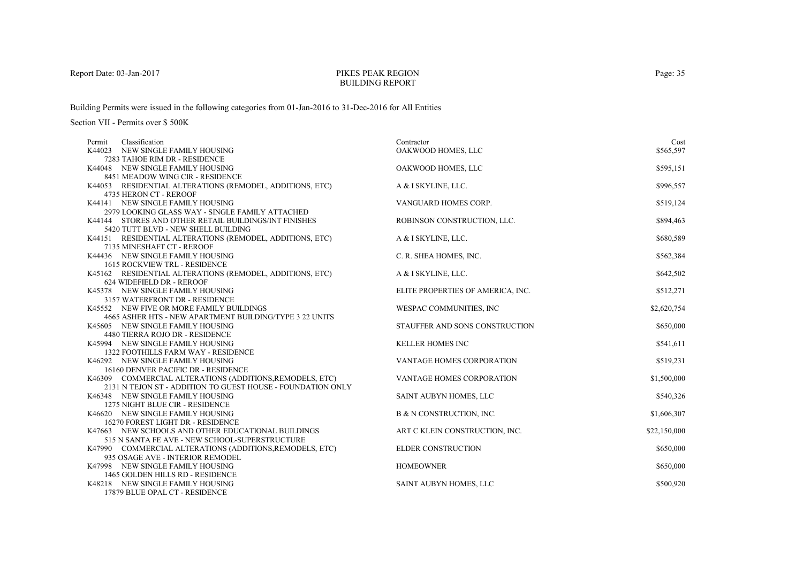### PIKES PEAK REGIONBUILDING REPORT

Building Permits were issued in the following categories from 01-Jan-2016 to 31-Dec-2016 for All Entities

| Classification<br>Permit                                                                    | Contractor                        | Cost         |
|---------------------------------------------------------------------------------------------|-----------------------------------|--------------|
| K44023 NEW SINGLE FAMILY HOUSING                                                            | OAKWOOD HOMES, LLC                | \$565,597    |
| 7283 TAHOE RIM DR - RESIDENCE                                                               |                                   |              |
| K44048 NEW SINGLE FAMILY HOUSING                                                            | OAKWOOD HOMES, LLC                | \$595,151    |
| 8451 MEADOW WING CIR - RESIDENCE                                                            |                                   |              |
| K44053 RESIDENTIAL ALTERATIONS (REMODEL, ADDITIONS, ETC)                                    | A & I SKYLINE, LLC.               | \$996,557    |
| 4735 HERON CT - REROOF                                                                      |                                   |              |
| K44141 NEW SINGLE FAMILY HOUSING                                                            | VANGUARD HOMES CORP.              | \$519,124    |
| 2979 LOOKING GLASS WAY - SINGLE FAMILY ATTACHED                                             |                                   |              |
| K44144 STORES AND OTHER RETAIL BUILDINGS/INT FINISHES                                       | ROBINSON CONSTRUCTION, LLC.       | \$894,463    |
| 5420 TUTT BLVD - NEW SHELL BUILDING                                                         |                                   |              |
| K44151 RESIDENTIAL ALTERATIONS (REMODEL, ADDITIONS, ETC)                                    | A & I SKYLINE, LLC.               | \$680,589    |
| 7135 MINESHAFT CT - REROOF                                                                  |                                   |              |
| K44436 NEW SINGLE FAMILY HOUSING                                                            | C. R. SHEA HOMES, INC.            | \$562,384    |
| 1615 ROCKVIEW TRL - RESIDENCE                                                               |                                   |              |
| K45162 RESIDENTIAL ALTERATIONS (REMODEL, ADDITIONS, ETC)                                    | A & I SKYLINE, LLC.               | \$642,502    |
| 624 WIDEFIELD DR - REROOF                                                                   |                                   |              |
| K45378 NEW SINGLE FAMILY HOUSING                                                            | ELITE PROPERTIES OF AMERICA, INC. | \$512,271    |
| 3157 WATERFRONT DR - RESIDENCE                                                              |                                   |              |
| K45552 NEW FIVE OR MORE FAMILY BUILDINGS                                                    | WESPAC COMMUNITIES, INC           | \$2,620,754  |
| 4665 ASHER HTS - NEW APARTMENT BUILDING/TYPE 3 22 UNITS<br>K45605 NEW SINGLE FAMILY HOUSING | STAUFFER AND SONS CONSTRUCTION    | \$650,000    |
| 4480 TIERRA ROJO DR - RESIDENCE                                                             |                                   |              |
| K45994 NEW SINGLE FAMILY HOUSING                                                            | <b>KELLER HOMES INC</b>           | \$541,611    |
| 1322 FOOTHILLS FARM WAY - RESIDENCE                                                         |                                   |              |
| K46292 NEW SINGLE FAMILY HOUSING                                                            | VANTAGE HOMES CORPORATION         | \$519,231    |
| 16160 DENVER PACIFIC DR - RESIDENCE                                                         |                                   |              |
| K46309 COMMERCIAL ALTERATIONS (ADDITIONS, REMODELS, ETC)                                    | VANTAGE HOMES CORPORATION         | \$1,500,000  |
| 2131 N TEJON ST - ADDITION TO GUEST HOUSE - FOUNDATION ONLY                                 |                                   |              |
| K46348 NEW SINGLE FAMILY HOUSING                                                            | SAINT AUBYN HOMES, LLC            | \$540,326    |
| 1275 NIGHT BLUE CIR - RESIDENCE                                                             |                                   |              |
| K46620 NEW SINGLE FAMILY HOUSING                                                            | B & N CONSTRUCTION, INC.          | \$1,606,307  |
| 16270 FOREST LIGHT DR - RESIDENCE                                                           |                                   |              |
| K47663 NEW SCHOOLS AND OTHER EDUCATIONAL BUILDINGS                                          | ART C KLEIN CONSTRUCTION, INC.    | \$22,150,000 |
| 515 N SANTA FE AVE - NEW SCHOOL-SUPERSTRUCTURE                                              |                                   |              |
| K47990 COMMERCIAL ALTERATIONS (ADDITIONS, REMODELS, ETC)                                    | <b>ELDER CONSTRUCTION</b>         | \$650,000    |
| 935 OSAGE AVE - INTERIOR REMODEL                                                            |                                   |              |
| K47998 NEW SINGLE FAMILY HOUSING                                                            | <b>HOMEOWNER</b>                  | \$650,000    |
| 1465 GOLDEN HILLS RD - RESIDENCE                                                            |                                   |              |
| K48218 NEW SINGLE FAMILY HOUSING                                                            | SAINT AUBYN HOMES, LLC            | \$500,920    |
| 17879 BLUE OPAL CT - RESIDENCE                                                              |                                   |              |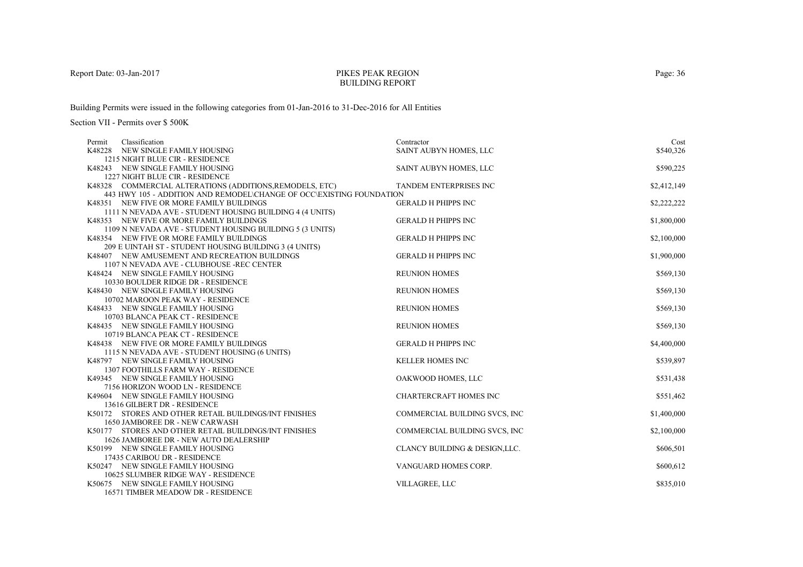### PIKES PEAK REGIONBUILDING REPORT

Building Permits were issued in the following categories from 01-Jan-2016 to 31-Dec-2016 for All Entities

| Classification<br>Permit                                             | Contractor                     | Cost        |
|----------------------------------------------------------------------|--------------------------------|-------------|
| K48228 NEW SINGLE FAMILY HOUSING                                     | SAINT AUBYN HOMES, LLC         | \$540,326   |
| 1215 NIGHT BLUE CIR - RESIDENCE                                      |                                |             |
| K48243 NEW SINGLE FAMILY HOUSING                                     | SAINT AUBYN HOMES, LLC         | \$590,225   |
| 1227 NIGHT BLUE CIR - RESIDENCE                                      |                                |             |
| K48328 COMMERCIAL ALTERATIONS (ADDITIONS, REMODELS, ETC)             | TANDEM ENTERPRISES INC         | \$2,412,149 |
| 443 HWY 105 - ADDITION AND REMODEL\CHANGE OF OCC\EXISTING FOUNDATION |                                |             |
| K48351 NEW FIVE OR MORE FAMILY BUILDINGS                             | <b>GERALD H PHIPPS INC</b>     | \$2,222,222 |
| 1111 N NEVADA AVE - STUDENT HOUSING BUILDING 4 (4 UNITS)             |                                |             |
| K48353 NEW FIVE OR MORE FAMILY BUILDINGS                             | <b>GERALD H PHIPPS INC</b>     | \$1,800,000 |
| 1109 N NEVADA AVE - STUDENT HOUSING BUILDING 5 (3 UNITS)             |                                |             |
| K48354 NEW FIVE OR MORE FAMILY BUILDINGS                             | <b>GERALD H PHIPPS INC</b>     | \$2,100,000 |
| 209 E UINTAH ST - STUDENT HOUSING BUILDING 3 (4 UNITS)               |                                |             |
| K48407 NEW AMUSEMENT AND RECREATION BUILDINGS                        | <b>GERALD H PHIPPS INC</b>     | \$1,900,000 |
| 1107 N NEVADA AVE - CLUBHOUSE -REC CENTER                            |                                |             |
| K48424 NEW SINGLE FAMILY HOUSING                                     | <b>REUNION HOMES</b>           | \$569,130   |
| 10330 BOULDER RIDGE DR - RESIDENCE                                   |                                |             |
| K48430 NEW SINGLE FAMILY HOUSING                                     | <b>REUNION HOMES</b>           | \$569,130   |
| 10702 MAROON PEAK WAY - RESIDENCE                                    |                                |             |
| K48433 NEW SINGLE FAMILY HOUSING                                     | <b>REUNION HOMES</b>           | \$569,130   |
| 10703 BLANCA PEAK CT - RESIDENCE                                     |                                |             |
| K48435 NEW SINGLE FAMILY HOUSING                                     | <b>REUNION HOMES</b>           | \$569,130   |
| 10719 BLANCA PEAK CT - RESIDENCE                                     |                                |             |
| K48438 NEW FIVE OR MORE FAMILY BUILDINGS                             | <b>GERALD H PHIPPS INC</b>     | \$4,400,000 |
| 1115 N NEVADA AVE - STUDENT HOUSING (6 UNITS)                        |                                |             |
| K48797 NEW SINGLE FAMILY HOUSING                                     | <b>KELLER HOMES INC</b>        | \$539,897   |
| 1307 FOOTHILLS FARM WAY - RESIDENCE                                  |                                |             |
| K49345 NEW SINGLE FAMILY HOUSING                                     | OAKWOOD HOMES, LLC             | \$531,438   |
| 7156 HORIZON WOOD LN - RESIDENCE                                     |                                |             |
| K49604 NEW SINGLE FAMILY HOUSING                                     | <b>CHARTERCRAFT HOMES INC</b>  | \$551,462   |
| 13616 GILBERT DR - RESIDENCE                                         |                                |             |
| K50172 STORES AND OTHER RETAIL BUILDINGS/INT FINISHES                | COMMERCIAL BUILDING SVCS, INC  | \$1,400,000 |
| 1650 JAMBOREE DR - NEW CARWASH                                       |                                |             |
| K50177 STORES AND OTHER RETAIL BUILDINGS/INT FINISHES                | COMMERCIAL BUILDING SVCS, INC  | \$2,100,000 |
| 1626 JAMBOREE DR - NEW AUTO DEALERSHIP                               |                                |             |
| K50199 NEW SINGLE FAMILY HOUSING                                     | CLANCY BUILDING & DESIGN, LLC. | \$606,501   |
| 17435 CARIBOU DR - RESIDENCE                                         |                                |             |
| K50247 NEW SINGLE FAMILY HOUSING                                     | VANGUARD HOMES CORP.           | \$600,612   |
| 10625 SLUMBER RIDGE WAY - RESIDENCE                                  |                                |             |
| K50675 NEW SINGLE FAMILY HOUSING                                     | <b>VILLAGREE, LLC</b>          | \$835,010   |
| 16571 TIMBER MEADOW DR - RESIDENCE                                   |                                |             |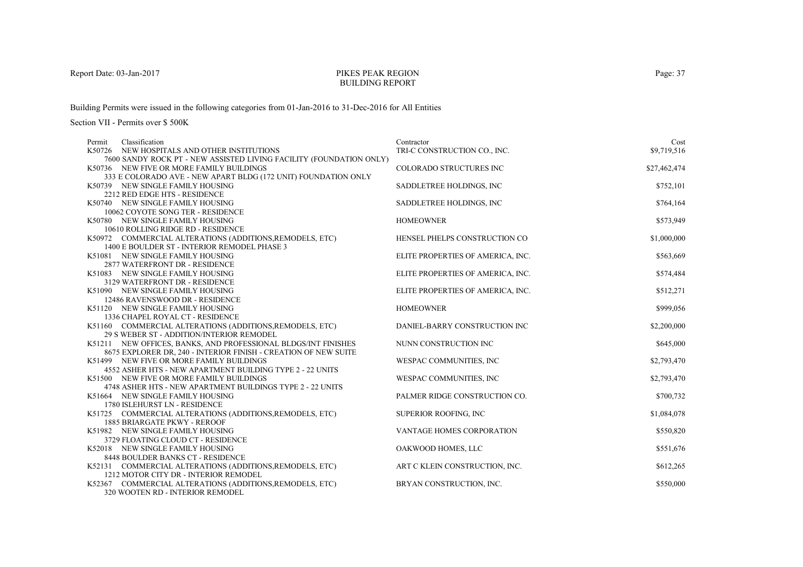### PIKES PEAK REGIONBUILDING REPORT

Building Permits were issued in the following categories from 01-Jan-2016 to 31-Dec-2016 for All Entities

| Classification<br>Permit                                                                          | Contractor                        | Cost         |
|---------------------------------------------------------------------------------------------------|-----------------------------------|--------------|
| K50726 NEW HOSPITALS AND OTHER INSTITUTIONS                                                       | TRI-C CONSTRUCTION CO., INC.      | \$9,719,516  |
| 7600 SANDY ROCK PT - NEW ASSISTED LIVING FACILITY (FOUNDATION ONLY)                               |                                   |              |
| K50736 NEW FIVE OR MORE FAMILY BUILDINGS                                                          | COLORADO STRUCTURES INC           | \$27,462,474 |
| 333 E COLORADO AVE - NEW APART BLDG (172 UNIT) FOUNDATION ONLY                                    |                                   |              |
| K50739 NEW SINGLE FAMILY HOUSING                                                                  | SADDLETREE HOLDINGS, INC          | \$752,101    |
| 2212 RED EDGE HTS - RESIDENCE                                                                     |                                   |              |
| K50740 NEW SINGLE FAMILY HOUSING                                                                  | SADDLETREE HOLDINGS, INC          | \$764,164    |
| 10062 COYOTE SONG TER - RESIDENCE                                                                 |                                   |              |
| K50780 NEW SINGLE FAMILY HOUSING                                                                  | <b>HOMEOWNER</b>                  | \$573,949    |
| 10610 ROLLING RIDGE RD - RESIDENCE                                                                |                                   |              |
| K50972 COMMERCIAL ALTERATIONS (ADDITIONS, REMODELS, ETC)                                          | HENSEL PHELPS CONSTRUCTION CO     | \$1,000,000  |
| 1400 E BOULDER ST - INTERIOR REMODEL PHASE 3                                                      |                                   |              |
| K51081 NEW SINGLE FAMILY HOUSING                                                                  | ELITE PROPERTIES OF AMERICA, INC. | \$563,669    |
| 2877 WATERFRONT DR - RESIDENCE                                                                    |                                   |              |
| K51083 NEW SINGLE FAMILY HOUSING                                                                  | ELITE PROPERTIES OF AMERICA, INC. | \$574,484    |
| 3129 WATERFRONT DR - RESIDENCE                                                                    |                                   |              |
| K51090 NEW SINGLE FAMILY HOUSING                                                                  | ELITE PROPERTIES OF AMERICA, INC. | \$512,271    |
| 12486 RAVENSWOOD DR - RESIDENCE                                                                   |                                   |              |
| K51120 NEW SINGLE FAMILY HOUSING                                                                  | <b>HOMEOWNER</b>                  | \$999,056    |
| 1336 CHAPEL ROYAL CT - RESIDENCE                                                                  |                                   |              |
| K51160 COMMERCIAL ALTERATIONS (ADDITIONS, REMODELS, ETC)                                          | DANIEL-BARRY CONSTRUCTION INC     | \$2,200,000  |
| 29 S WEBER ST - ADDITION/INTERIOR REMODEL                                                         |                                   |              |
| K51211 NEW OFFICES, BANKS, AND PROFESSIONAL BLDGS/INT FINISHES                                    | NUNN CONSTRUCTION INC             | \$645,000    |
| 8675 EXPLORER DR, 240 - INTERIOR FINISH - CREATION OF NEW SUITE                                   |                                   |              |
| K51499 NEW FIVE OR MORE FAMILY BUILDINGS                                                          | WESPAC COMMUNITIES, INC           | \$2,793,470  |
| 4552 ASHER HTS - NEW APARTMENT BUILDING TYPE 2 - 22 UNITS                                         |                                   |              |
| K51500 NEW FIVE OR MORE FAMILY BUILDINGS                                                          | WESPAC COMMUNITIES, INC           | \$2,793,470  |
| 4748 ASHER HTS - NEW APARTMENT BUILDINGS TYPE 2 - 22 UNITS                                        |                                   |              |
| K51664 NEW SINGLE FAMILY HOUSING                                                                  | PALMER RIDGE CONSTRUCTION CO.     | \$700,732    |
| 1780 ISLEHURST LN - RESIDENCE                                                                     |                                   |              |
| K51725 COMMERCIAL ALTERATIONS (ADDITIONS, REMODELS, ETC)                                          | SUPERIOR ROOFING, INC             | \$1,084,078  |
| <b>1885 BRIARGATE PKWY - REROOF</b>                                                               |                                   |              |
| K51982 NEW SINGLE FAMILY HOUSING                                                                  | <b>VANTAGE HOMES CORPORATION</b>  | \$550,820    |
| 3729 FLOATING CLOUD CT - RESIDENCE                                                                |                                   |              |
| K52018 NEW SINGLE FAMILY HOUSING                                                                  | OAKWOOD HOMES, LLC                | \$551,676    |
| 8448 BOULDER BANKS CT - RESIDENCE                                                                 |                                   |              |
| K52131 COMMERCIAL ALTERATIONS (ADDITIONS, REMODELS, ETC)<br>1212 MOTOR CITY DR - INTERIOR REMODEL | ART C KLEIN CONSTRUCTION, INC.    | \$612,265    |
|                                                                                                   |                                   |              |
| K52367 COMMERCIAL ALTERATIONS (ADDITIONS, REMODELS, ETC)                                          | BRYAN CONSTRUCTION, INC.          | \$550,000    |
| 320 WOOTEN RD - INTERIOR REMODEL                                                                  |                                   |              |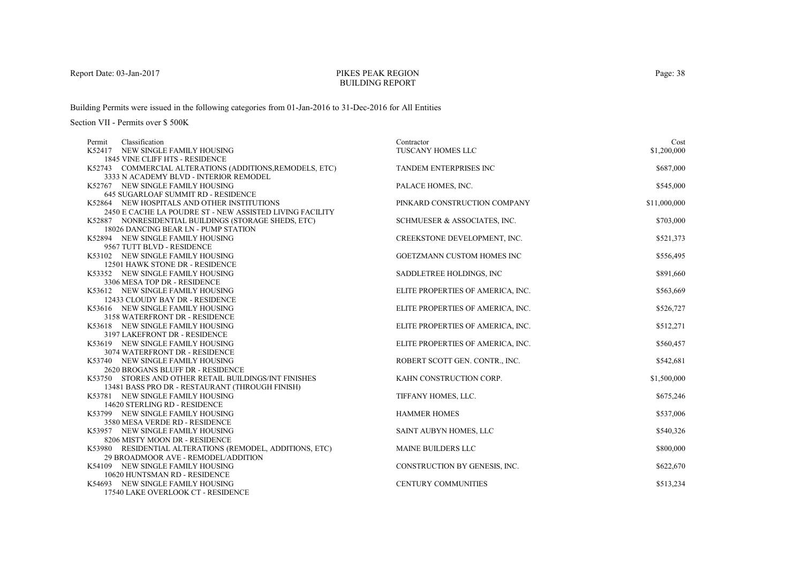## PIKES PEAK REGIONBUILDING REPORT

Building Permits were issued in the following categories from 01-Jan-2016 to 31-Dec-2016 for All Entities

| Permit | Classification                                                                      | Contractor                        | Cost         |
|--------|-------------------------------------------------------------------------------------|-----------------------------------|--------------|
|        | K52417 NEW SINGLE FAMILY HOUSING                                                    | TUSCANY HOMES LLC                 | \$1,200,000  |
|        | 1845 VINE CLIFF HTS - RESIDENCE                                                     |                                   |              |
|        | K52743 COMMERCIAL ALTERATIONS (ADDITIONS, REMODELS, ETC)                            | <b>TANDEM ENTERPRISES INC</b>     | \$687,000    |
|        | 3333 N ACADEMY BLVD - INTERIOR REMODEL                                              |                                   |              |
|        | K52767 NEW SINGLE FAMILY HOUSING                                                    | PALACE HOMES, INC.                | \$545,000    |
|        | <b>645 SUGARLOAF SUMMIT RD - RESIDENCE</b>                                          |                                   |              |
|        | K52864 NEW HOSPITALS AND OTHER INSTITUTIONS                                         | PINKARD CONSTRUCTION COMPANY      | \$11,000,000 |
|        | 2450 E CACHE LA POUDRE ST - NEW ASSISTED LIVING FACILITY                            |                                   |              |
|        | K52887 NONRESIDENTIAL BUILDINGS (STORAGE SHEDS, ETC)                                | SCHMUESER & ASSOCIATES, INC.      | \$703,000    |
|        | 18026 DANCING BEAR LN - PUMP STATION                                                |                                   |              |
|        | K52894 NEW SINGLE FAMILY HOUSING                                                    | CREEKSTONE DEVELOPMENT, INC.      | \$521,373    |
|        | 9567 TUTT BLVD - RESIDENCE                                                          |                                   |              |
|        | K53102 NEW SINGLE FAMILY HOUSING                                                    | <b>GOETZMANN CUSTOM HOMES INC</b> | \$556,495    |
|        | 12501 HAWK STONE DR - RESIDENCE                                                     |                                   |              |
|        | K53352 NEW SINGLE FAMILY HOUSING                                                    | SADDLETREE HOLDINGS, INC.         | \$891,660    |
|        | 3306 MESA TOP DR - RESIDENCE                                                        |                                   |              |
|        | K53612 NEW SINGLE FAMILY HOUSING                                                    | ELITE PROPERTIES OF AMERICA, INC. | \$563,669    |
|        | 12433 CLOUDY BAY DR - RESIDENCE                                                     |                                   |              |
|        | K53616 NEW SINGLE FAMILY HOUSING                                                    | ELITE PROPERTIES OF AMERICA, INC. | \$526,727    |
|        | 3158 WATERFRONT DR - RESIDENCE                                                      |                                   |              |
|        | K53618 NEW SINGLE FAMILY HOUSING                                                    | ELITE PROPERTIES OF AMERICA, INC. | \$512,271    |
|        | 3197 LAKEFRONT DR - RESIDENCE                                                       |                                   |              |
|        | K53619 NEW SINGLE FAMILY HOUSING                                                    | ELITE PROPERTIES OF AMERICA, INC. | \$560,457    |
|        | 3074 WATERFRONT DR - RESIDENCE                                                      |                                   |              |
|        | K53740 NEW SINGLE FAMILY HOUSING                                                    | ROBERT SCOTT GEN. CONTR., INC.    | \$542,681    |
|        | 2620 BROGANS BLUFF DR - RESIDENCE                                                   |                                   |              |
|        | K53750 STORES AND OTHER RETAIL BUILDINGS/INT FINISHES                               | KAHN CONSTRUCTION CORP.           | \$1,500,000  |
|        | 13481 BASS PRO DR - RESTAURANT (THROUGH FINISH)<br>K53781 NEW SINGLE FAMILY HOUSING | TIFFANY HOMES, LLC.               | \$675,246    |
|        | 14620 STERLING RD - RESIDENCE                                                       |                                   |              |
|        | K53799 NEW SINGLE FAMILY HOUSING                                                    | <b>HAMMER HOMES</b>               | \$537,006    |
|        | 3580 MESA VERDE RD - RESIDENCE                                                      |                                   |              |
|        | K53957 NEW SINGLE FAMILY HOUSING                                                    | SAINT AUBYN HOMES, LLC            | \$540,326    |
|        | 8206 MISTY MOON DR - RESIDENCE                                                      |                                   |              |
|        | K53980 RESIDENTIAL ALTERATIONS (REMODEL, ADDITIONS, ETC)                            | <b>MAINE BUILDERS LLC</b>         | \$800,000    |
|        | 29 BROADMOOR AVE - REMODEL/ADDITION                                                 |                                   |              |
|        | K54109 NEW SINGLE FAMILY HOUSING                                                    | CONSTRUCTION BY GENESIS, INC.     | \$622,670    |
|        | 10620 HUNTSMAN RD - RESIDENCE                                                       |                                   |              |
|        | K54693 NEW SINGLE FAMILY HOUSING                                                    | <b>CENTURY COMMUNITIES</b>        | \$513,234    |
|        | 17540 LAKE OVERLOOK CT - RESIDENCE                                                  |                                   |              |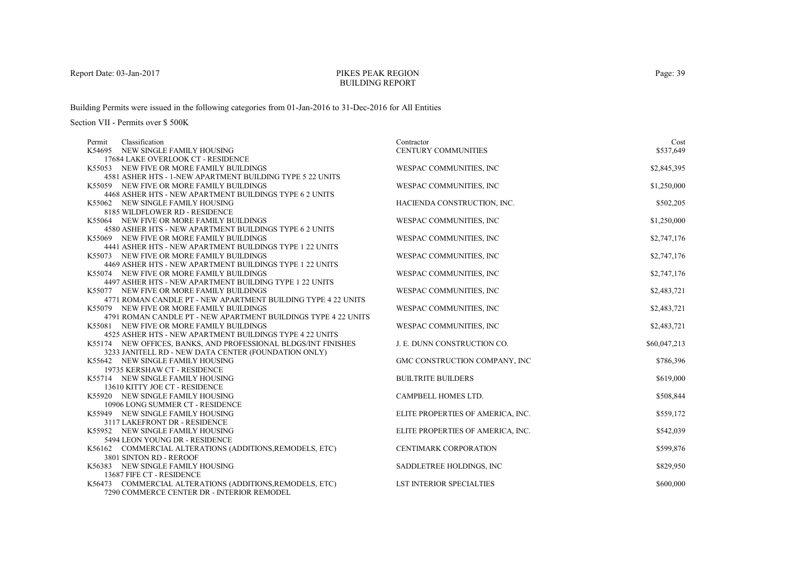## PIKES PEAK REGIONBUILDING REPORT

Building Permits were issued in the following categories from 01-Jan-2016 to 31-Dec-2016 for All Entities

| Classification<br>Permit                                                                                               | Contractor                        | Cost         |
|------------------------------------------------------------------------------------------------------------------------|-----------------------------------|--------------|
| K54695 NEW SINGLE FAMILY HOUSING                                                                                       | <b>CENTURY COMMUNITIES</b>        | \$537,649    |
| 17684 LAKE OVERLOOK CT - RESIDENCE                                                                                     |                                   |              |
| K55053 NEW FIVE OR MORE FAMILY BUILDINGS                                                                               | WESPAC COMMUNITIES, INC           | \$2,845,395  |
| 4581 ASHER HTS - 1-NEW APARTMENT BUILDING TYPE 5 22 UNITS                                                              |                                   |              |
| K55059 NEW FIVE OR MORE FAMILY BUILDINGS                                                                               | WESPAC COMMUNITIES, INC           | \$1,250,000  |
| 4468 ASHER HTS - NEW APARTMENT BUILDINGS TYPE 6 2 UNITS                                                                |                                   |              |
| K55062 NEW SINGLE FAMILY HOUSING                                                                                       | HACIENDA CONSTRUCTION, INC.       | \$502,205    |
| 8185 WILDFLOWER RD - RESIDENCE                                                                                         |                                   |              |
| K55064 NEW FIVE OR MORE FAMILY BUILDINGS                                                                               | WESPAC COMMUNITIES, INC           | \$1,250,000  |
| 4580 ASHER HTS - NEW APARTMENT BUILDINGS TYPE 6 2 UNITS                                                                |                                   |              |
| K55069 NEW FIVE OR MORE FAMILY BUILDINGS                                                                               | WESPAC COMMUNITIES, INC           | \$2,747,176  |
| 4441 ASHER HTS - NEW APARTMENT BUILDINGS TYPE 1 22 UNITS                                                               |                                   |              |
| K55073 NEW FIVE OR MORE FAMILY BUILDINGS                                                                               | WESPAC COMMUNITIES, INC           | \$2,747,176  |
| 4469 ASHER HTS - NEW APARTMENT BUILDINGS TYPE 1 22 UNITS                                                               |                                   |              |
| K55074 NEW FIVE OR MORE FAMILY BUILDINGS                                                                               | WESPAC COMMUNITIES, INC           | \$2,747,176  |
| 4497 ASHER HTS - NEW APARTMENT BUILDING TYPE 1 22 UNITS                                                                |                                   |              |
| K55077 NEW FIVE OR MORE FAMILY BUILDINGS                                                                               | WESPAC COMMUNITIES, INC           | \$2,483,721  |
| 4771 ROMAN CANDLE PT - NEW APARTMENT BUILDING TYPE 4 22 UNITS                                                          |                                   |              |
| K55079 NEW FIVE OR MORE FAMILY BUILDINGS                                                                               | WESPAC COMMUNITIES, INC           | \$2,483,721  |
| 4791 ROMAN CANDLE PT - NEW APARTMENT BUILDINGS TYPE 4 22 UNITS                                                         |                                   |              |
| K55081 NEW FIVE OR MORE FAMILY BUILDINGS<br>4525 ASHER HTS - NEW APARTMENT BUILDINGS TYPE 4 22 UNITS                   | WESPAC COMMUNITIES, INC           | \$2,483,721  |
|                                                                                                                        | J. E. DUNN CONSTRUCTION CO.       | \$60,047,213 |
| K55174 NEW OFFICES, BANKS, AND PROFESSIONAL BLDGS/INT FINISHES<br>3233 JANITELL RD - NEW DATA CENTER (FOUNDATION ONLY) |                                   |              |
| K55642 NEW SINGLE FAMILY HOUSING                                                                                       | GMC CONSTRUCTION COMPANY, INC     | \$786,396    |
| 19735 KERSHAW CT - RESIDENCE                                                                                           |                                   |              |
| K55714 NEW SINGLE FAMILY HOUSING                                                                                       | <b>BUILTRITE BUILDERS</b>         | \$619,000    |
| 13610 KITTY JOE CT - RESIDENCE                                                                                         |                                   |              |
| K55920 NEW SINGLE FAMILY HOUSING                                                                                       | CAMPBELL HOMES LTD.               | \$508,844    |
| 10906 LONG SUMMER CT - RESIDENCE                                                                                       |                                   |              |
| K55949 NEW SINGLE FAMILY HOUSING                                                                                       | ELITE PROPERTIES OF AMERICA, INC. | \$559,172    |
| 3117 LAKEFRONT DR - RESIDENCE                                                                                          |                                   |              |
| K55952 NEW SINGLE FAMILY HOUSING                                                                                       | ELITE PROPERTIES OF AMERICA, INC. | \$542,039    |
| 5494 LEON YOUNG DR - RESIDENCE                                                                                         |                                   |              |
| K56162 COMMERCIAL ALTERATIONS (ADDITIONS, REMODELS, ETC)                                                               | CENTIMARK CORPORATION             | \$599,876    |
| 3801 SINTON RD - REROOF                                                                                                |                                   |              |
| K56383 NEW SINGLE FAMILY HOUSING                                                                                       | SADDLETREE HOLDINGS, INC          | \$829,950    |
| 13687 FIFE CT - RESIDENCE                                                                                              |                                   |              |
| K56473 COMMERCIAL ALTERATIONS (ADDITIONS, REMODELS, ETC)                                                               | <b>LST INTERIOR SPECIALTIES</b>   | \$600,000    |
| 7290 COMMERCE CENTER DR - INTERIOR REMODEL                                                                             |                                   |              |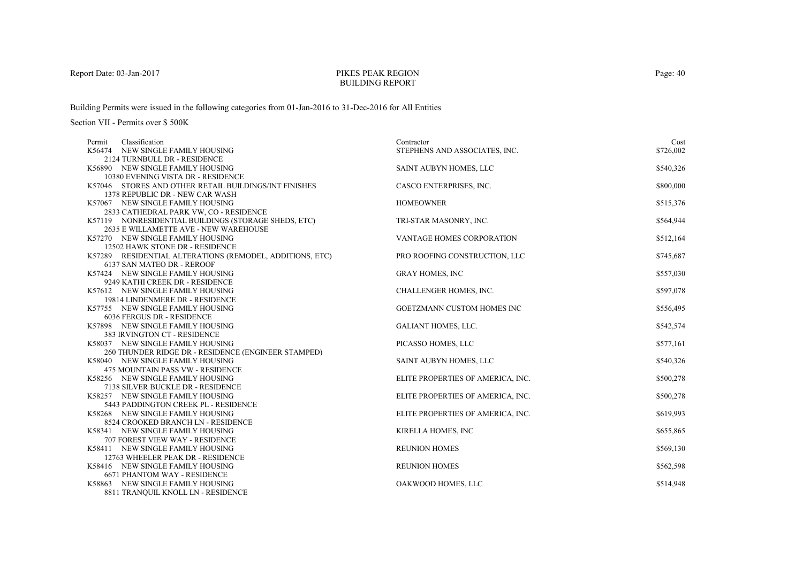## PIKES PEAK REGIONBUILDING REPORT

Building Permits were issued in the following categories from 01-Jan-2016 to 31-Dec-2016 for All Entities

| Classification<br>Permit                                 | Contractor                        | Cost      |
|----------------------------------------------------------|-----------------------------------|-----------|
| K56474 NEW SINGLE FAMILY HOUSING                         | STEPHENS AND ASSOCIATES, INC.     | \$726,002 |
| 2124 TURNBULL DR - RESIDENCE                             |                                   |           |
| K56890 NEW SINGLE FAMILY HOUSING                         | SAINT AUBYN HOMES, LLC            | \$540,326 |
| 10380 EVENING VISTA DR - RESIDENCE                       |                                   |           |
| K57046 STORES AND OTHER RETAIL BUILDINGS/INT FINISHES    | CASCO ENTERPRISES, INC.           | \$800,000 |
| 1378 REPUBLIC DR - NEW CAR WASH                          |                                   |           |
| K57067 NEW SINGLE FAMILY HOUSING                         | <b>HOMEOWNER</b>                  | \$515,376 |
| 2833 CATHEDRAL PARK VW, CO - RESIDENCE                   |                                   |           |
| K57119 NONRESIDENTIAL BUILDINGS (STORAGE SHEDS, ETC)     | TRI-STAR MASONRY, INC.            | \$564,944 |
| 2635 E WILLAMETTE AVE - NEW WAREHOUSE                    |                                   |           |
| K57270 NEW SINGLE FAMILY HOUSING                         | VANTAGE HOMES CORPORATION         | \$512,164 |
| 12502 HAWK STONE DR - RESIDENCE                          |                                   |           |
| K57289 RESIDENTIAL ALTERATIONS (REMODEL, ADDITIONS, ETC) | PRO ROOFING CONSTRUCTION, LLC     | \$745,687 |
| 6137 SAN MATEO DR - REROOF                               |                                   |           |
| K57424 NEW SINGLE FAMILY HOUSING                         | <b>GRAY HOMES, INC</b>            | \$557,030 |
| 9249 KATHI CREEK DR - RESIDENCE                          |                                   |           |
| K57612 NEW SINGLE FAMILY HOUSING                         | CHALLENGER HOMES, INC.            | \$597,078 |
| 19814 LINDENMERE DR - RESIDENCE                          |                                   |           |
| K57755 NEW SINGLE FAMILY HOUSING                         | <b>GOETZMANN CUSTOM HOMES INC</b> | \$556,495 |
| 6036 FERGUS DR - RESIDENCE                               |                                   |           |
| K57898 NEW SINGLE FAMILY HOUSING                         | <b>GALIANT HOMES, LLC.</b>        | \$542,574 |
| 383 IRVINGTON CT - RESIDENCE                             |                                   |           |
| K58037 NEW SINGLE FAMILY HOUSING                         | PICASSO HOMES, LLC                | \$577,161 |
| 260 THUNDER RIDGE DR - RESIDENCE (ENGINEER STAMPED)      |                                   |           |
| K58040 NEW SINGLE FAMILY HOUSING                         | SAINT AUBYN HOMES, LLC            | \$540,326 |
| 475 MOUNTAIN PASS VW - RESIDENCE                         |                                   |           |
| K58256 NEW SINGLE FAMILY HOUSING                         | ELITE PROPERTIES OF AMERICA, INC. | \$500,278 |
| 7138 SILVER BUCKLE DR - RESIDENCE                        |                                   |           |
| K58257 NEW SINGLE FAMILY HOUSING                         | ELITE PROPERTIES OF AMERICA, INC. | \$500,278 |
| 5443 PADDINGTON CREEK PL - RESIDENCE                     |                                   |           |
| K58268 NEW SINGLE FAMILY HOUSING                         | ELITE PROPERTIES OF AMERICA, INC. | \$619,993 |
| 8524 CROOKED BRANCH LN - RESIDENCE                       |                                   |           |
| K58341 NEW SINGLE FAMILY HOUSING                         | KIRELLA HOMES, INC                | \$655,865 |
| 707 FOREST VIEW WAY - RESIDENCE                          |                                   |           |
| K58411 NEW SINGLE FAMILY HOUSING                         | <b>REUNION HOMES</b>              | \$569,130 |
| 12763 WHEELER PEAK DR - RESIDENCE                        |                                   |           |
| K58416 NEW SINGLE FAMILY HOUSING                         | <b>REUNION HOMES</b>              | \$562,598 |
| <b>6671 PHANTOM WAY - RESIDENCE</b>                      |                                   |           |
| K58863 NEW SINGLE FAMILY HOUSING                         | OAKWOOD HOMES, LLC                | \$514,948 |
| 8811 TRANQUIL KNOLL LN - RESIDENCE                       |                                   |           |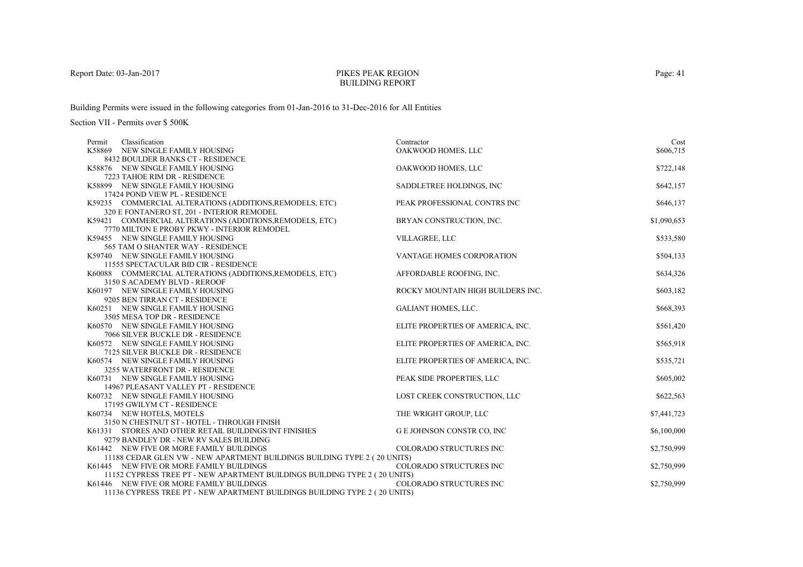### PIKES PEAK REGIONBUILDING REPORT

Building Permits were issued in the following categories from 01-Jan-2016 to 31-Dec-2016 for All Entities

| Classification<br>Permit                                                   | Contractor                        | Cost        |
|----------------------------------------------------------------------------|-----------------------------------|-------------|
| K58869 NEW SINGLE FAMILY HOUSING                                           | OAKWOOD HOMES, LLC                | \$606,715   |
| 8432 BOULDER BANKS CT - RESIDENCE                                          |                                   |             |
| K58876 NEW SINGLE FAMILY HOUSING                                           | OAKWOOD HOMES, LLC                | \$722,148   |
| 7223 TAHOE RIM DR - RESIDENCE                                              |                                   |             |
| K58899 NEW SINGLE FAMILY HOUSING                                           | SADDLETREE HOLDINGS, INC          | \$642,157   |
| 17424 POND VIEW PL - RESIDENCE                                             |                                   |             |
| K59235 COMMERCIAL ALTERATIONS (ADDITIONS, REMODELS, ETC)                   | PEAK PROFESSIONAL CONTRS INC      | \$646,137   |
| 320 E FONTANERO ST, 201 - INTERIOR REMODEL                                 |                                   |             |
| K59421 COMMERCIAL ALTERATIONS (ADDITIONS, REMODELS, ETC)                   | BRYAN CONSTRUCTION, INC.          | \$1,090,653 |
| 7770 MILTON E PROBY PKWY - INTERIOR REMODEL                                |                                   |             |
| K59455 NEW SINGLE FAMILY HOUSING                                           | VILLAGREE, LLC                    | \$533,580   |
| 565 TAM O SHANTER WAY - RESIDENCE                                          |                                   |             |
| K59740 NEW SINGLE FAMILY HOUSING                                           | VANTAGE HOMES CORPORATION         | \$504,133   |
| 11555 SPECTACULAR BID CIR - RESIDENCE                                      |                                   |             |
| K60088 COMMERCIAL ALTERATIONS (ADDITIONS, REMODELS, ETC)                   | AFFORDABLE ROOFING, INC.          | \$634,326   |
| 3150 S ACADEMY BLVD - REROOF                                               |                                   |             |
| K60197 NEW SINGLE FAMILY HOUSING                                           | ROCKY MOUNTAIN HIGH BUILDERS INC. | \$603,182   |
| 9205 BEN TIRRAN CT - RESIDENCE                                             |                                   |             |
| K60251 NEW SINGLE FAMILY HOUSING                                           | <b>GALIANT HOMES, LLC.</b>        | \$668,393   |
| 3505 MESA TOP DR - RESIDENCE                                               |                                   |             |
| K60570 NEW SINGLE FAMILY HOUSING                                           | ELITE PROPERTIES OF AMERICA, INC. | \$561,420   |
| 7066 SILVER BUCKLE DR - RESIDENCE                                          |                                   |             |
| K60572 NEW SINGLE FAMILY HOUSING                                           | ELITE PROPERTIES OF AMERICA, INC. | \$565,918   |
| 7125 SILVER BUCKLE DR - RESIDENCE                                          |                                   |             |
| K60574 NEW SINGLE FAMILY HOUSING                                           | ELITE PROPERTIES OF AMERICA, INC. | \$535,721   |
| 3255 WATERFRONT DR - RESIDENCE                                             |                                   |             |
| K60731 NEW SINGLE FAMILY HOUSING<br>14967 PLEASANT VALLEY PT - RESIDENCE   | PEAK SIDE PROPERTIES, LLC         | \$605,002   |
| K60732 NEW SINGLE FAMILY HOUSING                                           | LOST CREEK CONSTRUCTION, LLC      | \$622,563   |
| 17195 GWILYM CT - RESIDENCE                                                |                                   |             |
| K60734 NEW HOTELS, MOTELS                                                  | THE WRIGHT GROUP, LLC             | \$7,441,723 |
| 3150 N CHESTNUT ST - HOTEL - THROUGH FINISH                                |                                   |             |
| K61331 STORES AND OTHER RETAIL BUILDINGS/INT FINISHES                      | <b>GE JOHNSON CONSTR CO, INC</b>  | \$6,100,000 |
| 9279 BANDLEY DR - NEW RV SALES BUILDING                                    |                                   |             |
| K61442 NEW FIVE OR MORE FAMILY BUILDINGS                                   | COLORADO STRUCTURES INC           | \$2,750,999 |
| 11188 CEDAR GLEN VW - NEW APARTMENT BUILDINGS BUILDING TYPE 2 (20 UNITS)   |                                   |             |
| K61445 NEW FIVE OR MORE FAMILY BUILDINGS                                   | <b>COLORADO STRUCTURES INC</b>    | \$2,750,999 |
| 11152 CYPRESS TREE PT - NEW APARTMENT BUILDINGS BUILDING TYPE 2 (20 UNITS) |                                   |             |
| K61446 NEW FIVE OR MORE FAMILY BUILDINGS                                   | COLORADO STRUCTURES INC           | \$2,750,999 |
| 11136 CYPRESS TREE PT - NEW APARTMENT BUILDINGS BUILDING TYPE 2 (20 UNITS) |                                   |             |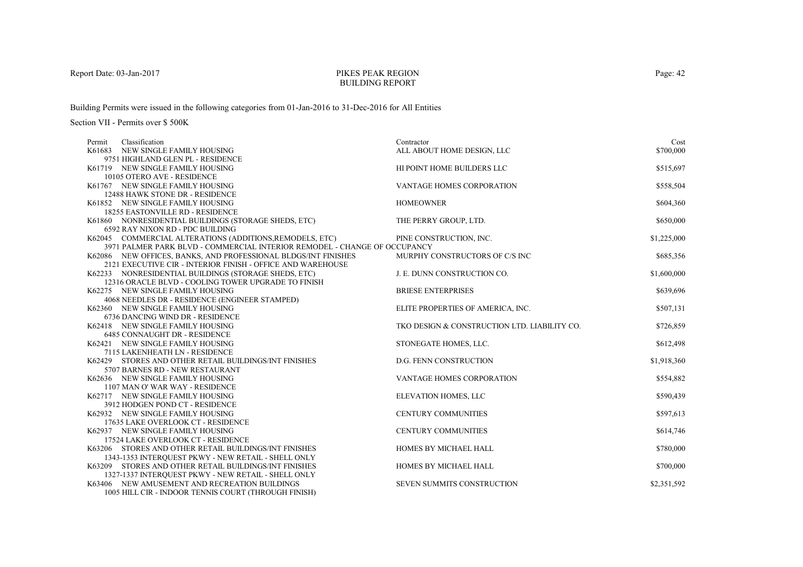## PIKES PEAK REGIONBUILDING REPORT

Building Permits were issued in the following categories from 01-Jan-2016 to 31-Dec-2016 for All Entities

| Classification<br>Permit                                                  | Contractor                                   | Cost        |
|---------------------------------------------------------------------------|----------------------------------------------|-------------|
| K61683 NEW SINGLE FAMILY HOUSING                                          | ALL ABOUT HOME DESIGN, LLC                   | \$700,000   |
| 9751 HIGHLAND GLEN PL - RESIDENCE                                         |                                              |             |
| K61719 NEW SINGLE FAMILY HOUSING                                          | HI POINT HOME BUILDERS LLC                   | \$515,697   |
| 10105 OTERO AVE - RESIDENCE                                               |                                              |             |
| K61767 NEW SINGLE FAMILY HOUSING                                          | VANTAGE HOMES CORPORATION                    | \$558,504   |
| 12488 HAWK STONE DR - RESIDENCE                                           |                                              |             |
| K61852 NEW SINGLE FAMILY HOUSING                                          | <b>HOMEOWNER</b>                             | \$604,360   |
| <b>18255 EASTONVILLE RD - RESIDENCE</b>                                   |                                              |             |
| K61860 NONRESIDENTIAL BUILDINGS (STORAGE SHEDS, ETC)                      | THE PERRY GROUP, LTD.                        | \$650,000   |
| 6592 RAY NIXON RD - PDC BUILDING                                          |                                              |             |
| K62045 COMMERCIAL ALTERATIONS (ADDITIONS, REMODELS, ETC)                  | PINE CONSTRUCTION, INC.                      | \$1,225,000 |
| 3971 PALMER PARK BLVD - COMMERCIAL INTERIOR REMODEL - CHANGE OF OCCUPANCY |                                              |             |
| K62086 NEW OFFICES, BANKS, AND PROFESSIONAL BLDGS/INT FINISHES            | MURPHY CONSTRUCTORS OF C/S INC               | \$685,356   |
| 2121 EXECUTIVE CIR - INTERIOR FINISH - OFFICE AND WAREHOUSE               |                                              |             |
| K62233 NONRESIDENTIAL BUILDINGS (STORAGE SHEDS, ETC)                      | J. E. DUNN CONSTRUCTION CO.                  | \$1,600,000 |
| 12316 ORACLE BLVD - COOLING TOWER UPGRADE TO FINISH                       |                                              |             |
| K62275 NEW SINGLE FAMILY HOUSING                                          | <b>BRIESE ENTERPRISES</b>                    | \$639,696   |
| 4068 NEEDLES DR - RESIDENCE (ENGINEER STAMPED)                            |                                              |             |
| K62360 NEW SINGLE FAMILY HOUSING                                          | ELITE PROPERTIES OF AMERICA, INC.            | \$507,131   |
| 6736 DANCING WIND DR - RESIDENCE                                          |                                              |             |
| K62418 NEW SINGLE FAMILY HOUSING                                          | TKO DESIGN & CONSTRUCTION LTD. LIABILITY CO. | \$726,859   |
| 6485 CONNAUGHT DR - RESIDENCE                                             |                                              |             |
| K62421 NEW SINGLE FAMILY HOUSING                                          | STONEGATE HOMES, LLC.                        | \$612,498   |
| 7115 LAKENHEATH LN - RESIDENCE                                            |                                              |             |
| K62429 STORES AND OTHER RETAIL BUILDINGS/INT FINISHES                     | <b>D.G. FENN CONSTRUCTION</b>                | \$1,918,360 |
| 5707 BARNES RD - NEW RESTAURANT                                           |                                              |             |
| K62636 NEW SINGLE FAMILY HOUSING<br>1107 MAN O' WAR WAY - RESIDENCE       | <b>VANTAGE HOMES CORPORATION</b>             | \$554,882   |
| K62717 NEW SINGLE FAMILY HOUSING                                          | ELEVATION HOMES, LLC                         | \$590,439   |
| 3912 HODGEN POND CT - RESIDENCE                                           |                                              |             |
| K62932 NEW SINGLE FAMILY HOUSING                                          | <b>CENTURY COMMUNITIES</b>                   | \$597,613   |
| 17635 LAKE OVERLOOK CT - RESIDENCE                                        |                                              |             |
| K62937 NEW SINGLE FAMILY HOUSING                                          | <b>CENTURY COMMUNITIES</b>                   | \$614,746   |
| 17524 LAKE OVERLOOK CT - RESIDENCE                                        |                                              |             |
| K63206 STORES AND OTHER RETAIL BUILDINGS/INT FINISHES                     | HOMES BY MICHAEL HALL                        | \$780,000   |
| 1343-1353 INTERQUEST PKWY - NEW RETAIL - SHELL ONLY                       |                                              |             |
| K63209 STORES AND OTHER RETAIL BUILDINGS/INT FINISHES                     | HOMES BY MICHAEL HALL                        | \$700,000   |
| 1327-1337 INTERQUEST PKWY - NEW RETAIL - SHELL ONLY                       |                                              |             |
| K63406 NEW AMUSEMENT AND RECREATION BUILDINGS                             | SEVEN SUMMITS CONSTRUCTION                   | \$2,351,592 |
| 1005 HILL CIR - INDOOR TENNIS COURT (THROUGH FINISH)                      |                                              |             |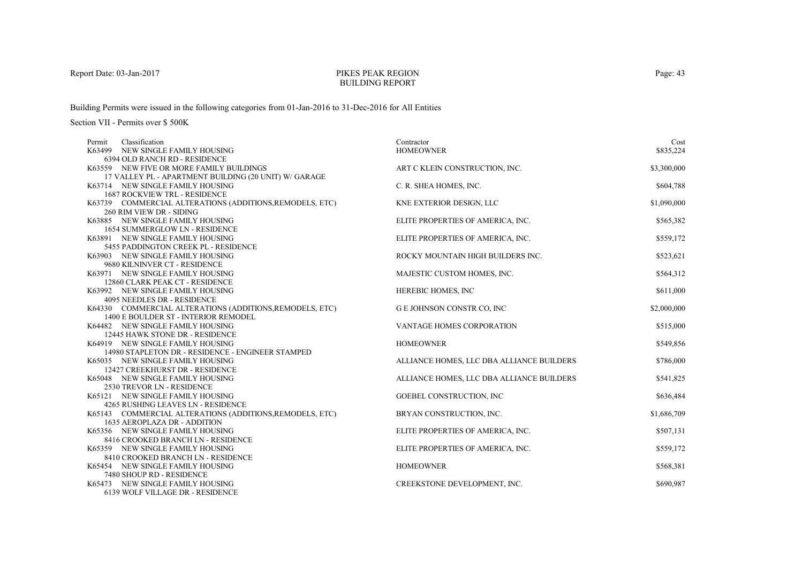## PIKES PEAK REGIONBUILDING REPORT

Building Permits were issued in the following categories from 01-Jan-2016 to 31-Dec-2016 for All Entities

| Classification<br>Permit                                            | Contractor                                | Cost        |
|---------------------------------------------------------------------|-------------------------------------------|-------------|
| K63499 NEW SINGLE FAMILY HOUSING                                    | <b>HOMEOWNER</b>                          | \$835,224   |
| 6394 OLD RANCH RD - RESIDENCE                                       |                                           |             |
| K63559 NEW FIVE OR MORE FAMILY BUILDINGS                            | ART C KLEIN CONSTRUCTION, INC.            | \$3,300,000 |
| 17 VALLEY PL - APARTMENT BUILDING (20 UNIT) W/ GARAGE               |                                           |             |
| K63714 NEW SINGLE FAMILY HOUSING                                    | C. R. SHEA HOMES, INC.                    | \$604,788   |
| <b>1687 ROCKVIEW TRL - RESIDENCE</b>                                |                                           |             |
| K63739 COMMERCIAL ALTERATIONS (ADDITIONS, REMODELS, ETC)            | KNE EXTERIOR DESIGN, LLC                  | \$1,090,000 |
| 260 RIM VIEW DR - SIDING                                            |                                           |             |
| K63885 NEW SINGLE FAMILY HOUSING                                    | ELITE PROPERTIES OF AMERICA, INC.         | \$565,382   |
| 1654 SUMMERGLOW LN - RESIDENCE                                      |                                           |             |
| K63891 NEW SINGLE FAMILY HOUSING                                    | ELITE PROPERTIES OF AMERICA, INC.         | \$559,172   |
| 5455 PADDINGTON CREEK PL - RESIDENCE                                |                                           |             |
| K63903 NEW SINGLE FAMILY HOUSING                                    | ROCKY MOUNTAIN HIGH BUILDERS INC.         | \$523,621   |
| 9680 KILNINVER CT - RESIDENCE                                       |                                           |             |
| K63971 NEW SINGLE FAMILY HOUSING                                    | MAJESTIC CUSTOM HOMES, INC.               | \$564,312   |
| 12860 CLARK PEAK CT - RESIDENCE                                     |                                           |             |
| K63992 NEW SINGLE FAMILY HOUSING                                    | HEREBIC HOMES, INC                        | \$611,000   |
| 4095 NEEDLES DR - RESIDENCE                                         |                                           |             |
| K64330 COMMERCIAL ALTERATIONS (ADDITIONS, REMODELS, ETC)            | <b>GE JOHNSON CONSTR CO, INC</b>          | \$2,000,000 |
| 1400 E BOULDER ST - INTERIOR REMODEL                                |                                           |             |
| K64482 NEW SINGLE FAMILY HOUSING<br>12445 HAWK STONE DR - RESIDENCE | <b>VANTAGE HOMES CORPORATION</b>          | \$515,000   |
| K64919 NEW SINGLE FAMILY HOUSING                                    | <b>HOMEOWNER</b>                          | \$549,856   |
| 14980 STAPLETON DR - RESIDENCE - ENGINEER STAMPED                   |                                           |             |
| K65035 NEW SINGLE FAMILY HOUSING                                    | ALLIANCE HOMES, LLC DBA ALLIANCE BUILDERS | \$786,000   |
| 12427 CREEKHURST DR - RESIDENCE                                     |                                           |             |
| K65048 NEW SINGLE FAMILY HOUSING                                    | ALLIANCE HOMES, LLC DBA ALLIANCE BUILDERS | \$541,825   |
| 2530 TREVOR LN - RESIDENCE                                          |                                           |             |
| K65121 NEW SINGLE FAMILY HOUSING                                    | GOEBEL CONSTRUCTION, INC                  | \$636,484   |
| 4265 RUSHING LEAVES LN - RESIDENCE                                  |                                           |             |
| K65143 COMMERCIAL ALTERATIONS (ADDITIONS, REMODELS, ETC)            | BRYAN CONSTRUCTION, INC.                  | \$1,686,709 |
| 1635 AEROPLAZA DR - ADDITION                                        |                                           |             |
| K65356 NEW SINGLE FAMILY HOUSING                                    | ELITE PROPERTIES OF AMERICA, INC.         | \$507,131   |
| 8416 CROOKED BRANCH LN - RESIDENCE                                  |                                           |             |
| K65359 NEW SINGLE FAMILY HOUSING                                    | ELITE PROPERTIES OF AMERICA, INC.         | \$559,172   |
| 8410 CROOKED BRANCH LN - RESIDENCE                                  |                                           |             |
| K65454 NEW SINGLE FAMILY HOUSING                                    | <b>HOMEOWNER</b>                          | \$568,381   |
| 7480 SHOUP RD - RESIDENCE                                           |                                           |             |
| K65473 NEW SINGLE FAMILY HOUSING                                    | CREEKSTONE DEVELOPMENT, INC.              | \$690,987   |
| 6139 WOLF VILLAGE DR - RESIDENCE                                    |                                           |             |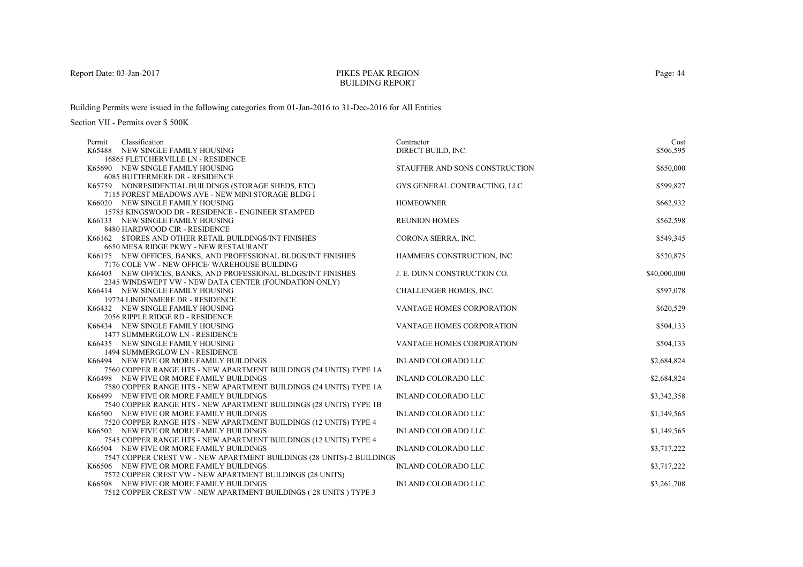## PIKES PEAK REGIONBUILDING REPORT

Building Permits were issued in the following categories from 01-Jan-2016 to 31-Dec-2016 for All Entities

| Classification<br>Permit                                              | Contractor                       | Cost         |
|-----------------------------------------------------------------------|----------------------------------|--------------|
| K65488 NEW SINGLE FAMILY HOUSING                                      | DIRECT BUILD, INC.               | \$506,595    |
| 16865 FLETCHERVILLE LN - RESIDENCE                                    |                                  |              |
| K65690 NEW SINGLE FAMILY HOUSING                                      | STAUFFER AND SONS CONSTRUCTION   | \$650,000    |
| <b>6085 BUTTERMERE DR - RESIDENCE</b>                                 |                                  |              |
| K65759 NONRESIDENTIAL BUILDINGS (STORAGE SHEDS, ETC)                  | GYS GENERAL CONTRACTING, LLC     | \$599,827    |
| 7115 FOREST MEADOWS AVE - NEW MINI STORAGE BLDG I                     |                                  |              |
| K66020 NEW SINGLE FAMILY HOUSING                                      | <b>HOMEOWNER</b>                 | \$662,932    |
| 15785 KINGSWOOD DR - RESIDENCE - ENGINEER STAMPED                     |                                  |              |
| K66133 NEW SINGLE FAMILY HOUSING                                      | <b>REUNION HOMES</b>             | \$562,598    |
| 8480 HARDWOOD CIR - RESIDENCE                                         |                                  |              |
| K66162 STORES AND OTHER RETAIL BUILDINGS/INT FINISHES                 | CORONA SIERRA, INC.              | \$549,345    |
| 6650 MESA RIDGE PKWY - NEW RESTAURANT                                 |                                  |              |
| K66175 NEW OFFICES, BANKS, AND PROFESSIONAL BLDGS/INT FINISHES        | HAMMERS CONSTRUCTION, INC        | \$520,875    |
| 7176 COLE VW - NEW OFFICE/ WAREHOUSE BUILDING                         |                                  |              |
| K66403 NEW OFFICES, BANKS, AND PROFESSIONAL BLDGS/INT FINISHES        | J. E. DUNN CONSTRUCTION CO.      | \$40,000,000 |
| 2345 WINDSWEPT VW - NEW DATA CENTER (FOUNDATION ONLY)                 |                                  |              |
| K66414 NEW SINGLE FAMILY HOUSING                                      | CHALLENGER HOMES, INC.           | \$597,078    |
| 19724 LINDENMERE DR - RESIDENCE                                       |                                  |              |
| K66432 NEW SINGLE FAMILY HOUSING                                      | VANTAGE HOMES CORPORATION        | \$620,529    |
| 2056 RIPPLE RIDGE RD - RESIDENCE                                      |                                  |              |
| K66434 NEW SINGLE FAMILY HOUSING                                      | VANTAGE HOMES CORPORATION        | \$504,133    |
| 1477 SUMMERGLOW LN - RESIDENCE                                        |                                  |              |
| K66435 NEW SINGLE FAMILY HOUSING                                      | <b>VANTAGE HOMES CORPORATION</b> | \$504,133    |
| 1494 SUMMERGLOW LN - RESIDENCE                                        |                                  |              |
| K66494 NEW FIVE OR MORE FAMILY BUILDINGS                              | <b>INLAND COLORADO LLC</b>       | \$2,684,824  |
| 7560 COPPER RANGE HTS - NEW APARTMENT BUILDINGS (24 UNITS) TYPE 1A    |                                  |              |
| K66498 NEW FIVE OR MORE FAMILY BUILDINGS                              | <b>INLAND COLORADO LLC</b>       | \$2,684,824  |
| 7580 COPPER RANGE HTS - NEW APARTMENT BUILDINGS (24 UNITS) TYPE 1A    |                                  |              |
| K66499 NEW FIVE OR MORE FAMILY BUILDINGS                              | INLAND COLORADO LLC              | \$3,342,358  |
| 7540 COPPER RANGE HTS - NEW APARTMENT BUILDINGS (28 UNITS) TYPE 1B    |                                  |              |
| K66500 NEW FIVE OR MORE FAMILY BUILDINGS                              | <b>INLAND COLORADO LLC</b>       | \$1,149,565  |
| 7520 COPPER RANGE HTS - NEW APARTMENT BUILDINGS (12 UNITS) TYPE 4     |                                  |              |
| K66502 NEW FIVE OR MORE FAMILY BUILDINGS                              | <b>INLAND COLORADO LLC</b>       | \$1,149,565  |
| 7545 COPPER RANGE HTS - NEW APARTMENT BUILDINGS (12 UNITS) TYPE 4     |                                  |              |
| K66504 NEW FIVE OR MORE FAMILY BUILDINGS                              | <b>INLAND COLORADO LLC</b>       | \$3,717,222  |
| 7547 COPPER CREST VW - NEW APARTMENT BUILDINGS (28 UNITS)-2 BUILDINGS |                                  |              |
| K66506 NEW FIVE OR MORE FAMILY BUILDINGS                              | <b>INLAND COLORADO LLC</b>       | \$3,717,222  |
| 7572 COPPER CREST VW - NEW APARTMENT BUILDINGS (28 UNITS)             |                                  |              |
| K66508 NEW FIVE OR MORE FAMILY BUILDINGS                              | <b>INLAND COLORADO LLC</b>       | \$3,261,708  |
| 7512 COPPER CREST VW - NEW APARTMENT BUILDINGS (28 UNITS) TYPE 3      |                                  |              |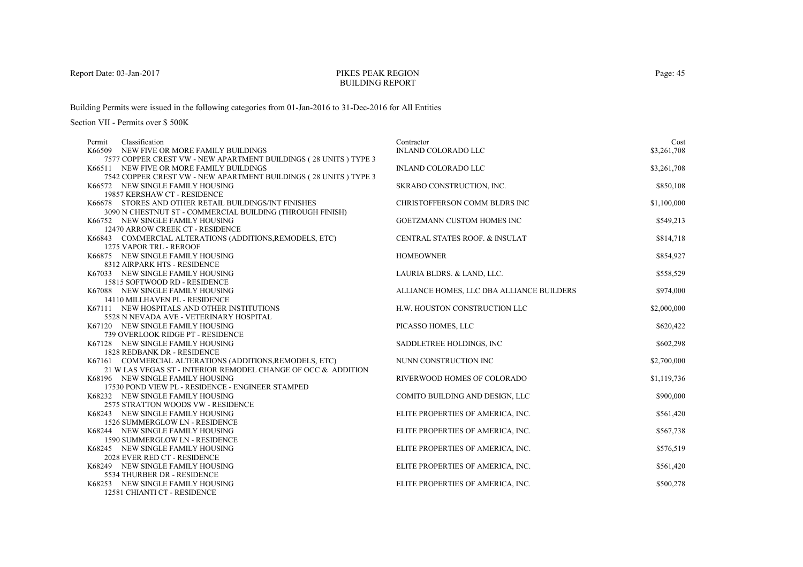### PIKES PEAK REGIONBUILDING REPORT

Building Permits were issued in the following categories from 01-Jan-2016 to 31-Dec-2016 for All Entities

| Classification<br>Permit                                                      | Contractor                                | Cost        |
|-------------------------------------------------------------------------------|-------------------------------------------|-------------|
| K66509 NEW FIVE OR MORE FAMILY BUILDINGS                                      | <b>INLAND COLORADO LLC</b>                | \$3,261,708 |
| 7577 COPPER CREST VW - NEW APARTMENT BUILDINGS (28 UNITS ) TYPE 3             |                                           |             |
| K66511 NEW FIVE OR MORE FAMILY BUILDINGS                                      | <b>INLAND COLORADO LLC</b>                | \$3,261,708 |
| 7542 COPPER CREST VW - NEW APARTMENT BUILDINGS (28 UNITS) TYPE 3              |                                           |             |
| K66572 NEW SINGLE FAMILY HOUSING                                              | SKRABO CONSTRUCTION, INC.                 | \$850,108   |
| 19857 KERSHAW CT - RESIDENCE                                                  |                                           |             |
| K66678 STORES AND OTHER RETAIL BUILDINGS/INT FINISHES                         | CHRISTOFFERSON COMM BLDRS INC             | \$1,100,000 |
| 3090 N CHESTNUT ST - COMMERCIAL BUILDING (THROUGH FINISH)                     |                                           |             |
| K66752 NEW SINGLE FAMILY HOUSING                                              | GOETZMANN CUSTOM HOMES INC                | \$549,213   |
| 12470 ARROW CREEK CT - RESIDENCE                                              |                                           |             |
| K66843 COMMERCIAL ALTERATIONS (ADDITIONS, REMODELS, ETC)                      | CENTRAL STATES ROOF. & INSULAT            | \$814,718   |
| 1275 VAPOR TRL - REROOF                                                       |                                           |             |
| K66875 NEW SINGLE FAMILY HOUSING                                              | <b>HOMEOWNER</b>                          | \$854,927   |
| 8312 AIRPARK HTS - RESIDENCE                                                  |                                           |             |
| K67033 NEW SINGLE FAMILY HOUSING                                              | LAURIA BLDRS. & LAND, LLC.                | \$558,529   |
| 15815 SOFTWOOD RD - RESIDENCE                                                 |                                           |             |
| K67088 NEW SINGLE FAMILY HOUSING                                              | ALLIANCE HOMES, LLC DBA ALLIANCE BUILDERS | \$974,000   |
| 14110 MILLHAVEN PL - RESIDENCE<br>K67111 NEW HOSPITALS AND OTHER INSTITUTIONS | H.W. HOUSTON CONSTRUCTION LLC             | \$2,000,000 |
| 5528 N NEVADA AVE - VETERINARY HOSPITAL                                       |                                           |             |
| K67120 NEW SINGLE FAMILY HOUSING                                              | PICASSO HOMES, LLC                        | \$620,422   |
| 739 OVERLOOK RIDGE PT - RESIDENCE                                             |                                           |             |
| K67128 NEW SINGLE FAMILY HOUSING                                              | SADDLETREE HOLDINGS, INC.                 | \$602,298   |
| <b>1828 REDBANK DR - RESIDENCE</b>                                            |                                           |             |
| K67161 COMMERCIAL ALTERATIONS (ADDITIONS, REMODELS, ETC)                      | NUNN CONSTRUCTION INC                     | \$2,700,000 |
| 21 W LAS VEGAS ST - INTERIOR REMODEL CHANGE OF OCC & ADDITION                 |                                           |             |
| K68196 NEW SINGLE FAMILY HOUSING                                              | RIVERWOOD HOMES OF COLORADO               | \$1,119,736 |
| 17530 POND VIEW PL - RESIDENCE - ENGINEER STAMPED                             |                                           |             |
| K68232 NEW SINGLE FAMILY HOUSING                                              | COMITO BUILDING AND DESIGN, LLC           | \$900,000   |
| 2575 STRATTON WOODS VW - RESIDENCE                                            |                                           |             |
| K68243 NEW SINGLE FAMILY HOUSING                                              | ELITE PROPERTIES OF AMERICA, INC.         | \$561,420   |
| <b>1526 SUMMERGLOW LN - RESIDENCE</b>                                         |                                           |             |
| K68244 NEW SINGLE FAMILY HOUSING                                              | ELITE PROPERTIES OF AMERICA, INC.         | \$567,738   |
| 1590 SUMMERGLOW LN - RESIDENCE                                                |                                           |             |
| K68245 NEW SINGLE FAMILY HOUSING                                              | ELITE PROPERTIES OF AMERICA, INC.         | \$576,519   |
| 2028 EVER RED CT - RESIDENCE                                                  |                                           |             |
| K68249 NEW SINGLE FAMILY HOUSING                                              | ELITE PROPERTIES OF AMERICA, INC.         | \$561,420   |
| 5534 THURBER DR - RESIDENCE                                                   |                                           |             |
| K68253 NEW SINGLE FAMILY HOUSING                                              | ELITE PROPERTIES OF AMERICA, INC.         | \$500,278   |
| 12581 CHIANTI CT - RESIDENCE                                                  |                                           |             |